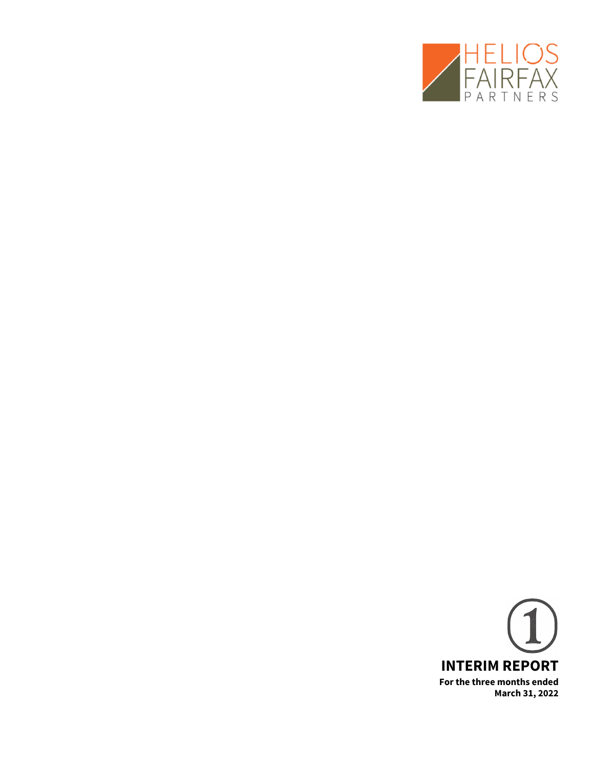

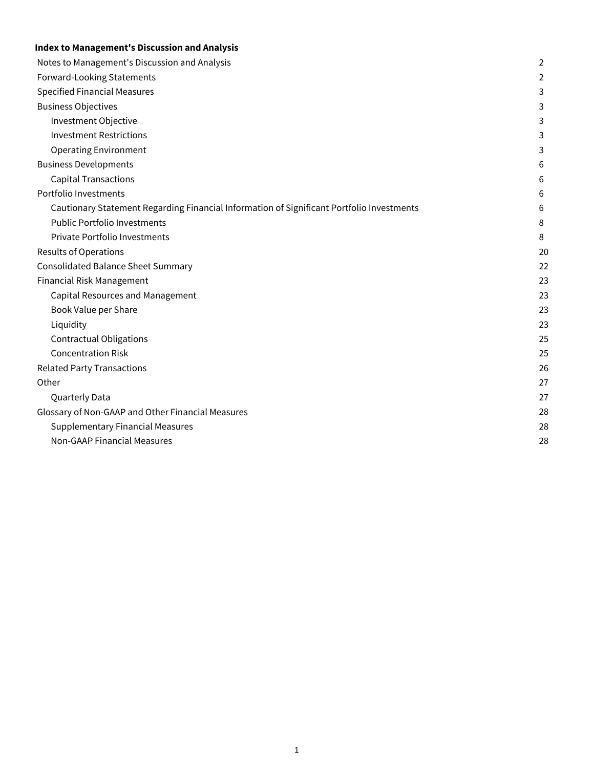# **Index to Management's Discussion and Analysis**

| Notes to Management's Discussion and Analysis                                             | $\overline{2}$ |
|-------------------------------------------------------------------------------------------|----------------|
| Forward-Looking Statements                                                                | 2              |
| <b>Specified Financial Measures</b>                                                       | 3              |
| <b>Business Objectives</b>                                                                | 3              |
| Investment Objective                                                                      | 3              |
| <b>Investment Restrictions</b>                                                            | 3              |
| <b>Operating Environment</b>                                                              | 3              |
| <b>Business Developments</b>                                                              | 6              |
| <b>Capital Transactions</b>                                                               | 6              |
| Portfolio Investments                                                                     | 6              |
| Cautionary Statement Regarding Financial Information of Significant Portfolio Investments | 6              |
| <b>Public Portfolio Investments</b>                                                       | 8              |
| Private Portfolio Investments                                                             | 8              |
| <b>Results of Operations</b>                                                              | 20             |
| <b>Consolidated Balance Sheet Summary</b>                                                 | 22             |
| Financial Risk Management                                                                 | 23             |
| <b>Capital Resources and Management</b>                                                   | 23             |
| Book Value per Share                                                                      | 23             |
| Liquidity                                                                                 | 23             |
| <b>Contractual Obligations</b>                                                            | 25             |
| <b>Concentration Risk</b>                                                                 | 25             |
| <b>Related Party Transactions</b>                                                         | 26             |
| Other                                                                                     | 27             |
| Quarterly Data                                                                            | 27             |
| Glossary of Non-GAAP and Other Financial Measures                                         | 28             |
| <b>Supplementary Financial Measures</b>                                                   | 28             |
| <b>Non-GAAP Financial Measures</b>                                                        | 28             |
|                                                                                           |                |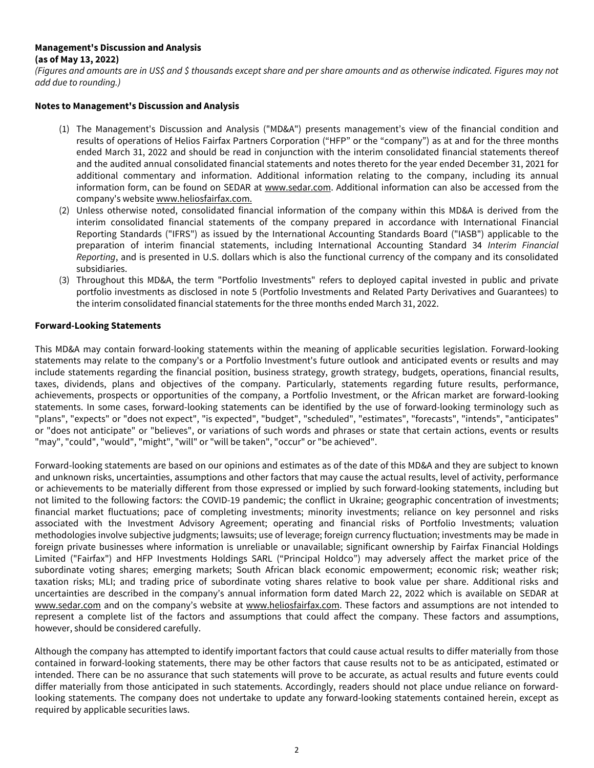# <span id="page-2-0"></span>**Management's Discussion and Analysis**

## **(as of May 13, 2022)**

(Figures and amounts are in US\$ and \$ thousands except share and per share amounts and as otherwise indicated. Figures may not add due to rounding.)

### **Notes to Management's Discussion and Analysis**

- (1) The Management's Discussion and Analysis ("MD&A") presents management's view of the financial condition and results of operations of Helios Fairfax Partners Corporation ("HFP" or the "company") as at and for the three months ended March 31, 2022 and should be read in conjunction with the interim consolidated financial statements thereof and the audited annual consolidated financial statements and notes thereto for the year ended December 31, 2021 for additional commentary and information. Additional information relating to the company, including its annual information form, can be found on SEDAR at www.sedar.com. Additional information can also be accessed from the company's website www.heliosfairfax.com.
- (2) Unless otherwise noted, consolidated financial information of the company within this MD&A is derived from the interim consolidated financial statements of the company prepared in accordance with International Financial Reporting Standards ("IFRS") as issued by the International Accounting Standards Board ("IASB") applicable to the preparation of interim financial statements, including International Accounting Standard 34 Interim Financial Reporting, and is presented in U.S. dollars which is also the functional currency of the company and its consolidated subsidiaries.
- (3) Throughout this MD&A, the term "Portfolio Investments" refers to deployed capital invested in public and private portfolio investments as disclosed in note 5 (Portfolio Investments and Related Party Derivatives and Guarantees) to the interim consolidated financial statements for the three months ended March 31, 2022.

# **Forward-Looking Statements**

This MD&A may contain forward-looking statements within the meaning of applicable securities legislation. Forward-looking statements may relate to the company's or a Portfolio Investment's future outlook and anticipated events or results and may include statements regarding the financial position, business strategy, growth strategy, budgets, operations, financial results, taxes, dividends, plans and objectives of the company. Particularly, statements regarding future results, performance, achievements, prospects or opportunities of the company, a Portfolio Investment, or the African market are forward-looking statements. In some cases, forward-looking statements can be identified by the use of forward-looking terminology such as "plans", "expects" or "does not expect", "is expected", "budget", "scheduled", "estimates", "forecasts", "intends", "anticipates" or "does not anticipate" or "believes", or variations of such words and phrases or state that certain actions, events or results "may", "could", "would", "might", "will" or "will be taken", "occur" or "be achieved".

Forward-looking statements are based on our opinions and estimates as of the date of this MD&A and they are subject to known and unknown risks, uncertainties, assumptions and other factors that may cause the actual results, level of activity, performance or achievements to be materially different from those expressed or implied by such forward-looking statements, including but not limited to the following factors: the COVID-19 pandemic; the conflict in Ukraine; geographic concentration of investments; financial market fluctuations; pace of completing investments; minority investments; reliance on key personnel and risks associated with the Investment Advisory Agreement; operating and financial risks of Portfolio Investments; valuation methodologies involve subjective judgments; lawsuits; use of leverage; foreign currency fluctuation; investments may be made in foreign private businesses where information is unreliable or unavailable; significant ownership by Fairfax Financial Holdings Limited ("Fairfax") and HFP Investments Holdings SARL ("Principal Holdco") may adversely affect the market price of the subordinate voting shares; emerging markets; South African black economic empowerment; economic risk; weather risk; taxation risks; MLI; and trading price of subordinate voting shares relative to book value per share. Additional risks and uncertainties are described in the company's annual information form dated March 22, 2022 which is available on SEDAR at www.sedar.com and on the company's website at www.heliosfairfax.com. These factors and assumptions are not intended to represent a complete list of the factors and assumptions that could affect the company. These factors and assumptions, however, should be considered carefully.

Although the company has attempted to identify important factors that could cause actual results to differ materially from those contained in forward-looking statements, there may be other factors that cause results not to be as anticipated, estimated or intended. There can be no assurance that such statements will prove to be accurate, as actual results and future events could differ materially from those anticipated in such statements. Accordingly, readers should not place undue reliance on forwardlooking statements. The company does not undertake to update any forward-looking statements contained herein, except as required by applicable securities laws.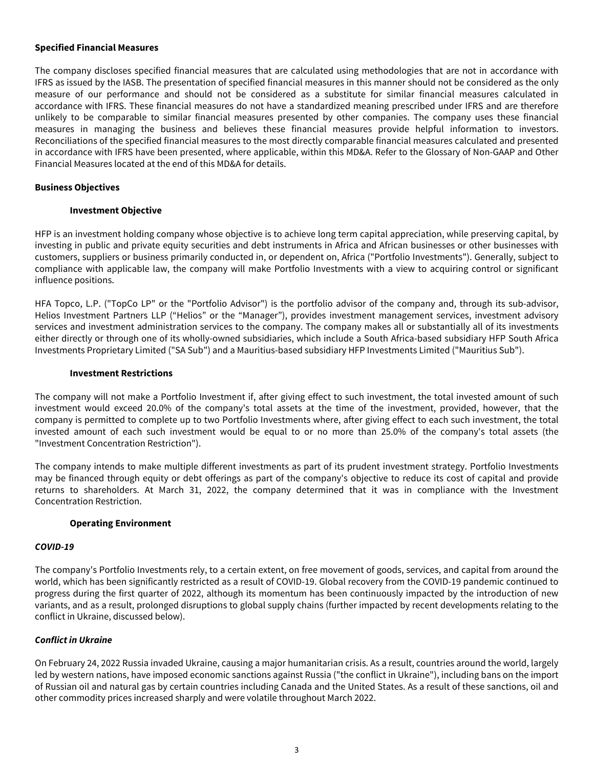#### <span id="page-3-0"></span>**Specified Financial Measures**

The company discloses specified financial measures that are calculated using methodologies that are not in accordance with IFRS as issued by the IASB. The presentation of specified financial measures in this manner should not be considered as the only measure of our performance and should not be considered as a substitute for similar financial measures calculated in accordance with IFRS. These financial measures do not have a standardized meaning prescribed under IFRS and are therefore unlikely to be comparable to similar financial measures presented by other companies. The company uses these financial measures in managing the business and believes these financial measures provide helpful information to investors. Reconciliations of the specified financial measures to the most directly comparable financial measures calculated and presented in accordance with IFRS have been presented, where applicable, within this MD&A. Refer to the Glossary of Non-GAAP and Other Financial Measures located at the end of this MD&A for details.

### **Business Objectives**

#### **Investment Objective**

HFP is an investment holding company whose objective is to achieve long term capital appreciation, while preserving capital, by investing in public and private equity securities and debt instruments in Africa and African businesses or other businesses with customers, suppliers or business primarily conducted in, or dependent on, Africa ("Portfolio Investments"). Generally, subject to compliance with applicable law, the company will make Portfolio Investments with a view to acquiring control or significant influence positions.

HFA Topco, L.P. ("TopCo LP" or the "Portfolio Advisor") is the portfolio advisor of the company and, through its sub-advisor, Helios Investment Partners LLP ("Helios" or the "Manager"), provides investment management services, investment advisory services and investment administration services to the company. The company makes all or substantially all of its investments either directly or through one of its wholly-owned subsidiaries, which include a South Africa-based subsidiary HFP South Africa Investments Proprietary Limited ("SA Sub") and a Mauritius-based subsidiary HFP Investments Limited ("Mauritius Sub").

#### **Investment Restrictions**

The company will not make a Portfolio Investment if, after giving effect to such investment, the total invested amount of such investment would exceed 20.0% of the company's total assets at the time of the investment, provided, however, that the company is permitted to complete up to two Portfolio Investments where, after giving effect to each such investment, the total invested amount of each such investment would be equal to or no more than 25.0% of the company's total assets (the "Investment Concentration Restriction").

The company intends to make multiple different investments as part of its prudent investment strategy. Portfolio Investments may be financed through equity or debt offerings as part of the company's objective to reduce its cost of capital and provide returns to shareholders. At March 31, 2022, the company determined that it was in compliance with the Investment Concentration Restriction.

#### **Operating Environment**

#### **COVID-19**

The company's Portfolio Investments rely, to a certain extent, on free movement of goods, services, and capital from around the world, which has been significantly restricted as a result of COVID-19. Global recovery from the COVID-19 pandemic continued to progress during the first quarter of 2022, although its momentum has been continuously impacted by the introduction of new variants, and as a result, prolonged disruptions to global supply chains (further impacted by recent developments relating to the conflict in Ukraine, discussed below).

### **Conflict in Ukraine**

On February 24, 2022 Russia invaded Ukraine, causing a major humanitarian crisis. As a result, countries around the world, largely led by western nations, have imposed economic sanctions against Russia ("the conflict in Ukraine"), including bans on the import of Russian oil and natural gas by certain countries including Canada and the United States. As a result of these sanctions, oil and other commodity prices increased sharply and were volatile throughout March 2022.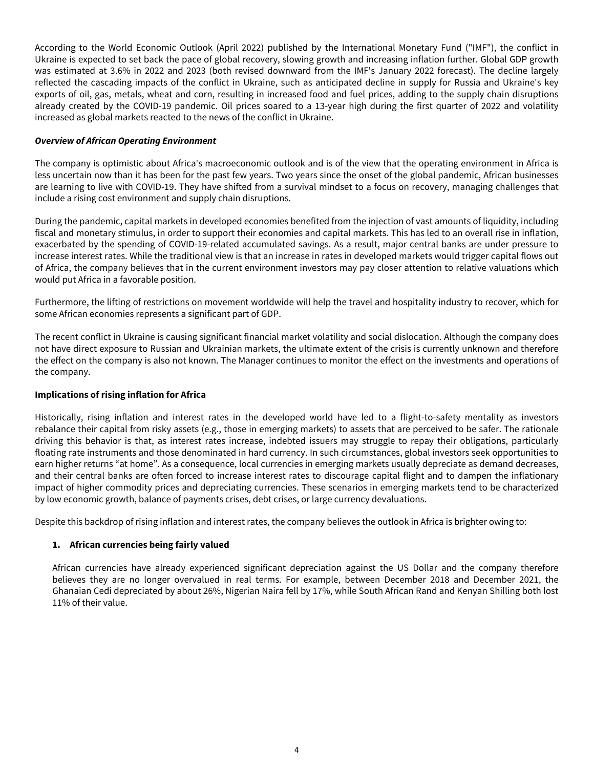According to the World Economic Outlook (April 2022) published by the International Monetary Fund ("IMF"), the conflict in Ukraine is expected to set back the pace of global recovery, slowing growth and increasing inflation further. Global GDP growth was estimated at 3.6% in 2022 and 2023 (both revised downward from the IMF's January 2022 forecast). The decline largely reflected the cascading impacts of the conflict in Ukraine, such as anticipated decline in supply for Russia and Ukraine's key exports of oil, gas, metals, wheat and corn, resulting in increased food and fuel prices, adding to the supply chain disruptions already created by the COVID-19 pandemic. Oil prices soared to a 13-year high during the first quarter of 2022 and volatility increased as global markets reacted to the news of the conflict in Ukraine.

## **Overview of African Operating Environment**

The company is optimistic about Africa's macroeconomic outlook and is of the view that the operating environment in Africa is less uncertain now than it has been for the past few years. Two years since the onset of the global pandemic, African businesses are learning to live with COVID-19. They have shifted from a survival mindset to a focus on recovery, managing challenges that include a rising cost environment and supply chain disruptions.

During the pandemic, capital markets in developed economies benefited from the injection of vast amounts of liquidity, including fiscal and monetary stimulus, in order to support their economies and capital markets. This has led to an overall rise in inflation, exacerbated by the spending of COVID-19-related accumulated savings. As a result, major central banks are under pressure to increase interest rates. While the traditional view is that an increase in rates in developed markets would trigger capital flows out of Africa, the company believes that in the current environment investors may pay closer attention to relative valuations which would put Africa in a favorable position.

Furthermore, the lifting of restrictions on movement worldwide will help the travel and hospitality industry to recover, which for some African economies represents a significant part of GDP.

The recent conflict in Ukraine is causing significant financial market volatility and social dislocation. Although the company does not have direct exposure to Russian and Ukrainian markets, the ultimate extent of the crisis is currently unknown and therefore the effect on the company is also not known. The Manager continues to monitor the effect on the investments and operations of the company.

# **Implications of rising inflation for Africa**

Historically, rising inflation and interest rates in the developed world have led to a flight-to-safety mentality as investors rebalance their capital from risky assets (e.g., those in emerging markets) to assets that are perceived to be safer. The rationale driving this behavior is that, as interest rates increase, indebted issuers may struggle to repay their obligations, particularly floating rate instruments and those denominated in hard currency. In such circumstances, global investors seek opportunities to earn higher returns "at home". As a consequence, local currencies in emerging markets usually depreciate as demand decreases, and their central banks are often forced to increase interest rates to discourage capital flight and to dampen the inflationary impact of higher commodity prices and depreciating currencies. These scenarios in emerging markets tend to be characterized by low economic growth, balance of payments crises, debt crises, or large currency devaluations.

Despite this backdrop of rising inflation and interest rates, the company believes the outlook in Africa is brighter owing to:

# **1. African currencies being fairly valued**

African currencies have already experienced significant depreciation against the US Dollar and the company therefore believes they are no longer overvalued in real terms. For example, between December 2018 and December 2021, the Ghanaian Cedi depreciated by about 26%, Nigerian Naira fell by 17%, while South African Rand and Kenyan Shilling both lost 11% of their value.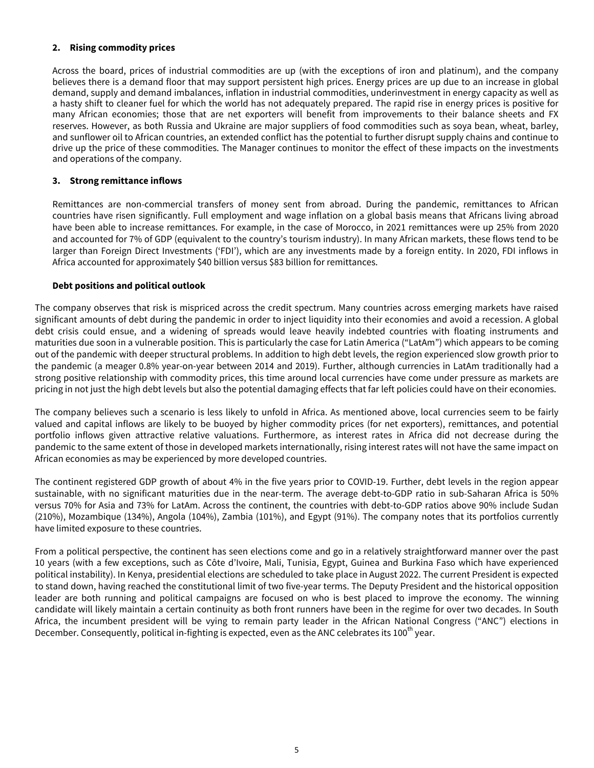## **2. Rising commodity prices**

Across the board, prices of industrial commodities are up (with the exceptions of iron and platinum), and the company believes there is a demand floor that may support persistent high prices. Energy prices are up due to an increase in global demand, supply and demand imbalances, inflation in industrial commodities, underinvestment in energy capacity as well as a hasty shift to cleaner fuel for which the world has not adequately prepared. The rapid rise in energy prices is positive for many African economies; those that are net exporters will benefit from improvements to their balance sheets and FX reserves. However, as both Russia and Ukraine are major suppliers of food commodities such as soya bean, wheat, barley, and sunflower oil to African countries, an extended conflict has the potential to further disrupt supply chains and continue to drive up the price of these commodities. The Manager continues to monitor the effect of these impacts on the investments and operations of the company.

### **3. Strong remittance inflows**

Remittances are non-commercial transfers of money sent from abroad. During the pandemic, remittances to African countries have risen significantly. Full employment and wage inflation on a global basis means that Africans living abroad have been able to increase remittances. For example, in the case of Morocco, in 2021 remittances were up 25% from 2020 and accounted for 7% of GDP (equivalent to the country's tourism industry). In many African markets, these flows tend to be larger than Foreign Direct Investments ('FDI'), which are any investments made by a foreign entity. In 2020, FDI inflows in Africa accounted for approximately \$40 billion versus \$83 billion for remittances.

## **Debt positions and political outlook**

The company observes that risk is mispriced across the credit spectrum. Many countries across emerging markets have raised significant amounts of debt during the pandemic in order to inject liquidity into their economies and avoid a recession. A global debt crisis could ensue, and a widening of spreads would leave heavily indebted countries with floating instruments and maturities due soon in a vulnerable position. This is particularly the case for Latin America ("LatAm") which appears to be coming out of the pandemic with deeper structural problems. In addition to high debt levels, the region experienced slow growth prior to the pandemic (a meager 0.8% year-on-year between 2014 and 2019). Further, although currencies in LatAm traditionally had a strong positive relationship with commodity prices, this time around local currencies have come under pressure as markets are pricing in not just the high debt levels but also the potential damaging effects that far left policies could have on their economies.

The company believes such a scenario is less likely to unfold in Africa. As mentioned above, local currencies seem to be fairly valued and capital inflows are likely to be buoyed by higher commodity prices (for net exporters), remittances, and potential portfolio inflows given attractive relative valuations. Furthermore, as interest rates in Africa did not decrease during the pandemic to the same extent of those in developed markets internationally, rising interest rates will not have the same impact on African economies as may be experienced by more developed countries.

The continent registered GDP growth of about 4% in the five years prior to COVID-19. Further, debt levels in the region appear sustainable, with no significant maturities due in the near-term. The average debt-to-GDP ratio in sub-Saharan Africa is 50% versus 70% for Asia and 73% for LatAm. Across the continent, the countries with debt-to-GDP ratios above 90% include Sudan (210%), Mozambique (134%), Angola (104%), Zambia (101%), and Egypt (91%). The company notes that its portfolios currently have limited exposure to these countries.

From a political perspective, the continent has seen elections come and go in a relatively straightforward manner over the past 10 years (with a few exceptions, such as Côte d'Ivoire, Mali, Tunisia, Egypt, Guinea and Burkina Faso which have experienced political instability). In Kenya, presidential elections are scheduled to take place in August 2022. The current President is expected to stand down, having reached the constitutional limit of two five-year terms. The Deputy President and the historical opposition leader are both running and political campaigns are focused on who is best placed to improve the economy. The winning candidate will likely maintain a certain continuity as both front runners have been in the regime for over two decades. In South Africa, the incumbent president will be vying to remain party leader in the African National Congress ("ANC") elections in December. Consequently, political in-fighting is expected, even as the ANC celebrates its 100<sup>th</sup> year.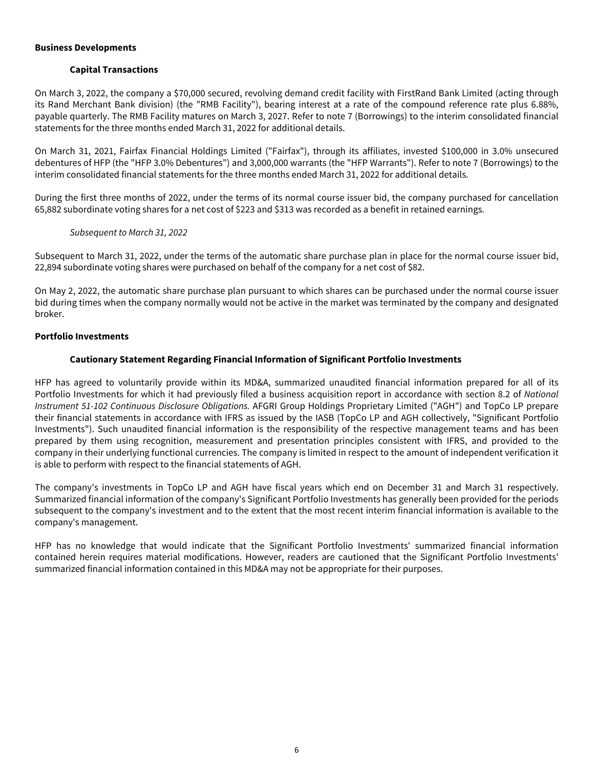#### <span id="page-6-0"></span>**Business Developments**

### **Capital Transactions**

On March 3, 2022, the company a \$70,000 secured, revolving demand credit facility with FirstRand Bank Limited (acting through its Rand Merchant Bank division) (the "RMB Facility"), bearing interest at a rate of the compound reference rate plus 6.88%, payable quarterly. The RMB Facility matures on March 3, 2027. Refer to note 7 (Borrowings) to the interim consolidated financial statements for the three months ended March 31, 2022 for additional details.

On March 31, 2021, Fairfax Financial Holdings Limited ("Fairfax"), through its affiliates, invested \$100,000 in 3.0% unsecured debentures of HFP (the "HFP 3.0% Debentures") and 3,000,000 warrants (the "HFP Warrants"). Refer to note 7 (Borrowings) to the interim consolidated financial statements for the three months ended March 31, 2022 for additional details.

During the first three months of 2022, under the terms of its normal course issuer bid, the company purchased for cancellation 65,882 subordinate voting shares for a net cost of \$223 and \$313 was recorded as a benefit in retained earnings.

### Subsequent to March 31, 2022

Subsequent to March 31, 2022, under the terms of the automatic share purchase plan in place for the normal course issuer bid, 22,894 subordinate voting shares were purchased on behalf of the company for a net cost of \$82.

On May 2, 2022, the automatic share purchase plan pursuant to which shares can be purchased under the normal course issuer bid during times when the company normally would not be active in the market was terminated by the company and designated broker.

### **Portfolio Investments**

## **Cautionary Statement Regarding Financial Information of Significant Portfolio Investments**

HFP has agreed to voluntarily provide within its MD&A, summarized unaudited financial information prepared for all of its Portfolio Investments for which it had previously filed a business acquisition report in accordance with section 8.2 of National Instrument 51-102 Continuous Disclosure Obligations. AFGRI Group Holdings Proprietary Limited ("AGH") and TopCo LP prepare their financial statements in accordance with IFRS as issued by the IASB (TopCo LP and AGH collectively, "Significant Portfolio Investments"). Such unaudited financial information is the responsibility of the respective management teams and has been prepared by them using recognition, measurement and presentation principles consistent with IFRS, and provided to the company in their underlying functional currencies. The company is limited in respect to the amount of independent verification it is able to perform with respect to the financial statements of AGH.

The company's investments in TopCo LP and AGH have fiscal years which end on December 31 and March 31 respectively. Summarized financial information of the company's Significant Portfolio Investments has generally been provided for the periods subsequent to the company's investment and to the extent that the most recent interim financial information is available to the company's management.

HFP has no knowledge that would indicate that the Significant Portfolio Investments' summarized financial information contained herein requires material modifications. However, readers are cautioned that the Significant Portfolio Investments' summarized financial information contained in this MD&A may not be appropriate for their purposes.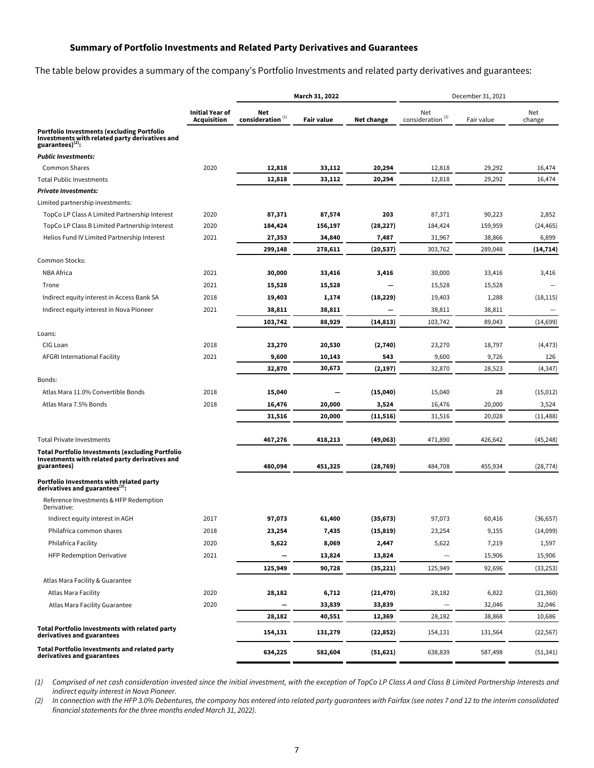## **Summary of Portfolio Investments and Related Party Derivatives and Guarantees**

The table below provides a summary of the company's Portfolio Investments and related party derivatives and guarantees:

| <b>Initial Year of</b><br>Net<br>Net<br>Net<br>$\mathop{\mathsf{consideration}\,}^{(1)}$<br>consideration $(1)$<br><b>Acquisition</b><br><b>Fair value</b><br><b>Net change</b><br>Fair value<br>change<br>Investments with related party derivatives and<br>guarantees) $^{(2)}$ :<br><b>Common Shares</b><br>2020<br>12,818<br>33,112<br>20,294<br>12,818<br>29,292<br>16,474<br>Total Public Investments<br>12,818<br>33,112<br>20,294<br>12,818<br>29,292<br>16,474<br>Limited partnership investments:<br>TopCo LP Class A Limited Partnership Interest<br>2020<br>87,371<br>87,574<br>203<br>87,371<br>90,223<br>2,852<br>TopCo LP Class B Limited Partnership Interest<br>2020<br>184,424<br>156,197<br>(28, 227)<br>184,424<br>159,959<br>(24, 465)<br>Helios Fund IV Limited Partnership Interest<br>2021<br>27,353<br>34,840<br>7,487<br>31,967<br>38,866<br>6,899<br>299,148<br>278,611<br>(20, 537)<br>303,762<br>289,048<br>(14, 714)<br>Common Stocks:<br>2021<br><b>NBA Africa</b><br>30,000<br>33,416<br>3,416<br>30,000<br>33,416<br>3,416<br>2021<br>15,528<br>15,528<br>Trone<br>15,528<br>15,528<br>Indirect equity interest in Access Bank SA<br>2018<br>(18, 229)<br>19,403<br>1,288<br>(18, 115)<br>19,403<br>1,174<br>Indirect equity interest in Nova Pioneer<br>2021<br>38,811<br>38,811<br>38,811<br>38,811<br>(14, 813)<br>103,742<br>88,929<br>103,742<br>89,043<br>(14, 699)<br>Loans:<br>CIG Loan<br>2018<br>23,270<br>20,530<br>(2,740)<br>23,270<br>18,797<br>(4, 473)<br>AFGRI International Facility<br>2021<br>9,600<br>10,143<br>543<br>9,600<br>9,726<br>126<br>30,673<br>32,870<br>(2, 197)<br>32,870<br>28,523<br>(4,347)<br>Bonds:<br>Atlas Mara 11.0% Convertible Bonds<br>2018<br>15,040<br>(15,040)<br>15,040<br>28<br>(15, 012)<br>Atlas Mara 7.5% Bonds<br>2018<br>16,476<br>20,000<br>3,524<br>16,476<br>20,000<br>3,524<br>31,516<br>20,000<br>31,516<br>20,028<br>(11, 488)<br>(11, 516)<br>467,276<br>418,213<br>(49,063)<br>471,890<br>426,642<br>(45, 248)<br><b>Total Portfolio Investments (excluding Portfolio</b><br>480,094<br>451,325<br>(28, 769)<br>484,708<br>455,934<br>(28, 774)<br>derivatives and guarantees $^{(2)}$ :<br>Reference Investments & HFP Redemption<br>Derivative:<br>Indirect equity interest in AGH<br>2017<br>97,073<br>61,400<br>(35, 673)<br>97,073<br>60,416<br>(36, 657)<br>Philafrica common shares<br>2018<br>23,254<br>7,435<br>(15, 819)<br>23,254<br>9,155<br>(14,099)<br>Philafrica Facility<br>2020<br>8,069<br>2,447<br>5,622<br>7,219<br>5,622<br>1,597<br><b>HFP Redemption Derivative</b><br>2021<br>13,824<br>13,824<br>15,906<br>15,906<br>125,949<br>90,728<br>(35, 221)<br>125,949<br>92,696<br>(33, 253)<br>Atlas Mara Facility & Guarantee<br>Atlas Mara Facility<br>2020<br>(21, 470)<br>6,822<br>28,182<br>6,712<br>28,182<br>(21, 360) |                                                                                     | March 31, 2022 |  |  | December 31, 2021 |  |  |  |
|--------------------------------------------------------------------------------------------------------------------------------------------------------------------------------------------------------------------------------------------------------------------------------------------------------------------------------------------------------------------------------------------------------------------------------------------------------------------------------------------------------------------------------------------------------------------------------------------------------------------------------------------------------------------------------------------------------------------------------------------------------------------------------------------------------------------------------------------------------------------------------------------------------------------------------------------------------------------------------------------------------------------------------------------------------------------------------------------------------------------------------------------------------------------------------------------------------------------------------------------------------------------------------------------------------------------------------------------------------------------------------------------------------------------------------------------------------------------------------------------------------------------------------------------------------------------------------------------------------------------------------------------------------------------------------------------------------------------------------------------------------------------------------------------------------------------------------------------------------------------------------------------------------------------------------------------------------------------------------------------------------------------------------------------------------------------------------------------------------------------------------------------------------------------------------------------------------------------------------------------------------------------------------------------------------------------------------------------------------------------------------------------------------------------------------------------------------------------------------------------------------------------------------------------------------------------------------------------------------------------------------------------------------------------------------------------------------------------------------------------------------------------------------------------------------------------------------------------------|-------------------------------------------------------------------------------------|----------------|--|--|-------------------|--|--|--|
|                                                                                                                                                                                                                                                                                                                                                                                                                                                                                                                                                                                                                                                                                                                                                                                                                                                                                                                                                                                                                                                                                                                                                                                                                                                                                                                                                                                                                                                                                                                                                                                                                                                                                                                                                                                                                                                                                                                                                                                                                                                                                                                                                                                                                                                                                                                                                                                                                                                                                                                                                                                                                                                                                                                                                                                                                                                  |                                                                                     |                |  |  |                   |  |  |  |
|                                                                                                                                                                                                                                                                                                                                                                                                                                                                                                                                                                                                                                                                                                                                                                                                                                                                                                                                                                                                                                                                                                                                                                                                                                                                                                                                                                                                                                                                                                                                                                                                                                                                                                                                                                                                                                                                                                                                                                                                                                                                                                                                                                                                                                                                                                                                                                                                                                                                                                                                                                                                                                                                                                                                                                                                                                                  | <b>Portfolio Investments (excluding Portfolio</b>                                   |                |  |  |                   |  |  |  |
|                                                                                                                                                                                                                                                                                                                                                                                                                                                                                                                                                                                                                                                                                                                                                                                                                                                                                                                                                                                                                                                                                                                                                                                                                                                                                                                                                                                                                                                                                                                                                                                                                                                                                                                                                                                                                                                                                                                                                                                                                                                                                                                                                                                                                                                                                                                                                                                                                                                                                                                                                                                                                                                                                                                                                                                                                                                  | <b>Public Investments:</b>                                                          |                |  |  |                   |  |  |  |
|                                                                                                                                                                                                                                                                                                                                                                                                                                                                                                                                                                                                                                                                                                                                                                                                                                                                                                                                                                                                                                                                                                                                                                                                                                                                                                                                                                                                                                                                                                                                                                                                                                                                                                                                                                                                                                                                                                                                                                                                                                                                                                                                                                                                                                                                                                                                                                                                                                                                                                                                                                                                                                                                                                                                                                                                                                                  |                                                                                     |                |  |  |                   |  |  |  |
|                                                                                                                                                                                                                                                                                                                                                                                                                                                                                                                                                                                                                                                                                                                                                                                                                                                                                                                                                                                                                                                                                                                                                                                                                                                                                                                                                                                                                                                                                                                                                                                                                                                                                                                                                                                                                                                                                                                                                                                                                                                                                                                                                                                                                                                                                                                                                                                                                                                                                                                                                                                                                                                                                                                                                                                                                                                  |                                                                                     |                |  |  |                   |  |  |  |
|                                                                                                                                                                                                                                                                                                                                                                                                                                                                                                                                                                                                                                                                                                                                                                                                                                                                                                                                                                                                                                                                                                                                                                                                                                                                                                                                                                                                                                                                                                                                                                                                                                                                                                                                                                                                                                                                                                                                                                                                                                                                                                                                                                                                                                                                                                                                                                                                                                                                                                                                                                                                                                                                                                                                                                                                                                                  | <b>Private Investments:</b>                                                         |                |  |  |                   |  |  |  |
|                                                                                                                                                                                                                                                                                                                                                                                                                                                                                                                                                                                                                                                                                                                                                                                                                                                                                                                                                                                                                                                                                                                                                                                                                                                                                                                                                                                                                                                                                                                                                                                                                                                                                                                                                                                                                                                                                                                                                                                                                                                                                                                                                                                                                                                                                                                                                                                                                                                                                                                                                                                                                                                                                                                                                                                                                                                  |                                                                                     |                |  |  |                   |  |  |  |
|                                                                                                                                                                                                                                                                                                                                                                                                                                                                                                                                                                                                                                                                                                                                                                                                                                                                                                                                                                                                                                                                                                                                                                                                                                                                                                                                                                                                                                                                                                                                                                                                                                                                                                                                                                                                                                                                                                                                                                                                                                                                                                                                                                                                                                                                                                                                                                                                                                                                                                                                                                                                                                                                                                                                                                                                                                                  |                                                                                     |                |  |  |                   |  |  |  |
|                                                                                                                                                                                                                                                                                                                                                                                                                                                                                                                                                                                                                                                                                                                                                                                                                                                                                                                                                                                                                                                                                                                                                                                                                                                                                                                                                                                                                                                                                                                                                                                                                                                                                                                                                                                                                                                                                                                                                                                                                                                                                                                                                                                                                                                                                                                                                                                                                                                                                                                                                                                                                                                                                                                                                                                                                                                  |                                                                                     |                |  |  |                   |  |  |  |
|                                                                                                                                                                                                                                                                                                                                                                                                                                                                                                                                                                                                                                                                                                                                                                                                                                                                                                                                                                                                                                                                                                                                                                                                                                                                                                                                                                                                                                                                                                                                                                                                                                                                                                                                                                                                                                                                                                                                                                                                                                                                                                                                                                                                                                                                                                                                                                                                                                                                                                                                                                                                                                                                                                                                                                                                                                                  |                                                                                     |                |  |  |                   |  |  |  |
|                                                                                                                                                                                                                                                                                                                                                                                                                                                                                                                                                                                                                                                                                                                                                                                                                                                                                                                                                                                                                                                                                                                                                                                                                                                                                                                                                                                                                                                                                                                                                                                                                                                                                                                                                                                                                                                                                                                                                                                                                                                                                                                                                                                                                                                                                                                                                                                                                                                                                                                                                                                                                                                                                                                                                                                                                                                  |                                                                                     |                |  |  |                   |  |  |  |
|                                                                                                                                                                                                                                                                                                                                                                                                                                                                                                                                                                                                                                                                                                                                                                                                                                                                                                                                                                                                                                                                                                                                                                                                                                                                                                                                                                                                                                                                                                                                                                                                                                                                                                                                                                                                                                                                                                                                                                                                                                                                                                                                                                                                                                                                                                                                                                                                                                                                                                                                                                                                                                                                                                                                                                                                                                                  |                                                                                     |                |  |  |                   |  |  |  |
|                                                                                                                                                                                                                                                                                                                                                                                                                                                                                                                                                                                                                                                                                                                                                                                                                                                                                                                                                                                                                                                                                                                                                                                                                                                                                                                                                                                                                                                                                                                                                                                                                                                                                                                                                                                                                                                                                                                                                                                                                                                                                                                                                                                                                                                                                                                                                                                                                                                                                                                                                                                                                                                                                                                                                                                                                                                  |                                                                                     |                |  |  |                   |  |  |  |
|                                                                                                                                                                                                                                                                                                                                                                                                                                                                                                                                                                                                                                                                                                                                                                                                                                                                                                                                                                                                                                                                                                                                                                                                                                                                                                                                                                                                                                                                                                                                                                                                                                                                                                                                                                                                                                                                                                                                                                                                                                                                                                                                                                                                                                                                                                                                                                                                                                                                                                                                                                                                                                                                                                                                                                                                                                                  |                                                                                     |                |  |  |                   |  |  |  |
|                                                                                                                                                                                                                                                                                                                                                                                                                                                                                                                                                                                                                                                                                                                                                                                                                                                                                                                                                                                                                                                                                                                                                                                                                                                                                                                                                                                                                                                                                                                                                                                                                                                                                                                                                                                                                                                                                                                                                                                                                                                                                                                                                                                                                                                                                                                                                                                                                                                                                                                                                                                                                                                                                                                                                                                                                                                  |                                                                                     |                |  |  |                   |  |  |  |
|                                                                                                                                                                                                                                                                                                                                                                                                                                                                                                                                                                                                                                                                                                                                                                                                                                                                                                                                                                                                                                                                                                                                                                                                                                                                                                                                                                                                                                                                                                                                                                                                                                                                                                                                                                                                                                                                                                                                                                                                                                                                                                                                                                                                                                                                                                                                                                                                                                                                                                                                                                                                                                                                                                                                                                                                                                                  |                                                                                     |                |  |  |                   |  |  |  |
|                                                                                                                                                                                                                                                                                                                                                                                                                                                                                                                                                                                                                                                                                                                                                                                                                                                                                                                                                                                                                                                                                                                                                                                                                                                                                                                                                                                                                                                                                                                                                                                                                                                                                                                                                                                                                                                                                                                                                                                                                                                                                                                                                                                                                                                                                                                                                                                                                                                                                                                                                                                                                                                                                                                                                                                                                                                  |                                                                                     |                |  |  |                   |  |  |  |
|                                                                                                                                                                                                                                                                                                                                                                                                                                                                                                                                                                                                                                                                                                                                                                                                                                                                                                                                                                                                                                                                                                                                                                                                                                                                                                                                                                                                                                                                                                                                                                                                                                                                                                                                                                                                                                                                                                                                                                                                                                                                                                                                                                                                                                                                                                                                                                                                                                                                                                                                                                                                                                                                                                                                                                                                                                                  |                                                                                     |                |  |  |                   |  |  |  |
|                                                                                                                                                                                                                                                                                                                                                                                                                                                                                                                                                                                                                                                                                                                                                                                                                                                                                                                                                                                                                                                                                                                                                                                                                                                                                                                                                                                                                                                                                                                                                                                                                                                                                                                                                                                                                                                                                                                                                                                                                                                                                                                                                                                                                                                                                                                                                                                                                                                                                                                                                                                                                                                                                                                                                                                                                                                  |                                                                                     |                |  |  |                   |  |  |  |
|                                                                                                                                                                                                                                                                                                                                                                                                                                                                                                                                                                                                                                                                                                                                                                                                                                                                                                                                                                                                                                                                                                                                                                                                                                                                                                                                                                                                                                                                                                                                                                                                                                                                                                                                                                                                                                                                                                                                                                                                                                                                                                                                                                                                                                                                                                                                                                                                                                                                                                                                                                                                                                                                                                                                                                                                                                                  |                                                                                     |                |  |  |                   |  |  |  |
|                                                                                                                                                                                                                                                                                                                                                                                                                                                                                                                                                                                                                                                                                                                                                                                                                                                                                                                                                                                                                                                                                                                                                                                                                                                                                                                                                                                                                                                                                                                                                                                                                                                                                                                                                                                                                                                                                                                                                                                                                                                                                                                                                                                                                                                                                                                                                                                                                                                                                                                                                                                                                                                                                                                                                                                                                                                  |                                                                                     |                |  |  |                   |  |  |  |
|                                                                                                                                                                                                                                                                                                                                                                                                                                                                                                                                                                                                                                                                                                                                                                                                                                                                                                                                                                                                                                                                                                                                                                                                                                                                                                                                                                                                                                                                                                                                                                                                                                                                                                                                                                                                                                                                                                                                                                                                                                                                                                                                                                                                                                                                                                                                                                                                                                                                                                                                                                                                                                                                                                                                                                                                                                                  |                                                                                     |                |  |  |                   |  |  |  |
|                                                                                                                                                                                                                                                                                                                                                                                                                                                                                                                                                                                                                                                                                                                                                                                                                                                                                                                                                                                                                                                                                                                                                                                                                                                                                                                                                                                                                                                                                                                                                                                                                                                                                                                                                                                                                                                                                                                                                                                                                                                                                                                                                                                                                                                                                                                                                                                                                                                                                                                                                                                                                                                                                                                                                                                                                                                  |                                                                                     |                |  |  |                   |  |  |  |
|                                                                                                                                                                                                                                                                                                                                                                                                                                                                                                                                                                                                                                                                                                                                                                                                                                                                                                                                                                                                                                                                                                                                                                                                                                                                                                                                                                                                                                                                                                                                                                                                                                                                                                                                                                                                                                                                                                                                                                                                                                                                                                                                                                                                                                                                                                                                                                                                                                                                                                                                                                                                                                                                                                                                                                                                                                                  |                                                                                     |                |  |  |                   |  |  |  |
|                                                                                                                                                                                                                                                                                                                                                                                                                                                                                                                                                                                                                                                                                                                                                                                                                                                                                                                                                                                                                                                                                                                                                                                                                                                                                                                                                                                                                                                                                                                                                                                                                                                                                                                                                                                                                                                                                                                                                                                                                                                                                                                                                                                                                                                                                                                                                                                                                                                                                                                                                                                                                                                                                                                                                                                                                                                  |                                                                                     |                |  |  |                   |  |  |  |
|                                                                                                                                                                                                                                                                                                                                                                                                                                                                                                                                                                                                                                                                                                                                                                                                                                                                                                                                                                                                                                                                                                                                                                                                                                                                                                                                                                                                                                                                                                                                                                                                                                                                                                                                                                                                                                                                                                                                                                                                                                                                                                                                                                                                                                                                                                                                                                                                                                                                                                                                                                                                                                                                                                                                                                                                                                                  |                                                                                     |                |  |  |                   |  |  |  |
|                                                                                                                                                                                                                                                                                                                                                                                                                                                                                                                                                                                                                                                                                                                                                                                                                                                                                                                                                                                                                                                                                                                                                                                                                                                                                                                                                                                                                                                                                                                                                                                                                                                                                                                                                                                                                                                                                                                                                                                                                                                                                                                                                                                                                                                                                                                                                                                                                                                                                                                                                                                                                                                                                                                                                                                                                                                  | <b>Total Private Investments</b>                                                    |                |  |  |                   |  |  |  |
|                                                                                                                                                                                                                                                                                                                                                                                                                                                                                                                                                                                                                                                                                                                                                                                                                                                                                                                                                                                                                                                                                                                                                                                                                                                                                                                                                                                                                                                                                                                                                                                                                                                                                                                                                                                                                                                                                                                                                                                                                                                                                                                                                                                                                                                                                                                                                                                                                                                                                                                                                                                                                                                                                                                                                                                                                                                  | Investments with related party derivatives and<br>guarantees)                       |                |  |  |                   |  |  |  |
|                                                                                                                                                                                                                                                                                                                                                                                                                                                                                                                                                                                                                                                                                                                                                                                                                                                                                                                                                                                                                                                                                                                                                                                                                                                                                                                                                                                                                                                                                                                                                                                                                                                                                                                                                                                                                                                                                                                                                                                                                                                                                                                                                                                                                                                                                                                                                                                                                                                                                                                                                                                                                                                                                                                                                                                                                                                  | Portfolio Investments with related party                                            |                |  |  |                   |  |  |  |
|                                                                                                                                                                                                                                                                                                                                                                                                                                                                                                                                                                                                                                                                                                                                                                                                                                                                                                                                                                                                                                                                                                                                                                                                                                                                                                                                                                                                                                                                                                                                                                                                                                                                                                                                                                                                                                                                                                                                                                                                                                                                                                                                                                                                                                                                                                                                                                                                                                                                                                                                                                                                                                                                                                                                                                                                                                                  |                                                                                     |                |  |  |                   |  |  |  |
|                                                                                                                                                                                                                                                                                                                                                                                                                                                                                                                                                                                                                                                                                                                                                                                                                                                                                                                                                                                                                                                                                                                                                                                                                                                                                                                                                                                                                                                                                                                                                                                                                                                                                                                                                                                                                                                                                                                                                                                                                                                                                                                                                                                                                                                                                                                                                                                                                                                                                                                                                                                                                                                                                                                                                                                                                                                  |                                                                                     |                |  |  |                   |  |  |  |
|                                                                                                                                                                                                                                                                                                                                                                                                                                                                                                                                                                                                                                                                                                                                                                                                                                                                                                                                                                                                                                                                                                                                                                                                                                                                                                                                                                                                                                                                                                                                                                                                                                                                                                                                                                                                                                                                                                                                                                                                                                                                                                                                                                                                                                                                                                                                                                                                                                                                                                                                                                                                                                                                                                                                                                                                                                                  |                                                                                     |                |  |  |                   |  |  |  |
|                                                                                                                                                                                                                                                                                                                                                                                                                                                                                                                                                                                                                                                                                                                                                                                                                                                                                                                                                                                                                                                                                                                                                                                                                                                                                                                                                                                                                                                                                                                                                                                                                                                                                                                                                                                                                                                                                                                                                                                                                                                                                                                                                                                                                                                                                                                                                                                                                                                                                                                                                                                                                                                                                                                                                                                                                                                  |                                                                                     |                |  |  |                   |  |  |  |
|                                                                                                                                                                                                                                                                                                                                                                                                                                                                                                                                                                                                                                                                                                                                                                                                                                                                                                                                                                                                                                                                                                                                                                                                                                                                                                                                                                                                                                                                                                                                                                                                                                                                                                                                                                                                                                                                                                                                                                                                                                                                                                                                                                                                                                                                                                                                                                                                                                                                                                                                                                                                                                                                                                                                                                                                                                                  |                                                                                     |                |  |  |                   |  |  |  |
|                                                                                                                                                                                                                                                                                                                                                                                                                                                                                                                                                                                                                                                                                                                                                                                                                                                                                                                                                                                                                                                                                                                                                                                                                                                                                                                                                                                                                                                                                                                                                                                                                                                                                                                                                                                                                                                                                                                                                                                                                                                                                                                                                                                                                                                                                                                                                                                                                                                                                                                                                                                                                                                                                                                                                                                                                                                  |                                                                                     |                |  |  |                   |  |  |  |
|                                                                                                                                                                                                                                                                                                                                                                                                                                                                                                                                                                                                                                                                                                                                                                                                                                                                                                                                                                                                                                                                                                                                                                                                                                                                                                                                                                                                                                                                                                                                                                                                                                                                                                                                                                                                                                                                                                                                                                                                                                                                                                                                                                                                                                                                                                                                                                                                                                                                                                                                                                                                                                                                                                                                                                                                                                                  |                                                                                     |                |  |  |                   |  |  |  |
|                                                                                                                                                                                                                                                                                                                                                                                                                                                                                                                                                                                                                                                                                                                                                                                                                                                                                                                                                                                                                                                                                                                                                                                                                                                                                                                                                                                                                                                                                                                                                                                                                                                                                                                                                                                                                                                                                                                                                                                                                                                                                                                                                                                                                                                                                                                                                                                                                                                                                                                                                                                                                                                                                                                                                                                                                                                  |                                                                                     |                |  |  |                   |  |  |  |
| Atlas Mara Facility Guarantee<br>2020<br>33,839<br>33,839<br>32,046<br>32,046                                                                                                                                                                                                                                                                                                                                                                                                                                                                                                                                                                                                                                                                                                                                                                                                                                                                                                                                                                                                                                                                                                                                                                                                                                                                                                                                                                                                                                                                                                                                                                                                                                                                                                                                                                                                                                                                                                                                                                                                                                                                                                                                                                                                                                                                                                                                                                                                                                                                                                                                                                                                                                                                                                                                                                    |                                                                                     |                |  |  |                   |  |  |  |
| 28,182<br>38,868<br>10,686<br>28,182<br>40,551<br>12,369                                                                                                                                                                                                                                                                                                                                                                                                                                                                                                                                                                                                                                                                                                                                                                                                                                                                                                                                                                                                                                                                                                                                                                                                                                                                                                                                                                                                                                                                                                                                                                                                                                                                                                                                                                                                                                                                                                                                                                                                                                                                                                                                                                                                                                                                                                                                                                                                                                                                                                                                                                                                                                                                                                                                                                                         |                                                                                     |                |  |  |                   |  |  |  |
| 154,131<br>131,279<br>(22, 852)<br>154,131<br>131,564<br>(22, 567)                                                                                                                                                                                                                                                                                                                                                                                                                                                                                                                                                                                                                                                                                                                                                                                                                                                                                                                                                                                                                                                                                                                                                                                                                                                                                                                                                                                                                                                                                                                                                                                                                                                                                                                                                                                                                                                                                                                                                                                                                                                                                                                                                                                                                                                                                                                                                                                                                                                                                                                                                                                                                                                                                                                                                                               | <b>Total Portfolio Investments with related party</b><br>derivatives and guarantees |                |  |  |                   |  |  |  |
| 634,225<br>582,604<br>(51, 621)<br>638,839<br>587,498<br>(51, 341)<br>derivatives and guarantees                                                                                                                                                                                                                                                                                                                                                                                                                                                                                                                                                                                                                                                                                                                                                                                                                                                                                                                                                                                                                                                                                                                                                                                                                                                                                                                                                                                                                                                                                                                                                                                                                                                                                                                                                                                                                                                                                                                                                                                                                                                                                                                                                                                                                                                                                                                                                                                                                                                                                                                                                                                                                                                                                                                                                 | <b>Total Portfolio Investments and related party</b>                                |                |  |  |                   |  |  |  |

(1) Comprised of net cash consideration invested since the initial investment, with the exception of TopCo LP Class A and Class B Limited Partnership Interests and indirect equity interest in Nova Pioneer.

(2) In connection with the HFP 3.0% Debentures, the company has entered into related party guarantees with Fairfax (see notes 7 and 12 to the interim consolidated financial statements for the three months ended March 31, 2022).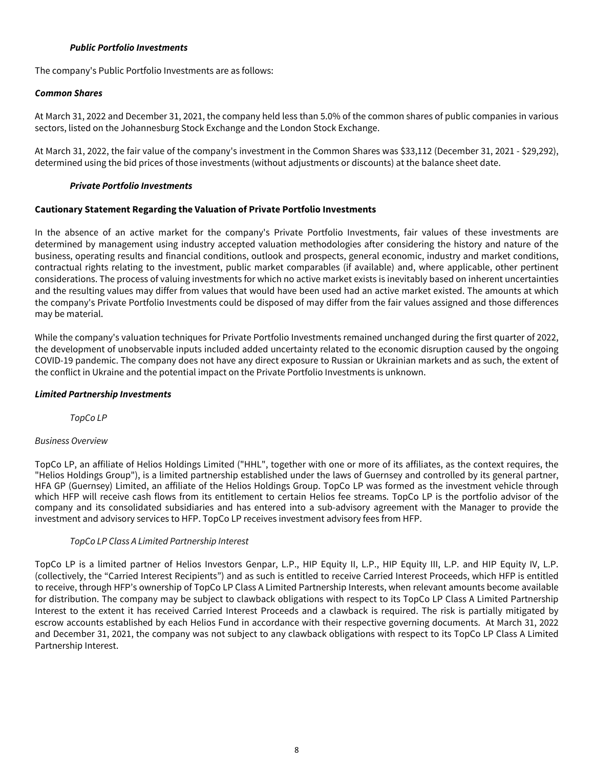### **Public Portfolio Investments**

<span id="page-8-0"></span>The company's Public Portfolio Investments are as follows:

### **Common Shares**

At March 31, 2022 and December 31, 2021, the company held less than 5.0% of the common shares of public companies in various sectors, listed on the Johannesburg Stock Exchange and the London Stock Exchange.

At March 31, 2022, the fair value of the company's investment in the Common Shares was \$33,112 (December 31, 2021 - \$29,292), determined using the bid prices of those investments (without adjustments or discounts) at the balance sheet date.

#### **Private Portfolio Investments**

### **Cautionary Statement Regarding the Valuation of Private Portfolio Investments**

In the absence of an active market for the company's Private Portfolio Investments, fair values of these investments are determined by management using industry accepted valuation methodologies after considering the history and nature of the business, operating results and financial conditions, outlook and prospects, general economic, industry and market conditions, contractual rights relating to the investment, public market comparables (if available) and, where applicable, other pertinent considerations. The process of valuing investments for which no active market exists is inevitably based on inherent uncertainties and the resulting values may differ from values that would have been used had an active market existed. The amounts at which the company's Private Portfolio Investments could be disposed of may differ from the fair values assigned and those differences may be material.

While the company's valuation techniques for Private Portfolio Investments remained unchanged during the first quarter of 2022, the development of unobservable inputs included added uncertainty related to the economic disruption caused by the ongoing COVID-19 pandemic. The company does not have any direct exposure to Russian or Ukrainian markets and as such, the extent of the conflict in Ukraine and the potential impact on the Private Portfolio Investments is unknown.

### **Limited Partnership Investments**

TopCo LP

#### Business Overview

TopCo LP, an affiliate of Helios Holdings Limited ("HHL", together with one or more of its affiliates, as the context requires, the "Helios Holdings Group"), is a limited partnership established under the laws of Guernsey and controlled by its general partner, HFA GP (Guernsey) Limited, an affiliate of the Helios Holdings Group. TopCo LP was formed as the investment vehicle through which HFP will receive cash flows from its entitlement to certain Helios fee streams. TopCo LP is the portfolio advisor of the company and its consolidated subsidiaries and has entered into a sub-advisory agreement with the Manager to provide the investment and advisory services to HFP. TopCo LP receives investment advisory fees from HFP.

### TopCo LP Class A Limited Partnership Interest

TopCo LP is a limited partner of Helios Investors Genpar, L.P., HIP Equity II, L.P., HIP Equity III, L.P. and HIP Equity IV, L.P. (collectively, the "Carried Interest Recipients") and as such is entitled to receive Carried Interest Proceeds, which HFP is entitled to receive, through HFP's ownership of TopCo LP Class A Limited Partnership Interests, when relevant amounts become available for distribution. The company may be subject to clawback obligations with respect to its TopCo LP Class A Limited Partnership Interest to the extent it has received Carried Interest Proceeds and a clawback is required. The risk is partially mitigated by escrow accounts established by each Helios Fund in accordance with their respective governing documents. At March 31, 2022 and December 31, 2021, the company was not subject to any clawback obligations with respect to its TopCo LP Class A Limited Partnership Interest.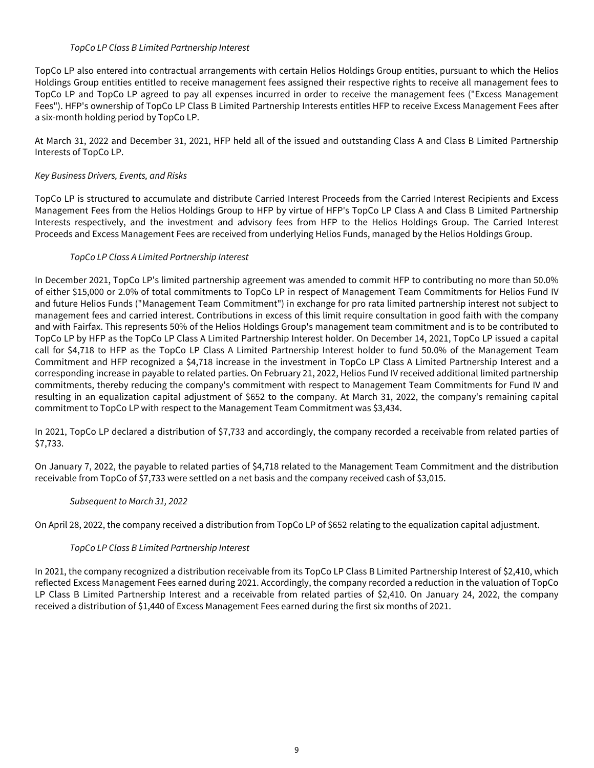### TopCo LP Class B Limited Partnership Interest

TopCo LP also entered into contractual arrangements with certain Helios Holdings Group entities, pursuant to which the Helios Holdings Group entities entitled to receive management fees assigned their respective rights to receive all management fees to TopCo LP and TopCo LP agreed to pay all expenses incurred in order to receive the management fees ("Excess Management Fees"). HFP's ownership of TopCo LP Class B Limited Partnership Interests entitles HFP to receive Excess Management Fees after a six-month holding period by TopCo LP.

At March 31, 2022 and December 31, 2021, HFP held all of the issued and outstanding Class A and Class B Limited Partnership Interests of TopCo LP.

# Key Business Drivers, Events, and Risks

TopCo LP is structured to accumulate and distribute Carried Interest Proceeds from the Carried Interest Recipients and Excess Management Fees from the Helios Holdings Group to HFP by virtue of HFP's TopCo LP Class A and Class B Limited Partnership Interests respectively, and the investment and advisory fees from HFP to the Helios Holdings Group. The Carried Interest Proceeds and Excess Management Fees are received from underlying Helios Funds, managed by the Helios Holdings Group.

# TopCo LP Class A Limited Partnership Interest

In December 2021, TopCo LP's limited partnership agreement was amended to commit HFP to contributing no more than 50.0% of either \$15,000 or 2.0% of total commitments to TopCo LP in respect of Management Team Commitments for Helios Fund IV and future Helios Funds ("Management Team Commitment") in exchange for pro rata limited partnership interest not subject to management fees and carried interest. Contributions in excess of this limit require consultation in good faith with the company and with Fairfax. This represents 50% of the Helios Holdings Group's management team commitment and is to be contributed to TopCo LP by HFP as the TopCo LP Class A Limited Partnership Interest holder. On December 14, 2021, TopCo LP issued a capital call for \$4,718 to HFP as the TopCo LP Class A Limited Partnership Interest holder to fund 50.0% of the Management Team Commitment and HFP recognized a \$4,718 increase in the investment in TopCo LP Class A Limited Partnership Interest and a corresponding increase in payable to related parties. On February 21, 2022, Helios Fund IV received additional limited partnership commitments, thereby reducing the company's commitment with respect to Management Team Commitments for Fund IV and resulting in an equalization capital adjustment of \$652 to the company. At March 31, 2022, the company's remaining capital commitment to TopCo LP with respect to the Management Team Commitment was \$3,434.

In 2021, TopCo LP declared a distribution of \$7,733 and accordingly, the company recorded a receivable from related parties of \$7,733.

On January 7, 2022, the payable to related parties of \$4,718 related to the Management Team Commitment and the distribution receivable from TopCo of \$7,733 were settled on a net basis and the company received cash of \$3,015.

# Subsequent to March 31, 2022

On April 28, 2022, the company received a distribution from TopCo LP of \$652 relating to the equalization capital adjustment.

### TopCo LP Class B Limited Partnership Interest

In 2021, the company recognized a distribution receivable from its TopCo LP Class B Limited Partnership Interest of \$2,410, which reflected Excess Management Fees earned during 2021. Accordingly, the company recorded a reduction in the valuation of TopCo LP Class B Limited Partnership Interest and a receivable from related parties of \$2,410. On January 24, 2022, the company received a distribution of \$1,440 of Excess Management Fees earned during the first six months of 2021.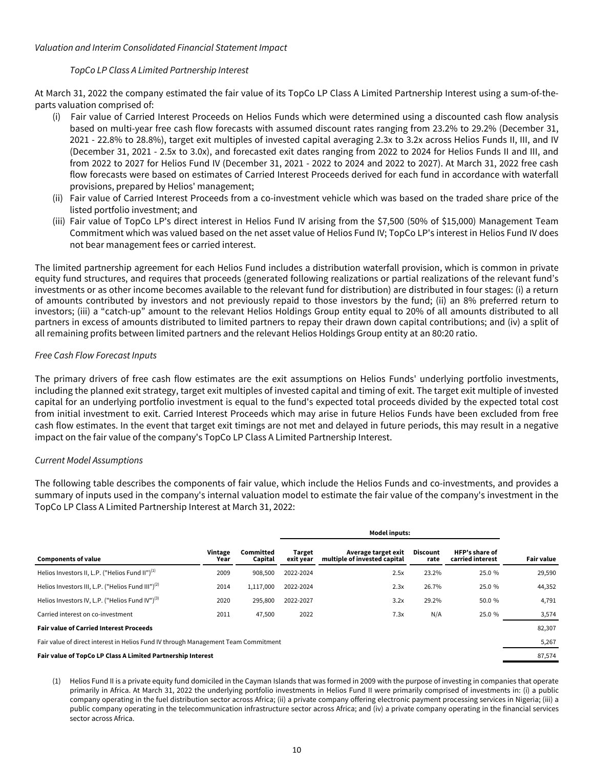### Valuation and Interim Consolidated Financial Statement Impact

## TopCo LP Class A Limited Partnership Interest

At March 31, 2022 the company estimated the fair value of its TopCo LP Class A Limited Partnership Interest using a sum-of-theparts valuation comprised of:

- (i) Fair value of Carried Interest Proceeds on Helios Funds which were determined using a discounted cash flow analysis based on multi-year free cash flow forecasts with assumed discount rates ranging from 23.2% to 29.2% (December 31, 2021 - 22.8% to 28.8%), target exit multiples of invested capital averaging 2.3x to 3.2x across Helios Funds II, III, and IV (December 31, 2021 - 2.5x to 3.0x), and forecasted exit dates ranging from 2022 to 2024 for Helios Funds II and III, and from 2022 to 2027 for Helios Fund IV (December 31, 2021 - 2022 to 2024 and 2022 to 2027). At March 31, 2022 free cash flow forecasts were based on estimates of Carried Interest Proceeds derived for each fund in accordance with waterfall provisions, prepared by Helios' management;
- (ii) Fair value of Carried Interest Proceeds from a co-investment vehicle which was based on the traded share price of the listed portfolio investment; and
- (iii) Fair value of TopCo LP's direct interest in Helios Fund IV arising from the \$7,500 (50% of \$15,000) Management Team Commitment which was valued based on the net asset value of Helios Fund IV; TopCo LP's interest in Helios Fund IV does not bear management fees or carried interest.

The limited partnership agreement for each Helios Fund includes a distribution waterfall provision, which is common in private equity fund structures, and requires that proceeds (generated following realizations or partial realizations of the relevant fund's investments or as other income becomes available to the relevant fund for distribution) are distributed in four stages: (i) a return of amounts contributed by investors and not previously repaid to those investors by the fund; (ii) an 8% preferred return to investors; (iii) a "catch-up" amount to the relevant Helios Holdings Group entity equal to 20% of all amounts distributed to all partners in excess of amounts distributed to limited partners to repay their drawn down capital contributions; and (iv) a split of all remaining profits between limited partners and the relevant Helios Holdings Group entity at an 80:20 ratio.

# Free Cash Flow Forecast Inputs

The primary drivers of free cash flow estimates are the exit assumptions on Helios Funds' underlying portfolio investments, including the planned exit strategy, target exit multiples of invested capital and timing of exit. The target exit multiple of invested capital for an underlying portfolio investment is equal to the fund's expected total proceeds divided by the expected total cost from initial investment to exit. Carried Interest Proceeds which may arise in future Helios Funds have been excluded from free cash flow estimates. In the event that target exit timings are not met and delayed in future periods, this may result in a negative impact on the fair value of the company's TopCo LP Class A Limited Partnership Interest.

### Current Model Assumptions

The following table describes the components of fair value, which include the Helios Funds and co-investments, and provides a summary of inputs used in the company's internal valuation model to estimate the fair value of the company's investment in the TopCo LP Class A Limited Partnership Interest at March 31, 2022:

|                                                                                    |                 |                      |                            | <b>Model inputs:</b>                                |                  |                                           |                   |  |
|------------------------------------------------------------------------------------|-----------------|----------------------|----------------------------|-----------------------------------------------------|------------------|-------------------------------------------|-------------------|--|
| <b>Components of value</b>                                                         | Vintage<br>Year | Committed<br>Capital | <b>Target</b><br>exit year | Average target exit<br>multiple of invested capital | Discount<br>rate | <b>HFP's share of</b><br>carried interest | <b>Fair value</b> |  |
| Helios Investors II, L.P. ("Helios Fund II") <sup>(1)</sup>                        | 2009            | 908,500              | 2022-2024                  | 2.5x                                                | 23.2%            | 25.0 %                                    | 29,590            |  |
| Helios Investors III, L.P. ("Helios Fund III") <sup>(2)</sup>                      | 2014            | 1,117,000            | 2022-2024                  | 2.3x                                                | 26.7%            | 25.0 %                                    | 44,352            |  |
| Helios Investors IV, L.P. ("Helios Fund IV") <sup>(3)</sup>                        | 2020            | 295,800              | 2022-2027                  | 3.2x                                                | 29.2%            | 50.0 %                                    | 4,791             |  |
| Carried interest on co-investment                                                  | 2011            | 47,500               | 2022                       | 7.3x                                                | N/A              | 25.0 %                                    | 3,574             |  |
| <b>Fair value of Carried Interest Proceeds</b>                                     |                 |                      |                            |                                                     |                  |                                           | 82,307            |  |
| Fair value of direct interest in Helios Fund IV through Management Team Commitment |                 |                      |                            |                                                     |                  |                                           | 5,267             |  |
| Fair value of TopCo LP Class A Limited Partnership Interest                        |                 |                      |                            |                                                     |                  |                                           | 87,574            |  |

(1) Helios Fund II is a private equity fund domiciled in the Cayman Islands that was formed in 2009 with the purpose of investing in companies that operate primarily in Africa. At March 31, 2022 the underlying portfolio investments in Helios Fund II were primarily comprised of investments in: (i) a public company operating in the fuel distribution sector across Africa; (ii) a private company offering electronic payment processing services in Nigeria; (iii) a public company operating in the telecommunication infrastructure sector across Africa; and (iv) a private company operating in the financial services sector across Africa.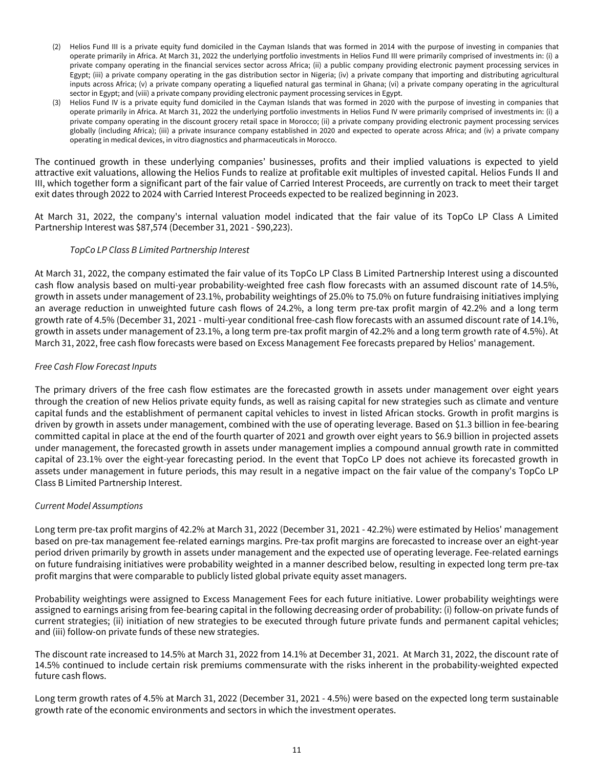- (2) Helios Fund III is a private equity fund domiciled in the Cayman Islands that was formed in 2014 with the purpose of investing in companies that operate primarily in Africa. At March 31, 2022 the underlying portfolio investments in Helios Fund III were primarily comprised of investments in: (i) a private company operating in the financial services sector across Africa; (ii) a public company providing electronic payment processing services in Egypt; (iii) a private company operating in the gas distribution sector in Nigeria; (iv) a private company that importing and distributing agricultural inputs across Africa; (v) a private company operating a liquefied natural gas terminal in Ghana; (vi) a private company operating in the agricultural sector in Egypt; and (viii) a private company providing electronic payment processing services in Egypt.
- (3) Helios Fund IV is a private equity fund domiciled in the Cayman Islands that was formed in 2020 with the purpose of investing in companies that operate primarily in Africa. At March 31, 2022 the underlying portfolio investments in Helios Fund IV were primarily comprised of investments in: (i) a private company operating in the discount grocery retail space in Morocco; (ii) a private company providing electronic payment processing services globally (including Africa); (iii) a private insurance company established in 2020 and expected to operate across Africa; and (iv) a private company operating in medical devices, in vitro diagnostics and pharmaceuticals in Morocco.

The continued growth in these underlying companies' businesses, profits and their implied valuations is expected to yield attractive exit valuations, allowing the Helios Funds to realize at profitable exit multiples of invested capital. Helios Funds II and III, which together form a significant part of the fair value of Carried Interest Proceeds, are currently on track to meet their target exit dates through 2022 to 2024 with Carried Interest Proceeds expected to be realized beginning in 2023.

At March 31, 2022, the company's internal valuation model indicated that the fair value of its TopCo LP Class A Limited Partnership Interest was \$87,574 (December 31, 2021 - \$90,223).

## TopCo LP Class B Limited Partnership Interest

At March 31, 2022, the company estimated the fair value of its TopCo LP Class B Limited Partnership Interest using a discounted cash flow analysis based on multi-year probability-weighted free cash flow forecasts with an assumed discount rate of 14.5%, growth in assets under management of 23.1%, probability weightings of 25.0% to 75.0% on future fundraising initiatives implying an average reduction in unweighted future cash flows of 24.2%, a long term pre-tax profit margin of 42.2% and a long term growth rate of 4.5% (December 31, 2021 - multi-year conditional free-cash flow forecasts with an assumed discount rate of 14.1%, growth in assets under management of 23.1%, a long term pre-tax profit margin of 42.2% and a long term growth rate of 4.5%). At March 31, 2022, free cash flow forecasts were based on Excess Management Fee forecasts prepared by Helios' management.

## Free Cash Flow Forecast Inputs

The primary drivers of the free cash flow estimates are the forecasted growth in assets under management over eight years through the creation of new Helios private equity funds, as well as raising capital for new strategies such as climate and venture capital funds and the establishment of permanent capital vehicles to invest in listed African stocks. Growth in profit margins is driven by growth in assets under management, combined with the use of operating leverage. Based on \$1.3 billion in fee-bearing committed capital in place at the end of the fourth quarter of 2021 and growth over eight years to \$6.9 billion in projected assets under management, the forecasted growth in assets under management implies a compound annual growth rate in committed capital of 23.1% over the eight-year forecasting period. In the event that TopCo LP does not achieve its forecasted growth in assets under management in future periods, this may result in a negative impact on the fair value of the company's TopCo LP Class B Limited Partnership Interest.

### Current Model Assumptions

Long term pre-tax profit margins of 42.2% at March 31, 2022 (December 31, 2021 - 42.2%) were estimated by Helios' management based on pre-tax management fee-related earnings margins. Pre-tax profit margins are forecasted to increase over an eight-year period driven primarily by growth in assets under management and the expected use of operating leverage. Fee-related earnings on future fundraising initiatives were probability weighted in a manner described below, resulting in expected long term pre-tax profit margins that were comparable to publicly listed global private equity asset managers.

Probability weightings were assigned to Excess Management Fees for each future initiative. Lower probability weightings were assigned to earnings arising from fee-bearing capital in the following decreasing order of probability: (i) follow-on private funds of current strategies; (ii) initiation of new strategies to be executed through future private funds and permanent capital vehicles; and (iii) follow-on private funds of these new strategies.

The discount rate increased to 14.5% at March 31, 2022 from 14.1% at December 31, 2021. At March 31, 2022, the discount rate of 14.5% continued to include certain risk premiums commensurate with the risks inherent in the probability-weighted expected future cash flows.

Long term growth rates of 4.5% at March 31, 2022 (December 31, 2021 - 4.5%) were based on the expected long term sustainable growth rate of the economic environments and sectors in which the investment operates.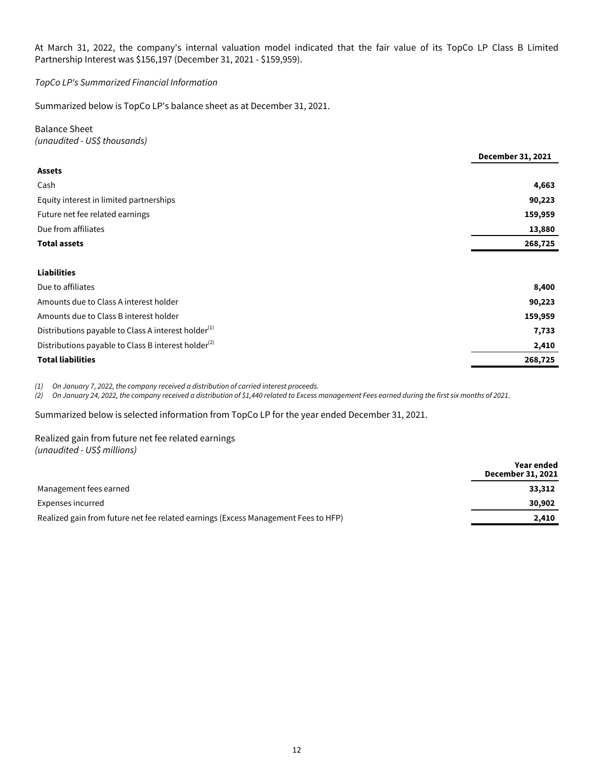At March 31, 2022, the company's internal valuation model indicated that the fair value of its TopCo LP Class B Limited Partnership Interest was \$156,197 (December 31, 2021 - \$159,959).

TopCo LP's Summarized Financial Information

Summarized below is TopCo LP's balance sheet as at December 31, 2021.

Balance Sheet (unaudited - US\$ thousands)

|                                                                 | <b>December 31, 2021</b> |
|-----------------------------------------------------------------|--------------------------|
| <b>Assets</b>                                                   |                          |
| Cash                                                            | 4,663                    |
| Equity interest in limited partnerships                         | 90,223                   |
| Future net fee related earnings                                 | 159,959                  |
| Due from affiliates                                             | 13,880                   |
| <b>Total assets</b>                                             | 268,725                  |
|                                                                 |                          |
| <b>Liabilities</b>                                              |                          |
| Due to affiliates                                               | 8,400                    |
| Amounts due to Class A interest holder                          | 90,223                   |
| Amounts due to Class B interest holder                          | 159,959                  |
| Distributions payable to Class A interest holder <sup>(1)</sup> | 7,733                    |
| Distributions payable to Class B interest holder <sup>(2)</sup> | 2,410                    |
| <b>Total liabilities</b>                                        | 268,725                  |
|                                                                 |                          |

(1) On January 7, 2022, the company received a distribution of carried interest proceeds.

(2) On January 24, 2022, the company received a distribution of \$1,440 related to Excess management Fees earned during the first six months of 2021.

Summarized below is selected information from TopCo LP for the year ended December 31, 2021.

Realized gain from future net fee related earnings (unaudited - US\$ millions)

|                                                                                    | Year ended<br>December 31, 2021 |
|------------------------------------------------------------------------------------|---------------------------------|
| Management fees earned                                                             | 33,312                          |
| Expenses incurred                                                                  | 30,902                          |
| Realized gain from future net fee related earnings (Excess Management Fees to HFP) | 2.410                           |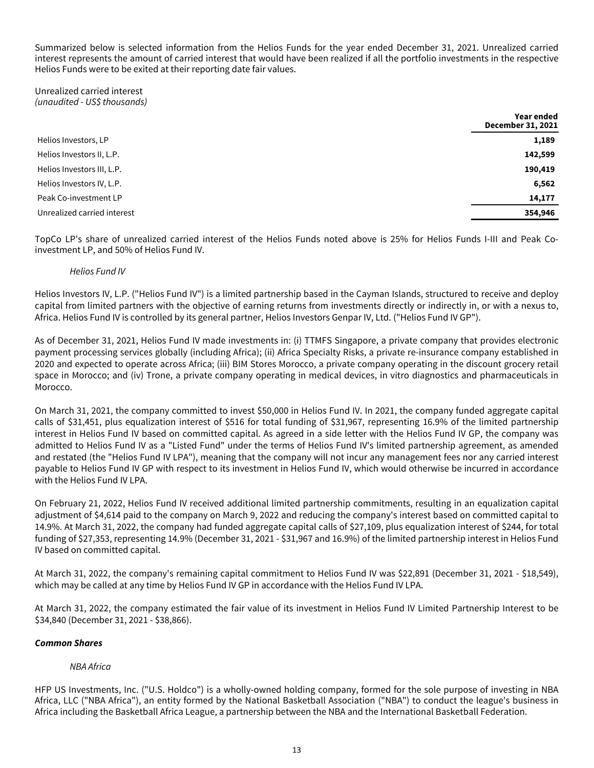Summarized below is selected information from the Helios Funds for the year ended December 31, 2021. Unrealized carried interest represents the amount of carried interest that would have been realized if all the portfolio investments in the respective Helios Funds were to be exited at their reporting date fair values.

Unrealized carried interest (unaudited - US\$ thousands)

|                             | Year ended<br><b>December 31, 2021</b> |
|-----------------------------|----------------------------------------|
| Helios Investors, LP        | 1,189                                  |
| Helios Investors II, L.P.   | 142,599                                |
| Helios Investors III, L.P.  | 190,419                                |
| Helios Investors IV, L.P.   | 6,562                                  |
| Peak Co-investment LP       | 14,177                                 |
| Unrealized carried interest | 354,946                                |

TopCo LP's share of unrealized carried interest of the Helios Funds noted above is 25% for Helios Funds I-III and Peak Coinvestment LP, and 50% of Helios Fund IV.

## Helios Fund IV

Helios Investors IV, L.P. ("Helios Fund IV") is a limited partnership based in the Cayman Islands, structured to receive and deploy capital from limited partners with the objective of earning returns from investments directly or indirectly in, or with a nexus to, Africa. Helios Fund IV is controlled by its general partner, Helios Investors Genpar IV, Ltd. ("Helios Fund IV GP").

As of December 31, 2021, Helios Fund IV made investments in: (i) TTMFS Singapore, a private company that provides electronic payment processing services globally (including Africa); (ii) Africa Specialty Risks, a private re-insurance company established in 2020 and expected to operate across Africa; (iii) BIM Stores Morocco, a private company operating in the discount grocery retail space in Morocco; and (iv) Trone, a private company operating in medical devices, in vitro diagnostics and pharmaceuticals in Morocco.

On March 31, 2021, the company committed to invest \$50,000 in Helios Fund IV. In 2021, the company funded aggregate capital calls of \$31,451, plus equalization interest of \$516 for total funding of \$31,967, representing 16.9% of the limited partnership interest in Helios Fund IV based on committed capital. As agreed in a side letter with the Helios Fund IV GP, the company was admitted to Helios Fund IV as a "Listed Fund" under the terms of Helios Fund IV's limited partnership agreement, as amended and restated (the "Helios Fund IV LPA"), meaning that the company will not incur any management fees nor any carried interest payable to Helios Fund IV GP with respect to its investment in Helios Fund IV, which would otherwise be incurred in accordance with the Helios Fund IV LPA.

On February 21, 2022, Helios Fund IV received additional limited partnership commitments, resulting in an equalization capital adjustment of \$4,614 paid to the company on March 9, 2022 and reducing the company's interest based on committed capital to 14.9%. At March 31, 2022, the company had funded aggregate capital calls of \$27,109, plus equalization interest of \$244, for total funding of \$27,353, representing 14.9% (December 31, 2021 - \$31,967 and 16.9%) of the limited partnership interest in Helios Fund IV based on committed capital.

At March 31, 2022, the company's remaining capital commitment to Helios Fund IV was \$22,891 (December 31, 2021 - \$18,549), which may be called at any time by Helios Fund IV GP in accordance with the Helios Fund IV LPA.

At March 31, 2022, the company estimated the fair value of its investment in Helios Fund IV Limited Partnership Interest to be \$34,840 (December 31, 2021 - \$38,866).

### **Common Shares**

# NBA Africa

HFP US Investments, Inc. ("U.S. Holdco") is a wholly-owned holding company, formed for the sole purpose of investing in NBA Africa, LLC ("NBA Africa"), an entity formed by the National Basketball Association ("NBA") to conduct the league's business in Africa including the Basketball Africa League, a partnership between the NBA and the International Basketball Federation.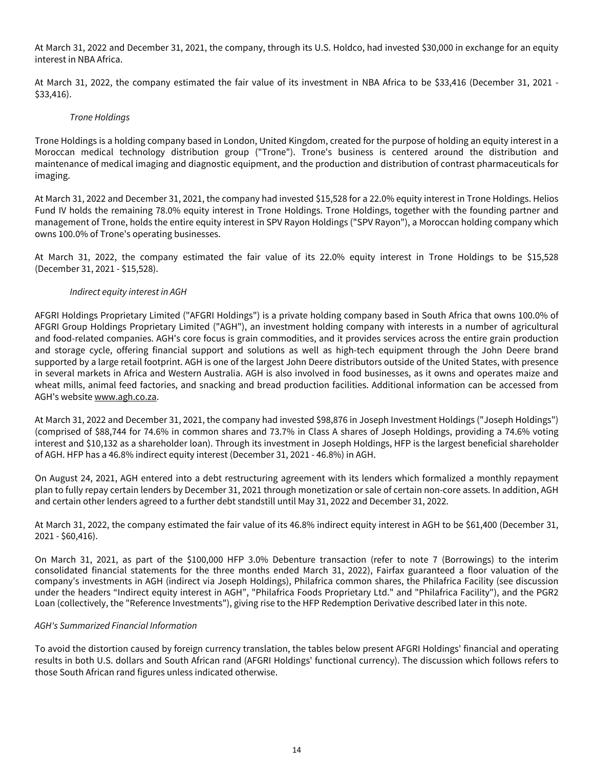At March 31, 2022 and December 31, 2021, the company, through its U.S. Holdco, had invested \$30,000 in exchange for an equity interest in NBA Africa.

At March 31, 2022, the company estimated the fair value of its investment in NBA Africa to be \$33,416 (December 31, 2021 - \$33,416).

### Trone Holdings

Trone Holdings is a holding company based in London, United Kingdom, created for the purpose of holding an equity interest in a Moroccan medical technology distribution group ("Trone"). Trone's business is centered around the distribution and maintenance of medical imaging and diagnostic equipment, and the production and distribution of contrast pharmaceuticals for imaging.

At March 31, 2022 and December 31, 2021, the company had invested \$15,528 for a 22.0% equity interest in Trone Holdings. Helios Fund IV holds the remaining 78.0% equity interest in Trone Holdings. Trone Holdings, together with the founding partner and management of Trone, holds the entire equity interest in SPV Rayon Holdings ("SPV Rayon"), a Moroccan holding company which owns 100.0% of Trone's operating businesses.

At March 31, 2022, the company estimated the fair value of its 22.0% equity interest in Trone Holdings to be \$15,528 (December 31, 2021 - \$15,528).

### Indirect equity interest in AGH

AFGRI Holdings Proprietary Limited ("AFGRI Holdings") is a private holding company based in South Africa that owns 100.0% of AFGRI Group Holdings Proprietary Limited ("AGH"), an investment holding company with interests in a number of agricultural and food-related companies. AGH's core focus is grain commodities, and it provides services across the entire grain production and storage cycle, offering financial support and solutions as well as high-tech equipment through the John Deere brand supported by a large retail footprint. AGH is one of the largest John Deere distributors outside of the United States, with presence in several markets in Africa and Western Australia. AGH is also involved in food businesses, as it owns and operates maize and wheat mills, animal feed factories, and snacking and bread production facilities. Additional information can be accessed from AGH's website www.agh.co.za.

At March 31, 2022 and December 31, 2021, the company had invested \$98,876 in Joseph Investment Holdings ("Joseph Holdings") (comprised of \$88,744 for 74.6% in common shares and 73.7% in Class A shares of Joseph Holdings, providing a 74.6% voting interest and \$10,132 as a shareholder loan). Through its investment in Joseph Holdings, HFP is the largest beneficial shareholder of AGH. HFP has a 46.8% indirect equity interest (December 31, 2021 - 46.8%) in AGH.

On August 24, 2021, AGH entered into a debt restructuring agreement with its lenders which formalized a monthly repayment plan to fully repay certain lenders by December 31, 2021 through monetization or sale of certain non-core assets. In addition, AGH and certain other lenders agreed to a further debt standstill until May 31, 2022 and December 31, 2022.

At March 31, 2022, the company estimated the fair value of its 46.8% indirect equity interest in AGH to be \$61,400 (December 31, 2021 - \$60,416).

On March 31, 2021, as part of the \$100,000 HFP 3.0% Debenture transaction (refer to note 7 (Borrowings) to the interim consolidated financial statements for the three months ended March 31, 2022), Fairfax guaranteed a floor valuation of the company's investments in AGH (indirect via Joseph Holdings), Philafrica common shares, the Philafrica Facility (see discussion under the headers "Indirect equity interest in AGH", "Philafrica Foods Proprietary Ltd." and "Philafrica Facility"), and the PGR2 Loan (collectively, the "Reference Investments"), giving rise to the HFP Redemption Derivative described later in this note.

### AGH's Summarized Financial Information

To avoid the distortion caused by foreign currency translation, the tables below present AFGRI Holdings' financial and operating results in both U.S. dollars and South African rand (AFGRI Holdings' functional currency). The discussion which follows refers to those South African rand figures unless indicated otherwise.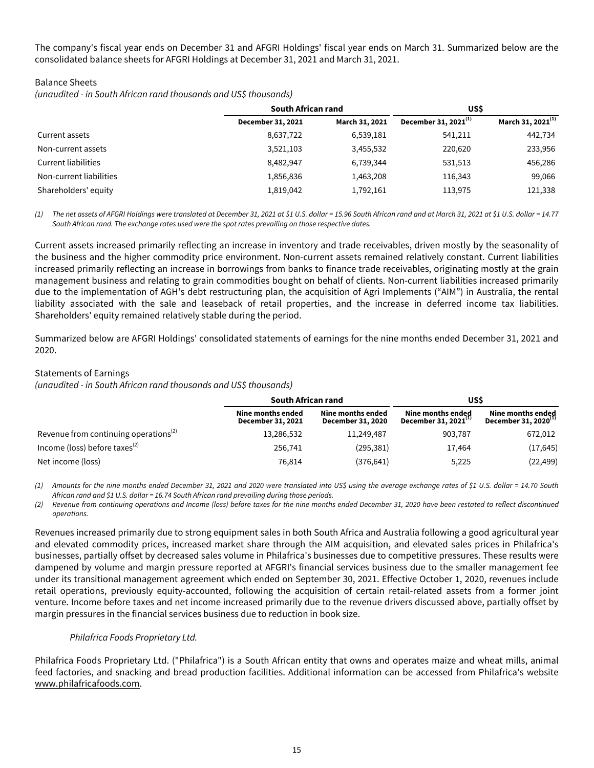The company's fiscal year ends on December 31 and AFGRI Holdings' fiscal year ends on March 31. Summarized below are the consolidated balance sheets for AFGRI Holdings at December 31, 2021 and March 31, 2021.

### Balance Sheets

(unaudited - in South African rand thousands and US\$ thousands)

|                            | South African rand |                | US\$                 |                               |
|----------------------------|--------------------|----------------|----------------------|-------------------------------|
|                            | December 31, 2021  | March 31, 2021 | December 31, 2021(1) | March 31, 2021 <sup>(1)</sup> |
| Current assets             | 8,637,722          | 6,539,181      | 541,211              | 442,734                       |
| Non-current assets         | 3,521,103          | 3,455,532      | 220,620              | 233,956                       |
| <b>Current liabilities</b> | 8,482,947          | 6,739,344      | 531,513              | 456,286                       |
| Non-current liabilities    | 1,856,836          | 1,463,208      | 116,343              | 99,066                        |
| Shareholders' equity       | 1,819,042          | 1,792,161      | 113,975              | 121,338                       |

(1) The net assets of AFGRI Holdings were translated at December 31, 2021 at \$1 U.S. dollar = 15.96 South African rand and at March 31, 2021 at \$1 U.S. dollar = 14.77 South African rand. The exchange rates used were the spot rates prevailing on those respective dates.

Current assets increased primarily reflecting an increase in inventory and trade receivables, driven mostly by the seasonality of the business and the higher commodity price environment. Non-current assets remained relatively constant. Current liabilities increased primarily reflecting an increase in borrowings from banks to finance trade receivables, originating mostly at the grain management business and relating to grain commodities bought on behalf of clients. Non-current liabilities increased primarily due to the implementation of AGH's debt restructuring plan, the acquisition of Agri Implements ("AIM") in Australia, the rental liability associated with the sale and leaseback of retail properties, and the increase in deferred income tax liabilities. Shareholders' equity remained relatively stable during the period.

Summarized below are AFGRI Holdings' consolidated statements of earnings for the nine months ended December 31, 2021 and 2020.

## Statements of Earnings

(unaudited - in South African rand thousands and US\$ thousands)

|                                                   | South African rand                     |                                        | US\$                                      |                                                 |  |
|---------------------------------------------------|----------------------------------------|----------------------------------------|-------------------------------------------|-------------------------------------------------|--|
|                                                   | Nine months ended<br>December 31, 2021 | Nine months ended<br>December 31, 2020 | Nine months ended<br>December 31, 2021(1) | Nine months ended<br>December 31, 2020 $^{(1)}$ |  |
| Revenue from continuing operations <sup>(2)</sup> | 13,286,532                             | 11,249,487                             | 903,787                                   | 672,012                                         |  |
| Income (loss) before taxes <sup>(2)</sup>         | 256,741                                | (295, 381)                             | 17,464                                    | (17, 645)                                       |  |
| Net income (loss)                                 | 76,814                                 | (376, 641)                             | 5,225                                     | (22, 499)                                       |  |

(1) Amounts for the nine months ended December 31, 2021 and 2020 were translated into US\$ using the average exchange rates of \$1 U.S. dollar = 14.70 South African rand and \$1 U.S. dollar = 16.74 South African rand prevailing during those periods.

(2) Revenue from continuing operations and Income (loss) before taxes for the nine months ended December 31, 2020 have been restated to reflect discontinued operations.

Revenues increased primarily due to strong equipment sales in both South Africa and Australia following a good agricultural year and elevated commodity prices, increased market share through the AIM acquisition, and elevated sales prices in Philafrica's businesses, partially offset by decreased sales volume in Philafrica's businesses due to competitive pressures. These results were dampened by volume and margin pressure reported at AFGRI's financial services business due to the smaller management fee under its transitional management agreement which ended on September 30, 2021. Effective October 1, 2020, revenues include retail operations, previously equity-accounted, following the acquisition of certain retail-related assets from a former joint venture. Income before taxes and net income increased primarily due to the revenue drivers discussed above, partially offset by margin pressures in the financial services business due to reduction in book size.

# Philafrica Foods Proprietary Ltd.

Philafrica Foods Proprietary Ltd. ("Philafrica") is a South African entity that owns and operates maize and wheat mills, animal feed factories, and snacking and bread production facilities. Additional information can be accessed from Philafrica's website www.philafricafoods.com.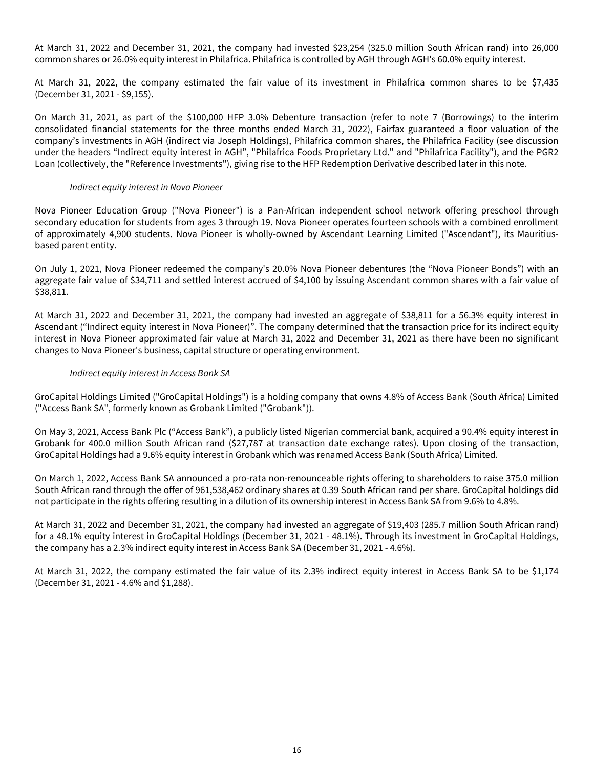At March 31, 2022 and December 31, 2021, the company had invested \$23,254 (325.0 million South African rand) into 26,000 common shares or 26.0% equity interest in Philafrica. Philafrica is controlled by AGH through AGH's 60.0% equity interest.

At March 31, 2022, the company estimated the fair value of its investment in Philafrica common shares to be \$7,435 (December 31, 2021 - \$9,155).

On March 31, 2021, as part of the \$100,000 HFP 3.0% Debenture transaction (refer to note 7 (Borrowings) to the interim consolidated financial statements for the three months ended March 31, 2022), Fairfax guaranteed a floor valuation of the company's investments in AGH (indirect via Joseph Holdings), Philafrica common shares, the Philafrica Facility (see discussion under the headers "Indirect equity interest in AGH", "Philafrica Foods Proprietary Ltd." and "Philafrica Facility"), and the PGR2 Loan (collectively, the "Reference Investments"), giving rise to the HFP Redemption Derivative described later in this note.

### Indirect equity interest in Nova Pioneer

Nova Pioneer Education Group ("Nova Pioneer") is a Pan-African independent school network offering preschool through secondary education for students from ages 3 through 19. Nova Pioneer operates fourteen schools with a combined enrollment of approximately 4,900 students. Nova Pioneer is wholly-owned by Ascendant Learning Limited ("Ascendant"), its Mauritiusbased parent entity.

On July 1, 2021, Nova Pioneer redeemed the company's 20.0% Nova Pioneer debentures (the "Nova Pioneer Bonds") with an aggregate fair value of \$34,711 and settled interest accrued of \$4,100 by issuing Ascendant common shares with a fair value of \$38,811.

At March 31, 2022 and December 31, 2021, the company had invested an aggregate of \$38,811 for a 56.3% equity interest in Ascendant ("Indirect equity interest in Nova Pioneer)". The company determined that the transaction price for its indirect equity interest in Nova Pioneer approximated fair value at March 31, 2022 and December 31, 2021 as there have been no significant changes to Nova Pioneer's business, capital structure or operating environment.

### Indirect equity interest in Access Bank SA

GroCapital Holdings Limited ("GroCapital Holdings") is a holding company that owns 4.8% of Access Bank (South Africa) Limited ("Access Bank SA", formerly known as Grobank Limited ("Grobank")).

On May 3, 2021, Access Bank Plc ("Access Bank"), a publicly listed Nigerian commercial bank, acquired a 90.4% equity interest in Grobank for 400.0 million South African rand (\$27,787 at transaction date exchange rates). Upon closing of the transaction, GroCapital Holdings had a 9.6% equity interest in Grobank which was renamed Access Bank (South Africa) Limited.

On March 1, 2022, Access Bank SA announced a pro-rata non-renounceable rights offering to shareholders to raise 375.0 million South African rand through the offer of 961,538,462 ordinary shares at 0.39 South African rand per share. GroCapital holdings did not participate in the rights offering resulting in a dilution of its ownership interest in Access Bank SA from 9.6% to 4.8%.

At March 31, 2022 and December 31, 2021, the company had invested an aggregate of \$19,403 (285.7 million South African rand) for a 48.1% equity interest in GroCapital Holdings (December 31, 2021 - 48.1%). Through its investment in GroCapital Holdings, the company has a 2.3% indirect equity interest in Access Bank SA (December 31, 2021 - 4.6%).

At March 31, 2022, the company estimated the fair value of its 2.3% indirect equity interest in Access Bank SA to be \$1,174 (December 31, 2021 - 4.6% and \$1,288).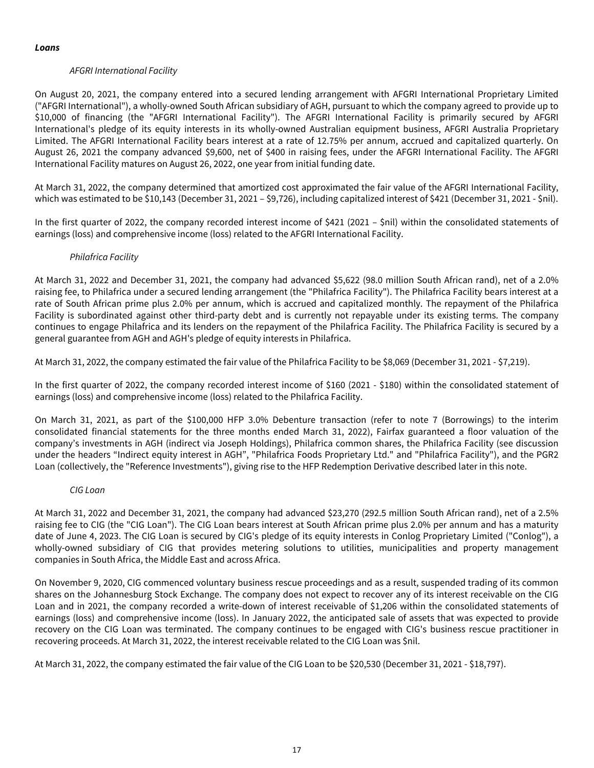## AFGRI International Facility

On August 20, 2021, the company entered into a secured lending arrangement with AFGRI International Proprietary Limited ("AFGRI International"), a wholly-owned South African subsidiary of AGH, pursuant to which the company agreed to provide up to \$10,000 of financing (the "AFGRI International Facility"). The AFGRI International Facility is primarily secured by AFGRI International's pledge of its equity interests in its wholly-owned Australian equipment business, AFGRI Australia Proprietary Limited. The AFGRI International Facility bears interest at a rate of 12.75% per annum, accrued and capitalized quarterly. On August 26, 2021 the company advanced \$9,600, net of \$400 in raising fees, under the AFGRI International Facility. The AFGRI International Facility matures on August 26, 2022, one year from initial funding date.

At March 31, 2022, the company determined that amortized cost approximated the fair value of the AFGRI International Facility, which was estimated to be \$10,143 (December 31, 2021 – \$9,726), including capitalized interest of \$421 (December 31, 2021 - \$nil).

In the first quarter of 2022, the company recorded interest income of \$421 (2021 – \$nil) within the consolidated statements of earnings (loss) and comprehensive income (loss) related to the AFGRI International Facility.

### Philafrica Facility

At March 31, 2022 and December 31, 2021, the company had advanced \$5,622 (98.0 million South African rand), net of a 2.0% raising fee, to Philafrica under a secured lending arrangement (the "Philafrica Facility"). The Philafrica Facility bears interest at a rate of South African prime plus 2.0% per annum, which is accrued and capitalized monthly. The repayment of the Philafrica Facility is subordinated against other third-party debt and is currently not repayable under its existing terms. The company continues to engage Philafrica and its lenders on the repayment of the Philafrica Facility. The Philafrica Facility is secured by a general guarantee from AGH and AGH's pledge of equity interests in Philafrica.

At March 31, 2022, the company estimated the fair value of the Philafrica Facility to be \$8,069 (December 31, 2021 - \$7,219).

In the first quarter of 2022, the company recorded interest income of \$160 (2021 - \$180) within the consolidated statement of earnings (loss) and comprehensive income (loss) related to the Philafrica Facility.

On March 31, 2021, as part of the \$100,000 HFP 3.0% Debenture transaction (refer to note 7 (Borrowings) to the interim consolidated financial statements for the three months ended March 31, 2022), Fairfax guaranteed a floor valuation of the company's investments in AGH (indirect via Joseph Holdings), Philafrica common shares, the Philafrica Facility (see discussion under the headers "Indirect equity interest in AGH", "Philafrica Foods Proprietary Ltd." and "Philafrica Facility"), and the PGR2 Loan (collectively, the "Reference Investments"), giving rise to the HFP Redemption Derivative described later in this note.

### CIG Loan

At March 31, 2022 and December 31, 2021, the company had advanced \$23,270 (292.5 million South African rand), net of a 2.5% raising fee to CIG (the "CIG Loan"). The CIG Loan bears interest at South African prime plus 2.0% per annum and has a maturity date of June 4, 2023. The CIG Loan is secured by CIG's pledge of its equity interests in Conlog Proprietary Limited ("Conlog"), a wholly-owned subsidiary of CIG that provides metering solutions to utilities, municipalities and property management companies in South Africa, the Middle East and across Africa.

On November 9, 2020, CIG commenced voluntary business rescue proceedings and as a result, suspended trading of its common shares on the Johannesburg Stock Exchange. The company does not expect to recover any of its interest receivable on the CIG Loan and in 2021, the company recorded a write-down of interest receivable of \$1,206 within the consolidated statements of earnings (loss) and comprehensive income (loss). In January 2022, the anticipated sale of assets that was expected to provide recovery on the CIG Loan was terminated. The company continues to be engaged with CIG's business rescue practitioner in recovering proceeds. At March 31, 2022, the interest receivable related to the CIG Loan was \$nil.

At March 31, 2022, the company estimated the fair value of the CIG Loan to be \$20,530 (December 31, 2021 - \$18,797).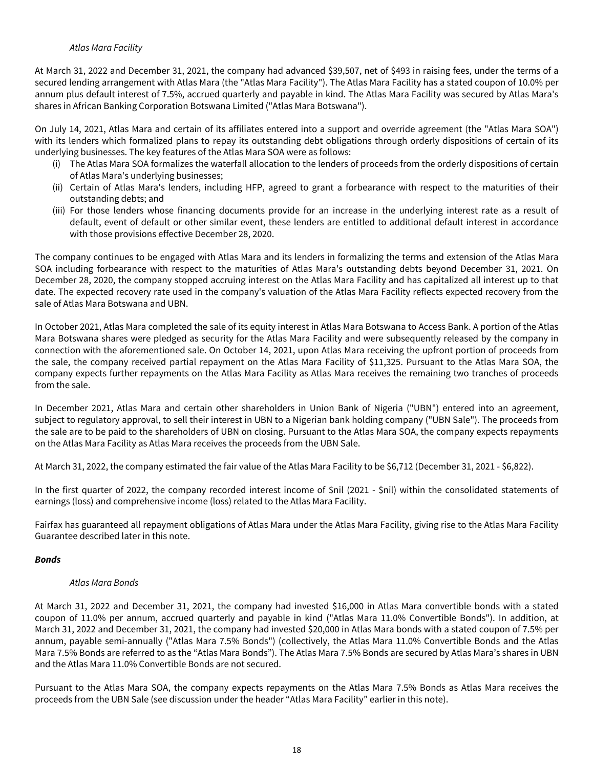### Atlas Mara Facility

At March 31, 2022 and December 31, 2021, the company had advanced \$39,507, net of \$493 in raising fees, under the terms of a secured lending arrangement with Atlas Mara (the "Atlas Mara Facility"). The Atlas Mara Facility has a stated coupon of 10.0% per annum plus default interest of 7.5%, accrued quarterly and payable in kind. The Atlas Mara Facility was secured by Atlas Mara's shares in African Banking Corporation Botswana Limited ("Atlas Mara Botswana").

On July 14, 2021, Atlas Mara and certain of its affiliates entered into a support and override agreement (the "Atlas Mara SOA") with its lenders which formalized plans to repay its outstanding debt obligations through orderly dispositions of certain of its underlying businesses. The key features of the Atlas Mara SOA were as follows:

- (i) The Atlas Mara SOA formalizes the waterfall allocation to the lenders of proceeds from the orderly dispositions of certain of Atlas Mara's underlying businesses;
- (ii) Certain of Atlas Mara's lenders, including HFP, agreed to grant a forbearance with respect to the maturities of their outstanding debts; and
- (iii) For those lenders whose financing documents provide for an increase in the underlying interest rate as a result of default, event of default or other similar event, these lenders are entitled to additional default interest in accordance with those provisions effective December 28, 2020.

The company continues to be engaged with Atlas Mara and its lenders in formalizing the terms and extension of the Atlas Mara SOA including forbearance with respect to the maturities of Atlas Mara's outstanding debts beyond December 31, 2021. On December 28, 2020, the company stopped accruing interest on the Atlas Mara Facility and has capitalized all interest up to that date. The expected recovery rate used in the company's valuation of the Atlas Mara Facility reflects expected recovery from the sale of Atlas Mara Botswana and UBN.

In October 2021, Atlas Mara completed the sale of its equity interest in Atlas Mara Botswana to Access Bank. A portion of the Atlas Mara Botswana shares were pledged as security for the Atlas Mara Facility and were subsequently released by the company in connection with the aforementioned sale. On October 14, 2021, upon Atlas Mara receiving the upfront portion of proceeds from the sale, the company received partial repayment on the Atlas Mara Facility of \$11,325. Pursuant to the Atlas Mara SOA, the company expects further repayments on the Atlas Mara Facility as Atlas Mara receives the remaining two tranches of proceeds from the sale.

In December 2021, Atlas Mara and certain other shareholders in Union Bank of Nigeria ("UBN") entered into an agreement, subject to regulatory approval, to sell their interest in UBN to a Nigerian bank holding company ("UBN Sale"). The proceeds from the sale are to be paid to the shareholders of UBN on closing. Pursuant to the Atlas Mara SOA, the company expects repayments on the Atlas Mara Facility as Atlas Mara receives the proceeds from the UBN Sale.

At March 31, 2022, the company estimated the fair value of the Atlas Mara Facility to be \$6,712 (December 31, 2021 - \$6,822).

In the first quarter of 2022, the company recorded interest income of \$nil (2021 - \$nil) within the consolidated statements of earnings (loss) and comprehensive income (loss) related to the Atlas Mara Facility.

Fairfax has guaranteed all repayment obligations of Atlas Mara under the Atlas Mara Facility, giving rise to the Atlas Mara Facility Guarantee described later in this note.

# **Bonds**

# Atlas Mara Bonds

At March 31, 2022 and December 31, 2021, the company had invested \$16,000 in Atlas Mara convertible bonds with a stated coupon of 11.0% per annum, accrued quarterly and payable in kind ("Atlas Mara 11.0% Convertible Bonds"). In addition, at March 31, 2022 and December 31, 2021, the company had invested \$20,000 in Atlas Mara bonds with a stated coupon of 7.5% per annum, payable semi-annually ("Atlas Mara 7.5% Bonds") (collectively, the Atlas Mara 11.0% Convertible Bonds and the Atlas Mara 7.5% Bonds are referred to as the "Atlas Mara Bonds"). The Atlas Mara 7.5% Bonds are secured by Atlas Mara's shares in UBN and the Atlas Mara 11.0% Convertible Bonds are not secured.

Pursuant to the Atlas Mara SOA, the company expects repayments on the Atlas Mara 7.5% Bonds as Atlas Mara receives the proceeds from the UBN Sale (see discussion under the header "Atlas Mara Facility" earlier in this note).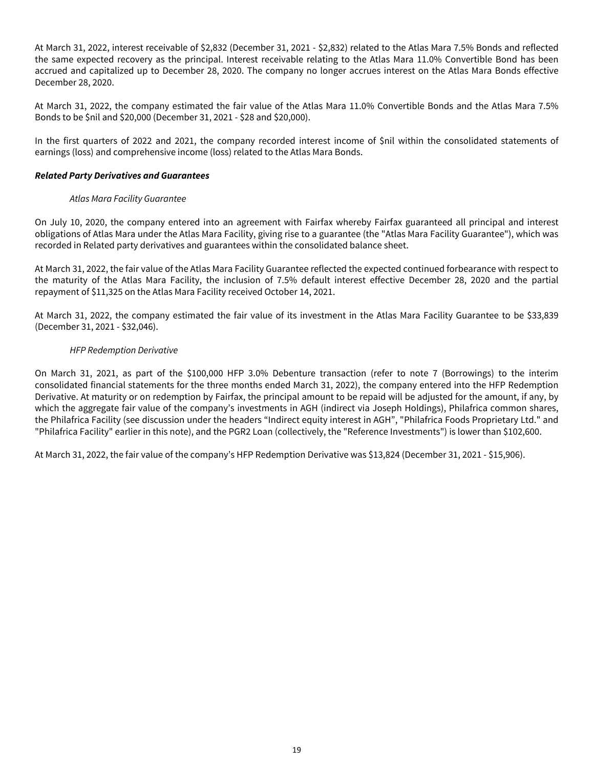At March 31, 2022, interest receivable of \$2,832 (December 31, 2021 - \$2,832) related to the Atlas Mara 7.5% Bonds and reflected the same expected recovery as the principal. Interest receivable relating to the Atlas Mara 11.0% Convertible Bond has been accrued and capitalized up to December 28, 2020. The company no longer accrues interest on the Atlas Mara Bonds effective December 28, 2020.

At March 31, 2022, the company estimated the fair value of the Atlas Mara 11.0% Convertible Bonds and the Atlas Mara 7.5% Bonds to be \$nil and \$20,000 (December 31, 2021 - \$28 and \$20,000).

In the first quarters of 2022 and 2021, the company recorded interest income of \$nil within the consolidated statements of earnings (loss) and comprehensive income (loss) related to the Atlas Mara Bonds.

### **Related Party Derivatives and Guarantees**

## Atlas Mara Facility Guarantee

On July 10, 2020, the company entered into an agreement with Fairfax whereby Fairfax guaranteed all principal and interest obligations of Atlas Mara under the Atlas Mara Facility, giving rise to a guarantee (the "Atlas Mara Facility Guarantee"), which was recorded in Related party derivatives and guarantees within the consolidated balance sheet.

At March 31, 2022, the fair value of the Atlas Mara Facility Guarantee reflected the expected continued forbearance with respect to the maturity of the Atlas Mara Facility, the inclusion of 7.5% default interest effective December 28, 2020 and the partial repayment of \$11,325 on the Atlas Mara Facility received October 14, 2021.

At March 31, 2022, the company estimated the fair value of its investment in the Atlas Mara Facility Guarantee to be \$33,839 (December 31, 2021 - \$32,046).

## HFP Redemption Derivative

On March 31, 2021, as part of the \$100,000 HFP 3.0% Debenture transaction (refer to note 7 (Borrowings) to the interim consolidated financial statements for the three months ended March 31, 2022), the company entered into the HFP Redemption Derivative. At maturity or on redemption by Fairfax, the principal amount to be repaid will be adjusted for the amount, if any, by which the aggregate fair value of the company's investments in AGH (indirect via Joseph Holdings), Philafrica common shares, the Philafrica Facility (see discussion under the headers "Indirect equity interest in AGH", "Philafrica Foods Proprietary Ltd." and "Philafrica Facility" earlier in this note), and the PGR2 Loan (collectively, the "Reference Investments") is lower than \$102,600.

At March 31, 2022, the fair value of the company's HFP Redemption Derivative was \$13,824 (December 31, 2021 - \$15,906).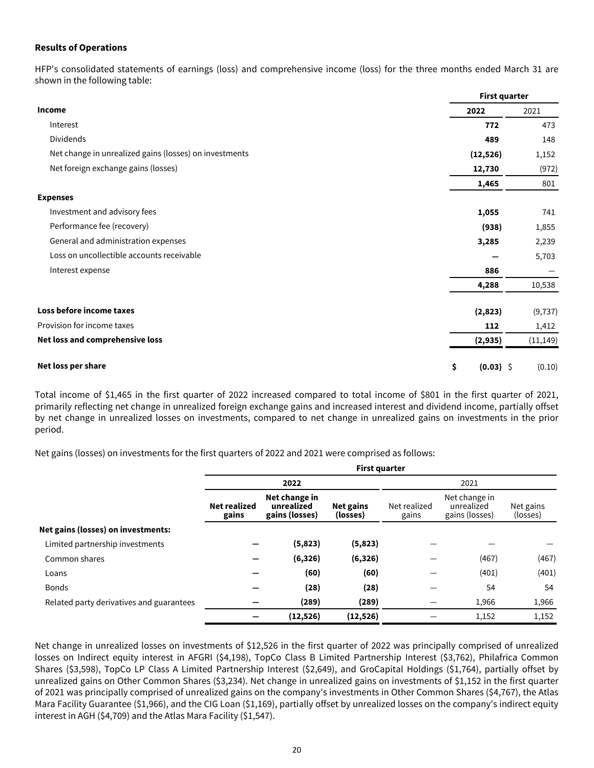### <span id="page-20-0"></span>**Results of Operations**

HFP's consolidated statements of earnings (loss) and comprehensive income (loss) for the three months ended March 31 are shown in the following table:

|                                                        | <b>First quarter</b> |           |  |  |
|--------------------------------------------------------|----------------------|-----------|--|--|
| Income                                                 | 2022                 | 2021      |  |  |
| Interest                                               | 772                  | 473       |  |  |
| Dividends                                              | 489                  | 148       |  |  |
| Net change in unrealized gains (losses) on investments | (12, 526)            | 1,152     |  |  |
| Net foreign exchange gains (losses)                    | 12,730               | (972)     |  |  |
|                                                        | 1,465                | 801       |  |  |
| <b>Expenses</b>                                        |                      |           |  |  |
| Investment and advisory fees                           | 1,055                | 741       |  |  |
| Performance fee (recovery)                             | (938)                | 1,855     |  |  |
| General and administration expenses                    | 3,285                | 2,239     |  |  |
| Loss on uncollectible accounts receivable              |                      | 5,703     |  |  |
| Interest expense                                       | 886                  |           |  |  |
|                                                        | 4,288                | 10,538    |  |  |
| Loss before income taxes                               | (2,823)              | (9, 737)  |  |  |
| Provision for income taxes                             | 112                  | 1,412     |  |  |
| Net loss and comprehensive loss                        | (2, 935)             | (11, 149) |  |  |
| Net loss per share                                     | \$<br>$(0.03)$ \$    | (0.10)    |  |  |

Total income of \$1,465 in the first quarter of 2022 increased compared to total income of \$801 in the first quarter of 2021, primarily reflecting net change in unrealized foreign exchange gains and increased interest and dividend income, partially offset by net change in unrealized losses on investments, compared to net change in unrealized gains on investments in the prior period.

Net gains (losses) on investments for the first quarters of 2022 and 2021 were comprised as follows:

|                                          | <b>First quarter</b>         |                                               |                              |                       |                       |       |  |
|------------------------------------------|------------------------------|-----------------------------------------------|------------------------------|-----------------------|-----------------------|-------|--|
|                                          |                              | 2022                                          |                              |                       | 2021                  |       |  |
|                                          | <b>Net realized</b><br>gains | Net change in<br>unrealized<br>gains (losses) | <b>Net gains</b><br>(losses) | Net realized<br>gains | Net gains<br>(losses) |       |  |
| Net gains (losses) on investments:       |                              |                                               |                              |                       |                       |       |  |
| Limited partnership investments          |                              | (5,823)                                       | (5,823)                      |                       |                       |       |  |
| Common shares                            |                              | (6, 326)                                      | (6, 326)                     |                       | (467)                 | (467) |  |
| Loans                                    |                              | (60)                                          | (60)                         |                       | (401)                 | (401) |  |
| <b>Bonds</b>                             |                              | (28)                                          | (28)                         |                       | 54                    | 54    |  |
| Related party derivatives and guarantees |                              | (289)                                         | (289)                        |                       | 1,966                 | 1,966 |  |
|                                          |                              | (12, 526)                                     | (12, 526)                    |                       | 1,152                 | 1,152 |  |

Net change in unrealized losses on investments of \$12,526 in the first quarter of 2022 was principally comprised of unrealized losses on Indirect equity interest in AFGRI (\$4,198), TopCo Class B Limited Partnership Interest (\$3,762), Philafrica Common Shares (\$3,598), TopCo LP Class A Limited Partnership Interest (\$2,649), and GroCapital Holdings (\$1,764), partially offset by unrealized gains on Other Common Shares (\$3,234). Net change in unrealized gains on investments of \$1,152 in the first quarter of 2021 was principally comprised of unrealized gains on the company's investments in Other Common Shares (\$4,767), the Atlas Mara Facility Guarantee (\$1,966), and the CIG Loan (\$1,169), partially offset by unrealized losses on the company's indirect equity interest in AGH (\$4,709) and the Atlas Mara Facility (\$1,547).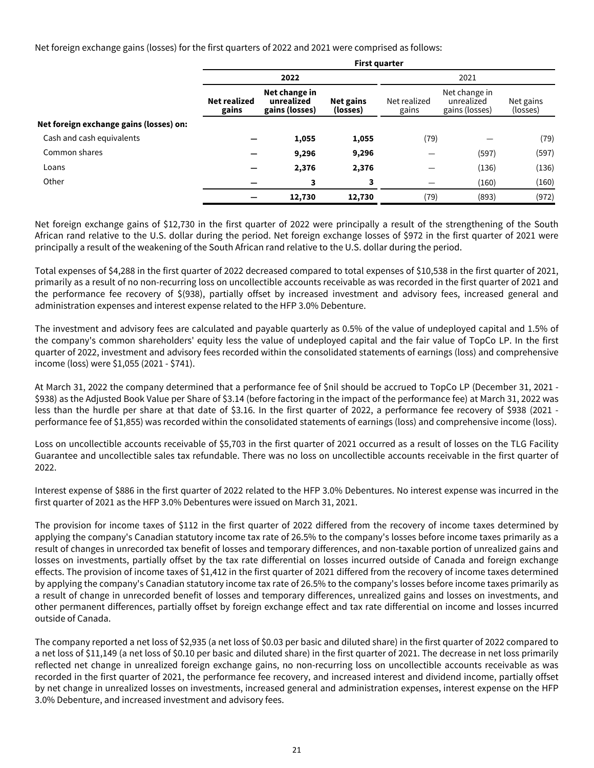Net foreign exchange gains (losses) for the first quarters of 2022 and 2021 were comprised as follows:

|                                         | <b>First quarter</b>                                                                                                            |        |        |                                               |                       |       |  |  |
|-----------------------------------------|---------------------------------------------------------------------------------------------------------------------------------|--------|--------|-----------------------------------------------|-----------------------|-------|--|--|
|                                         |                                                                                                                                 | 2022   |        |                                               | 2021                  |       |  |  |
|                                         | Net change in<br><b>Net realized</b><br>unrealized<br>Net gains<br>Net realized<br>gains (losses)<br>(losses)<br>gains<br>gains |        |        | Net change in<br>unrealized<br>gains (losses) | Net gains<br>(losses) |       |  |  |
| Net foreign exchange gains (losses) on: |                                                                                                                                 |        |        |                                               |                       |       |  |  |
| Cash and cash equivalents               |                                                                                                                                 | 1,055  | 1,055  | (79)                                          |                       | (79)  |  |  |
| Common shares                           |                                                                                                                                 | 9,296  | 9,296  |                                               | (597)                 | (597) |  |  |
| Loans                                   |                                                                                                                                 | 2,376  | 2,376  |                                               | (136)                 | (136) |  |  |
| Other                                   |                                                                                                                                 | 3      | 3      |                                               | (160)                 | (160) |  |  |
|                                         |                                                                                                                                 | 12,730 | 12,730 | (79)                                          | (893)                 | (972) |  |  |

Net foreign exchange gains of \$12,730 in the first quarter of 2022 were principally a result of the strengthening of the South African rand relative to the U.S. dollar during the period. Net foreign exchange losses of \$972 in the first quarter of 2021 were principally a result of the weakening of the South African rand relative to the U.S. dollar during the period.

Total expenses of \$4,288 in the first quarter of 2022 decreased compared to total expenses of \$10,538 in the first quarter of 2021, primarily as a result of no non-recurring loss on uncollectible accounts receivable as was recorded in the first quarter of 2021 and the performance fee recovery of \$(938), partially offset by increased investment and advisory fees, increased general and administration expenses and interest expense related to the HFP 3.0% Debenture.

The investment and advisory fees are calculated and payable quarterly as 0.5% of the value of undeployed capital and 1.5% of the company's common shareholders' equity less the value of undeployed capital and the fair value of TopCo LP. In the first quarter of 2022, investment and advisory fees recorded within the consolidated statements of earnings (loss) and comprehensive income (loss) were \$1,055 (2021 - \$741).

At March 31, 2022 the company determined that a performance fee of \$nil should be accrued to TopCo LP (December 31, 2021 - \$938) as the Adjusted Book Value per Share of \$3.14 (before factoring in the impact of the performance fee) at March 31, 2022 was less than the hurdle per share at that date of \$3.16. In the first quarter of 2022, a performance fee recovery of \$938 (2021 performance fee of \$1,855) was recorded within the consolidated statements of earnings (loss) and comprehensive income (loss).

Loss on uncollectible accounts receivable of \$5,703 in the first quarter of 2021 occurred as a result of losses on the TLG Facility Guarantee and uncollectible sales tax refundable. There was no loss on uncollectible accounts receivable in the first quarter of 2022.

Interest expense of \$886 in the first quarter of 2022 related to the HFP 3.0% Debentures. No interest expense was incurred in the first quarter of 2021 as the HFP 3.0% Debentures were issued on March 31, 2021.

The provision for income taxes of \$112 in the first quarter of 2022 differed from the recovery of income taxes determined by applying the company's Canadian statutory income tax rate of 26.5% to the company's losses before income taxes primarily as a result of changes in unrecorded tax benefit of losses and temporary differences, and non-taxable portion of unrealized gains and losses on investments, partially offset by the tax rate differential on losses incurred outside of Canada and foreign exchange effects. The provision of income taxes of \$1,412 in the first quarter of 2021 differed from the recovery of income taxes determined by applying the company's Canadian statutory income tax rate of 26.5% to the company's losses before income taxes primarily as a result of change in unrecorded benefit of losses and temporary differences, unrealized gains and losses on investments, and other permanent differences, partially offset by foreign exchange effect and tax rate differential on income and losses incurred outside of Canada.

The company reported a net loss of \$2,935 (a net loss of \$0.03 per basic and diluted share) in the first quarter of 2022 compared to a net loss of \$11,149 (a net loss of \$0.10 per basic and diluted share) in the first quarter of 2021. The decrease in net loss primarily reflected net change in unrealized foreign exchange gains, no non-recurring loss on uncollectible accounts receivable as was recorded in the first quarter of 2021, the performance fee recovery, and increased interest and dividend income, partially offset by net change in unrealized losses on investments, increased general and administration expenses, interest expense on the HFP 3.0% Debenture, and increased investment and advisory fees.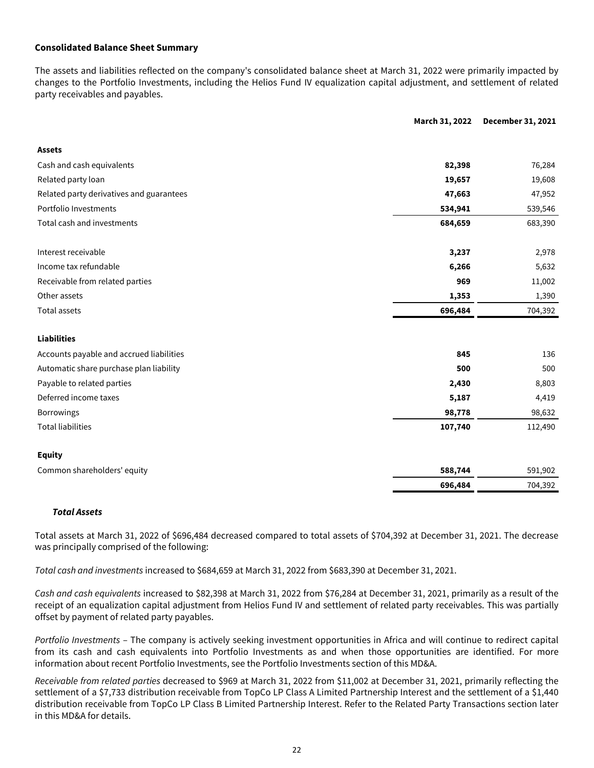### <span id="page-22-0"></span>**Consolidated Balance Sheet Summary**

The assets and liabilities reflected on the company's consolidated balance sheet at March 31, 2022 were primarily impacted by changes to the Portfolio Investments, including the Helios Fund IV equalization capital adjustment, and settlement of related party receivables and payables.

| March 31, 2022                           |         | December 31, 2021 |
|------------------------------------------|---------|-------------------|
| <b>Assets</b>                            |         |                   |
| Cash and cash equivalents                | 82,398  | 76,284            |
| Related party loan                       |         |                   |
|                                          | 19,657  | 19,608            |
| Related party derivatives and guarantees | 47,663  | 47,952            |
| Portfolio Investments                    | 534,941 | 539,546           |
| Total cash and investments               | 684,659 | 683,390           |
| Interest receivable                      | 3,237   | 2,978             |
| Income tax refundable                    | 6,266   | 5,632             |
| Receivable from related parties          | 969     | 11,002            |
| Other assets                             | 1,353   | 1,390             |
| <b>Total assets</b>                      | 696,484 | 704,392           |
|                                          |         |                   |
| <b>Liabilities</b>                       |         |                   |
| Accounts payable and accrued liabilities | 845     | 136               |
| Automatic share purchase plan liability  | 500     | 500               |
| Payable to related parties               | 2,430   | 8,803             |
| Deferred income taxes                    | 5,187   | 4,419             |
| Borrowings                               | 98,778  | 98,632            |
| <b>Total liabilities</b>                 | 107,740 | 112,490           |
| <b>Equity</b>                            |         |                   |
| Common shareholders' equity              | 588,744 | 591,902           |
|                                          | 696,484 | 704,392           |

### **Total Assets**

Total assets at March 31, 2022 of \$696,484 decreased compared to total assets of \$704,392 at December 31, 2021. The decrease was principally comprised of the following:

Total cash and investments increased to \$684,659 at March 31, 2022 from \$683,390 at December 31, 2021.

Cash and cash equivalents increased to \$82,398 at March 31, 2022 from \$76,284 at December 31, 2021, primarily as a result of the receipt of an equalization capital adjustment from Helios Fund IV and settlement of related party receivables. This was partially offset by payment of related party payables.

Portfolio Investments – The company is actively seeking investment opportunities in Africa and will continue to redirect capital from its cash and cash equivalents into Portfolio Investments as and when those opportunities are identified. For more information about recent Portfolio Investments, see the Portfolio Investments section of this MD&A.

Receivable from related parties decreased to \$969 at March 31, 2022 from \$11,002 at December 31, 2021, primarily reflecting the settlement of a \$7,733 distribution receivable from TopCo LP Class A Limited Partnership Interest and the settlement of a \$1,440 distribution receivable from TopCo LP Class B Limited Partnership Interest. Refer to the Related Party Transactions section later in this MD&A for details.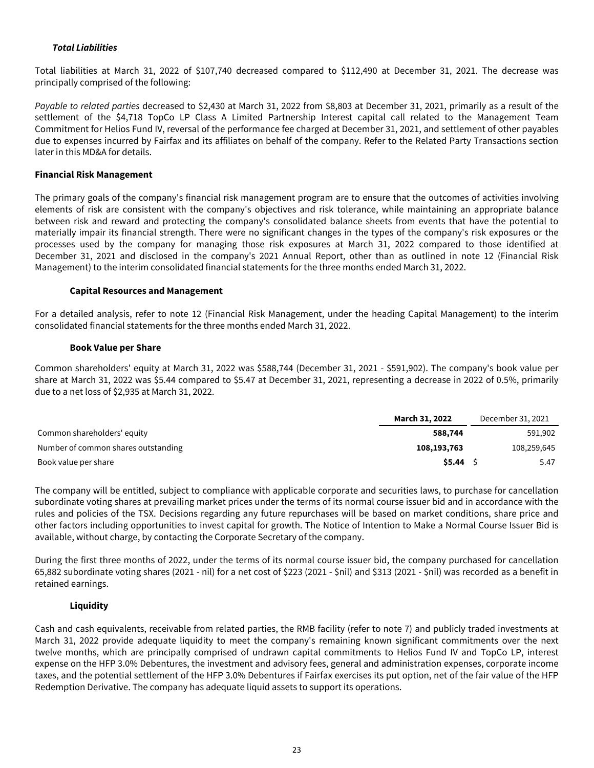## <span id="page-23-0"></span>**Total Liabilities**

Total liabilities at March 31, 2022 of \$107,740 decreased compared to \$112,490 at December 31, 2021. The decrease was principally comprised of the following:

Payable to related parties decreased to \$2,430 at March 31, 2022 from \$8,803 at December 31, 2021, primarily as a result of the settlement of the \$4,718 TopCo LP Class A Limited Partnership Interest capital call related to the Management Team Commitment for Helios Fund IV, reversal of the performance fee charged at December 31, 2021, and settlement of other payables due to expenses incurred by Fairfax and its affiliates on behalf of the company. Refer to the Related Party Transactions section later in this MD&A for details.

### **Financial Risk Management**

The primary goals of the company's financial risk management program are to ensure that the outcomes of activities involving elements of risk are consistent with the company's objectives and risk tolerance, while maintaining an appropriate balance between risk and reward and protecting the company's consolidated balance sheets from events that have the potential to materially impair its financial strength. There were no significant changes in the types of the company's risk exposures or the processes used by the company for managing those risk exposures at March 31, 2022 compared to those identified at December 31, 2021 and disclosed in the company's 2021 Annual Report, other than as outlined in note 12 (Financial Risk Management) to the interim consolidated financial statements for the three months ended March 31, 2022.

### **Capital Resources and Management**

For a detailed analysis, refer to note 12 (Financial Risk Management, under the heading Capital Management) to the interim consolidated financial statements for the three months ended March 31, 2022.

#### **Book Value per Share**

Common shareholders' equity at March 31, 2022 was \$588,744 (December 31, 2021 - \$591,902). The company's book value per share at March 31, 2022 was \$5.44 compared to \$5.47 at December 31, 2021, representing a decrease in 2022 of 0.5%, primarily due to a net loss of \$2,935 at March 31, 2022.

|                                     | March 31, 2022 | December 31, 2021 |
|-------------------------------------|----------------|-------------------|
| Common shareholders' equity         | 588,744        | 591,902           |
| Number of common shares outstanding | 108,193,763    | 108,259,645       |
| Book value per share                | \$5.44         | 5.47              |

The company will be entitled, subject to compliance with applicable corporate and securities laws, to purchase for cancellation subordinate voting shares at prevailing market prices under the terms of its normal course issuer bid and in accordance with the rules and policies of the TSX. Decisions regarding any future repurchases will be based on market conditions, share price and other factors including opportunities to invest capital for growth. The Notice of Intention to Make a Normal Course Issuer Bid is available, without charge, by contacting the Corporate Secretary of the company.

During the first three months of 2022, under the terms of its normal course issuer bid, the company purchased for cancellation 65,882 subordinate voting shares (2021 - nil) for a net cost of \$223 (2021 - \$nil) and \$313 (2021 - \$nil) was recorded as a benefit in retained earnings.

### **Liquidity**

Cash and cash equivalents, receivable from related parties, the RMB facility (refer to note 7) and publicly traded investments at March 31, 2022 provide adequate liquidity to meet the company's remaining known significant commitments over the next twelve months, which are principally comprised of undrawn capital commitments to Helios Fund IV and TopCo LP, interest expense on the HFP 3.0% Debentures, the investment and advisory fees, general and administration expenses, corporate income taxes, and the potential settlement of the HFP 3.0% Debentures if Fairfax exercises its put option, net of the fair value of the HFP Redemption Derivative. The company has adequate liquid assets to support its operations.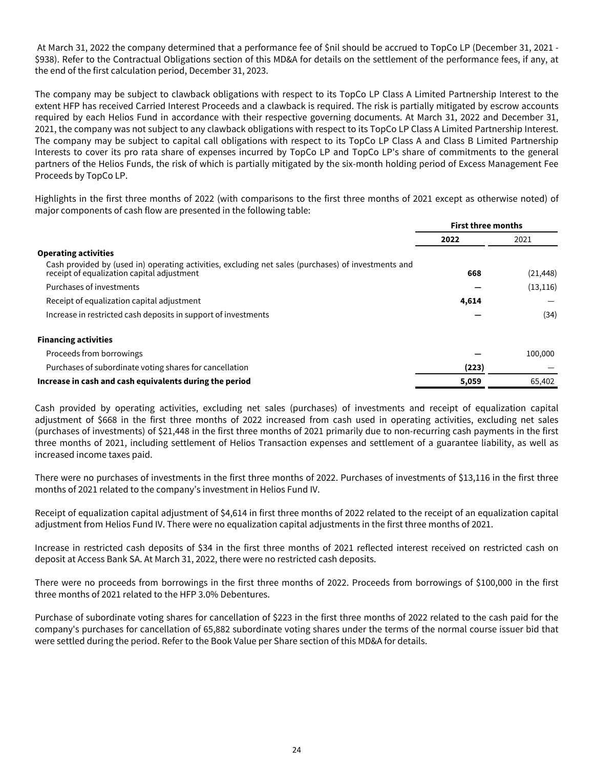At March 31, 2022 the company determined that a performance fee of \$nil should be accrued to TopCo LP (December 31, 2021 - \$938). Refer to the Contractual Obligations section of this MD&A for details on the settlement of the performance fees, if any, at the end of the first calculation period, December 31, 2023.

The company may be subject to clawback obligations with respect to its TopCo LP Class A Limited Partnership Interest to the extent HFP has received Carried Interest Proceeds and a clawback is required. The risk is partially mitigated by escrow accounts required by each Helios Fund in accordance with their respective governing documents. At March 31, 2022 and December 31, 2021, the company was not subject to any clawback obligations with respect to its TopCo LP Class A Limited Partnership Interest. The company may be subject to capital call obligations with respect to its TopCo LP Class A and Class B Limited Partnership Interests to cover its pro rata share of expenses incurred by TopCo LP and TopCo LP's share of commitments to the general partners of the Helios Funds, the risk of which is partially mitigated by the six-month holding period of Excess Management Fee Proceeds by TopCo LP.

Highlights in the first three months of 2022 (with comparisons to the first three months of 2021 except as otherwise noted) of major components of cash flow are presented in the following table:

|                                                                                                                                                   | <b>First three months</b> |           |  |
|---------------------------------------------------------------------------------------------------------------------------------------------------|---------------------------|-----------|--|
|                                                                                                                                                   | 2022                      | 2021      |  |
| <b>Operating activities</b>                                                                                                                       |                           |           |  |
| Cash provided by (used in) operating activities, excluding net sales (purchases) of investments and<br>receipt of equalization capital adjustment | 668                       | (21, 448) |  |
| Purchases of investments                                                                                                                          |                           | (13, 116) |  |
| Receipt of equalization capital adjustment                                                                                                        | 4,614                     |           |  |
| Increase in restricted cash deposits in support of investments                                                                                    |                           | (34)      |  |
| <b>Financing activities</b>                                                                                                                       |                           |           |  |
| Proceeds from borrowings                                                                                                                          |                           | 100,000   |  |
| Purchases of subordinate voting shares for cancellation                                                                                           | (223)                     |           |  |
| Increase in cash and cash equivalents during the period                                                                                           | 5,059                     | 65,402    |  |

Cash provided by operating activities, excluding net sales (purchases) of investments and receipt of equalization capital adjustment of \$668 in the first three months of 2022 increased from cash used in operating activities, excluding net sales (purchases of investments) of \$21,448 in the first three months of 2021 primarily due to non-recurring cash payments in the first three months of 2021, including settlement of Helios Transaction expenses and settlement of a guarantee liability, as well as increased income taxes paid.

There were no purchases of investments in the first three months of 2022. Purchases of investments of \$13,116 in the first three months of 2021 related to the company's investment in Helios Fund IV.

Receipt of equalization capital adjustment of \$4,614 in first three months of 2022 related to the receipt of an equalization capital adjustment from Helios Fund IV. There were no equalization capital adjustments in the first three months of 2021.

Increase in restricted cash deposits of \$34 in the first three months of 2021 reflected interest received on restricted cash on deposit at Access Bank SA. At March 31, 2022, there were no restricted cash deposits.

There were no proceeds from borrowings in the first three months of 2022. Proceeds from borrowings of \$100,000 in the first three months of 2021 related to the HFP 3.0% Debentures.

Purchase of subordinate voting shares for cancellation of \$223 in the first three months of 2022 related to the cash paid for the company's purchases for cancellation of 65,882 subordinate voting shares under the terms of the normal course issuer bid that were settled during the period. Refer to the Book Value per Share section of this MD&A for details.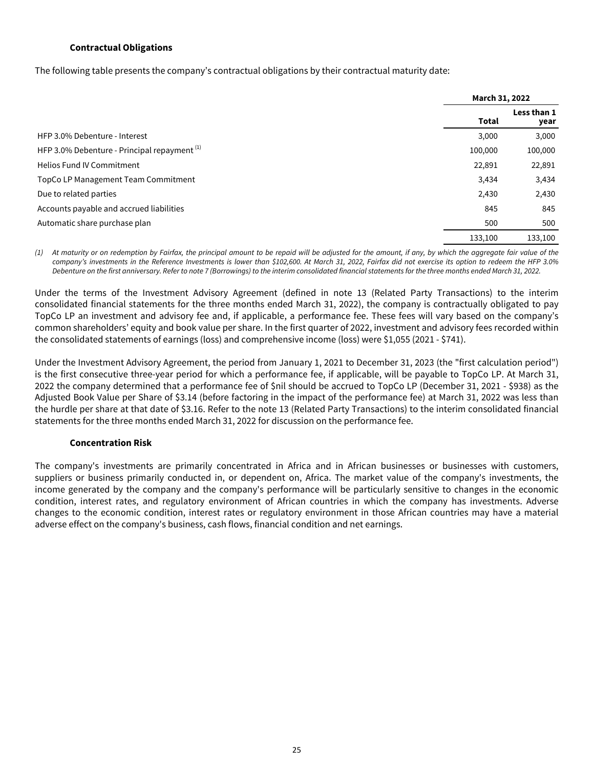### **Contractual Obligations**

<span id="page-25-0"></span>The following table presents the company's contractual obligations by their contractual maturity date:

|                                                         | March 31, 2022 |                     |
|---------------------------------------------------------|----------------|---------------------|
|                                                         | Total          | Less than 1<br>year |
| HFP 3.0% Debenture - Interest                           | 3,000          | 3,000               |
| HFP 3.0% Debenture - Principal repayment <sup>(1)</sup> | 100,000        | 100,000             |
| <b>Helios Fund IV Commitment</b>                        | 22,891         | 22,891              |
| TopCo LP Management Team Commitment                     | 3,434          | 3,434               |
| Due to related parties                                  | 2,430          | 2,430               |
| Accounts payable and accrued liabilities                | 845            | 845                 |
| Automatic share purchase plan                           | 500            | 500                 |
|                                                         | 133,100        | 133,100             |

At maturity or on redemption by Fairfax, the principal amount to be repaid will be adjusted for the amount, if any, by which the aggregate fair value of the company's investments in the Reference Investments is lower than \$102,600. At March 31, 2022, Fairfax did not exercise its option to redeem the HFP 3.0% Debenture on the first anniversary. Refer to note 7 (Borrowings) to the interim consolidated financial statements for the three months ended March 31, 2022.

Under the terms of the Investment Advisory Agreement (defined in note 13 (Related Party Transactions) to the interim consolidated financial statements for the three months ended March 31, 2022), the company is contractually obligated to pay TopCo LP an investment and advisory fee and, if applicable, a performance fee. These fees will vary based on the company's common shareholders' equity and book value per share. In the first quarter of 2022, investment and advisory fees recorded within the consolidated statements of earnings (loss) and comprehensive income (loss) were \$1,055 (2021 - \$741).

Under the Investment Advisory Agreement, the period from January 1, 2021 to December 31, 2023 (the "first calculation period") is the first consecutive three-year period for which a performance fee, if applicable, will be payable to TopCo LP. At March 31, 2022 the company determined that a performance fee of \$nil should be accrued to TopCo LP (December 31, 2021 - \$938) as the Adjusted Book Value per Share of \$3.14 (before factoring in the impact of the performance fee) at March 31, 2022 was less than the hurdle per share at that date of \$3.16. Refer to the note 13 (Related Party Transactions) to the interim consolidated financial statements for the three months ended March 31, 2022 for discussion on the performance fee.

### **Concentration Risk**

The company's investments are primarily concentrated in Africa and in African businesses or businesses with customers, suppliers or business primarily conducted in, or dependent on, Africa. The market value of the company's investments, the income generated by the company and the company's performance will be particularly sensitive to changes in the economic condition, interest rates, and regulatory environment of African countries in which the company has investments. Adverse changes to the economic condition, interest rates or regulatory environment in those African countries may have a material adverse effect on the company's business, cash flows, financial condition and net earnings.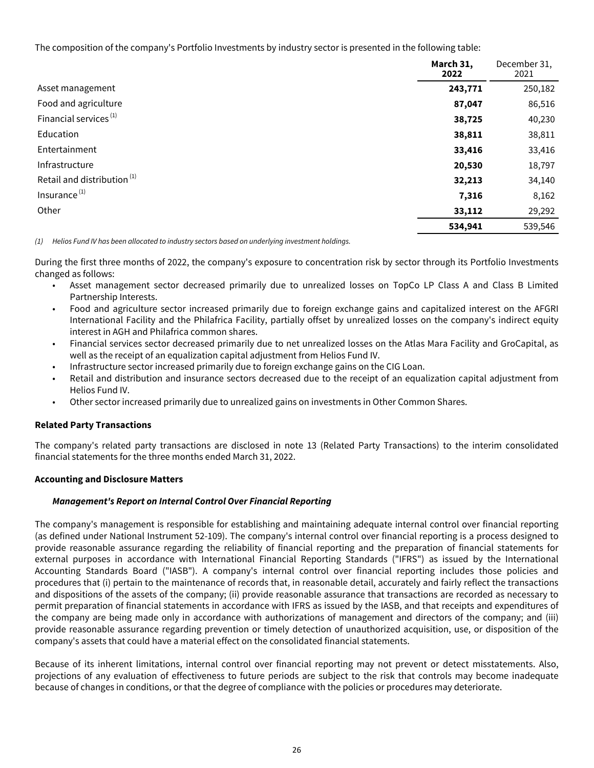<span id="page-26-0"></span>The composition of the company's Portfolio Investments by industry sector is presented in the following table:

|                                        | March 31,<br>2022 | December 31,<br>2021 |
|----------------------------------------|-------------------|----------------------|
| Asset management                       | 243,771           | 250,182              |
| Food and agriculture                   | 87,047            | 86,516               |
| Financial services <sup>(1)</sup>      | 38,725            | 40,230               |
| Education                              | 38,811            | 38,811               |
| Entertainment                          | 33,416            | 33,416               |
| Infrastructure                         | 20,530            | 18,797               |
| Retail and distribution <sup>(1)</sup> | 32,213            | 34,140               |
| Insurance <sup>(1)</sup>               | 7,316             | 8,162                |
| Other                                  | 33,112            | 29,292               |
|                                        | 534,941           | 539,546              |

(1) Helios Fund IV has been allocated to industry sectors based on underlying investment holdings.

During the first three months of 2022, the company's exposure to concentration risk by sector through its Portfolio Investments changed as follows:

- Asset management sector decreased primarily due to unrealized losses on TopCo LP Class A and Class B Limited Partnership Interests.
- Food and agriculture sector increased primarily due to foreign exchange gains and capitalized interest on the AFGRI International Facility and the Philafrica Facility, partially offset by unrealized losses on the company's indirect equity interest in AGH and Philafrica common shares.
- Financial services sector decreased primarily due to net unrealized losses on the Atlas Mara Facility and GroCapital, as well as the receipt of an equalization capital adjustment from Helios Fund IV.
- Infrastructure sector increased primarily due to foreign exchange gains on the CIG Loan.
- Retail and distribution and insurance sectors decreased due to the receipt of an equalization capital adjustment from Helios Fund IV.
- Other sector increased primarily due to unrealized gains on investments in Other Common Shares.

### **Related Party Transactions**

The company's related party transactions are disclosed in note 13 (Related Party Transactions) to the interim consolidated financial statements for the three months ended March 31, 2022.

### **Accounting and Disclosure Matters**

# **Management's Report on Internal Control Over Financial Reporting**

The company's management is responsible for establishing and maintaining adequate internal control over financial reporting (as defined under National Instrument 52-109). The company's internal control over financial reporting is a process designed to provide reasonable assurance regarding the reliability of financial reporting and the preparation of financial statements for external purposes in accordance with International Financial Reporting Standards ("IFRS") as issued by the International Accounting Standards Board ("IASB"). A company's internal control over financial reporting includes those policies and procedures that (i) pertain to the maintenance of records that, in reasonable detail, accurately and fairly reflect the transactions and dispositions of the assets of the company; (ii) provide reasonable assurance that transactions are recorded as necessary to permit preparation of financial statements in accordance with IFRS as issued by the IASB, and that receipts and expenditures of the company are being made only in accordance with authorizations of management and directors of the company; and (iii) provide reasonable assurance regarding prevention or timely detection of unauthorized acquisition, use, or disposition of the company's assets that could have a material effect on the consolidated financial statements.

Because of its inherent limitations, internal control over financial reporting may not prevent or detect misstatements. Also, projections of any evaluation of effectiveness to future periods are subject to the risk that controls may become inadequate because of changes in conditions, or that the degree of compliance with the policies or procedures may deteriorate.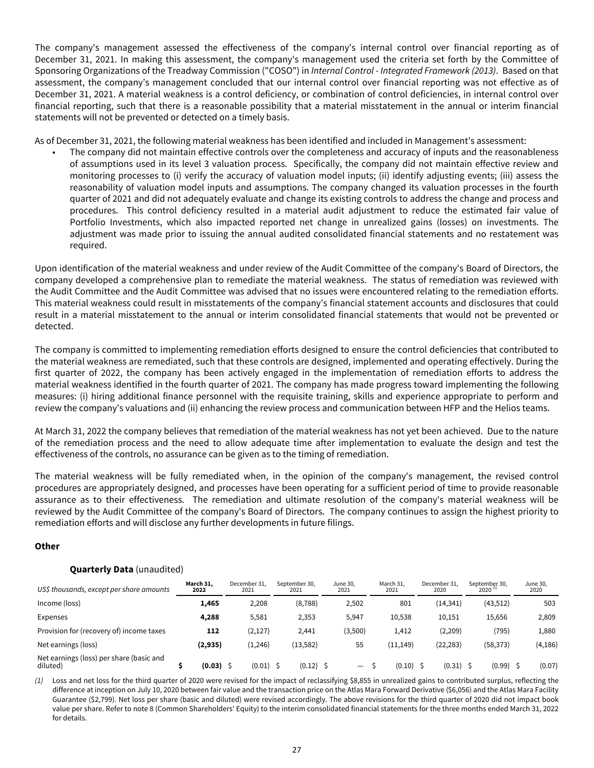<span id="page-27-0"></span>The company's management assessed the effectiveness of the company's internal control over financial reporting as of December 31, 2021. In making this assessment, the company's management used the criteria set forth by the Committee of Sponsoring Organizations of the Treadway Commission ("COSO") in Internal Control - Integrated Framework (2013). Based on that assessment, the company's management concluded that our internal control over financial reporting was not effective as of December 31, 2021. A material weakness is a control deficiency, or combination of control deficiencies, in internal control over financial reporting, such that there is a reasonable possibility that a material misstatement in the annual or interim financial statements will not be prevented or detected on a timely basis.

As of December 31, 2021, the following material weakness has been identified and included in Management's assessment:

• The company did not maintain effective controls over the completeness and accuracy of inputs and the reasonableness of assumptions used in its level 3 valuation process. Specifically, the company did not maintain effective review and monitoring processes to (i) verify the accuracy of valuation model inputs; (ii) identify adjusting events; (iii) assess the reasonability of valuation model inputs and assumptions. The company changed its valuation processes in the fourth quarter of 2021 and did not adequately evaluate and change its existing controls to address the change and process and procedures. This control deficiency resulted in a material audit adjustment to reduce the estimated fair value of Portfolio Investments, which also impacted reported net change in unrealized gains (losses) on investments. The adjustment was made prior to issuing the annual audited consolidated financial statements and no restatement was required.

Upon identification of the material weakness and under review of the Audit Committee of the company's Board of Directors, the company developed a comprehensive plan to remediate the material weakness. The status of remediation was reviewed with the Audit Committee and the Audit Committee was advised that no issues were encountered relating to the remediation efforts. This material weakness could result in misstatements of the company's financial statement accounts and disclosures that could result in a material misstatement to the annual or interim consolidated financial statements that would not be prevented or detected.

The company is committed to implementing remediation efforts designed to ensure the control deficiencies that contributed to the material weakness are remediated, such that these controls are designed, implemented and operating effectively. During the first quarter of 2022, the company has been actively engaged in the implementation of remediation efforts to address the material weakness identified in the fourth quarter of 2021. The company has made progress toward implementing the following measures: (i) hiring additional finance personnel with the requisite training, skills and experience appropriate to perform and review the company's valuations and (ii) enhancing the review process and communication between HFP and the Helios teams.

At March 31, 2022 the company believes that remediation of the material weakness has not yet been achieved. Due to the nature of the remediation process and the need to allow adequate time after implementation to evaluate the design and test the effectiveness of the controls, no assurance can be given as to the timing of remediation.

The material weakness will be fully remediated when, in the opinion of the company's management, the revised control procedures are appropriately designed, and processes have been operating for a sufficient period of time to provide reasonable assurance as to their effectiveness. The remediation and ultimate resolution of the company's material weakness will be reviewed by the Audit Committee of the company's Board of Directors. The company continues to assign the highest priority to remediation efforts and will disclose any further developments in future filings.

# **Other**

# **Quarterly Data** (unaudited)

| US\$ thousands, except per share amounts             | March 31,<br>2022 |             | December 31.<br>2021 | September 30.<br>2021 | June 30.<br>2021         | March 31,<br>2021 | December 31.<br>2020 | September 30,<br>$2020$ <sup>(1)</sup> | June 30,<br>2020 |
|------------------------------------------------------|-------------------|-------------|----------------------|-----------------------|--------------------------|-------------------|----------------------|----------------------------------------|------------------|
| Income (loss)                                        | 1,465             |             | 2,208                | (8, 788)              | 2,502                    | 801               | (14, 341)            | (43,512)                               | 503              |
| Expenses                                             | 4,288             |             | 5,581                | 2,353                 | 5,947                    | 10,538            | 10,151               | 15.656                                 | 2,809            |
| Provision for (recovery of) income taxes             |                   | 112         | (2, 127)             | 2,441                 | (3,500)                  | 1,412             | (2,209)              | (795)                                  | 1,880            |
| Net earnings (loss)                                  | (2,935)           |             | (1, 246)             | (13, 582)             | 55                       | (11, 149)         | (22, 283)            | (58, 373)                              | (4, 186)         |
| Net earnings (loss) per share (basic and<br>diluted) |                   | $(0.03)$ \$ | $(0.01)$ \$          | (0.12)                | $\overline{\phantom{0}}$ | (0.10)            | (0.31)               | (0.99)                                 | (0.07)           |

(1) Loss and net loss for the third quarter of 2020 were revised for the impact of reclassifying \$8,855 in unrealized gains to contributed surplus, reflecting the difference at inception on July 10, 2020 between fair value and the transaction price on the Atlas Mara Forward Derivative (\$6,056) and the Atlas Mara Facility Guarantee (\$2,799). Net loss per share (basic and diluted) were revised accordingly. The above revisions for the third quarter of 2020 did not impact book value per share. Refer to note 8 (Common Shareholders' Equity) to the interim consolidated financial statements for the three months ended March 31, 2022 for details.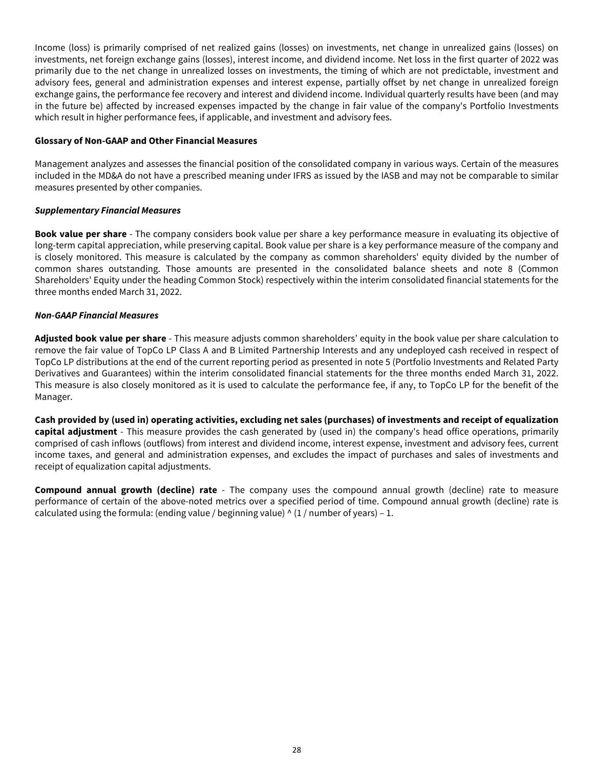<span id="page-28-0"></span>Income (loss) is primarily comprised of net realized gains (losses) on investments, net change in unrealized gains (losses) on investments, net foreign exchange gains (losses), interest income, and dividend income. Net loss in the first quarter of 2022 was primarily due to the net change in unrealized losses on investments, the timing of which are not predictable, investment and advisory fees, general and administration expenses and interest expense, partially offset by net change in unrealized foreign exchange gains, the performance fee recovery and interest and dividend income. Individual quarterly results have been (and may in the future be) affected by increased expenses impacted by the change in fair value of the company's Portfolio Investments which result in higher performance fees, if applicable, and investment and advisory fees.

### **Glossary of Non-GAAP and Other Financial Measures**

Management analyzes and assesses the financial position of the consolidated company in various ways. Certain of the measures included in the MD&A do not have a prescribed meaning under IFRS as issued by the IASB and may not be comparable to similar measures presented by other companies.

## **Supplementary Financial Measures**

**Book value per share** - The company considers book value per share a key performance measure in evaluating its objective of long-term capital appreciation, while preserving capital. Book value per share is a key performance measure of the company and is closely monitored. This measure is calculated by the company as common shareholders' equity divided by the number of common shares outstanding. Those amounts are presented in the consolidated balance sheets and note 8 (Common Shareholders' Equity under the heading Common Stock) respectively within the interim consolidated financial statements for the three months ended March 31, 2022.

## **Non-GAAP Financial Measures**

**Adjusted book value per share** - This measure adjusts common shareholders' equity in the book value per share calculation to remove the fair value of TopCo LP Class A and B Limited Partnership Interests and any undeployed cash received in respect of TopCo LP distributions at the end of the current reporting period as presented in note 5 (Portfolio Investments and Related Party Derivatives and Guarantees) within the interim consolidated financial statements for the three months ended March 31, 2022. This measure is also closely monitored as it is used to calculate the performance fee, if any, to TopCo LP for the benefit of the Manager.

**Cash provided by (used in) operating activities, excluding net sales (purchases) of investments and receipt of equalization capital adjustment** - This measure provides the cash generated by (used in) the company's head office operations, primarily comprised of cash inflows (outflows) from interest and dividend income, interest expense, investment and advisory fees, current income taxes, and general and administration expenses, and excludes the impact of purchases and sales of investments and receipt of equalization capital adjustments.

**Compound annual growth (decline) rate** - The company uses the compound annual growth (decline) rate to measure performance of certain of the above-noted metrics over a specified period of time. Compound annual growth (decline) rate is calculated using the formula: (ending value / beginning value)  $\wedge$  (1 / number of years) - 1.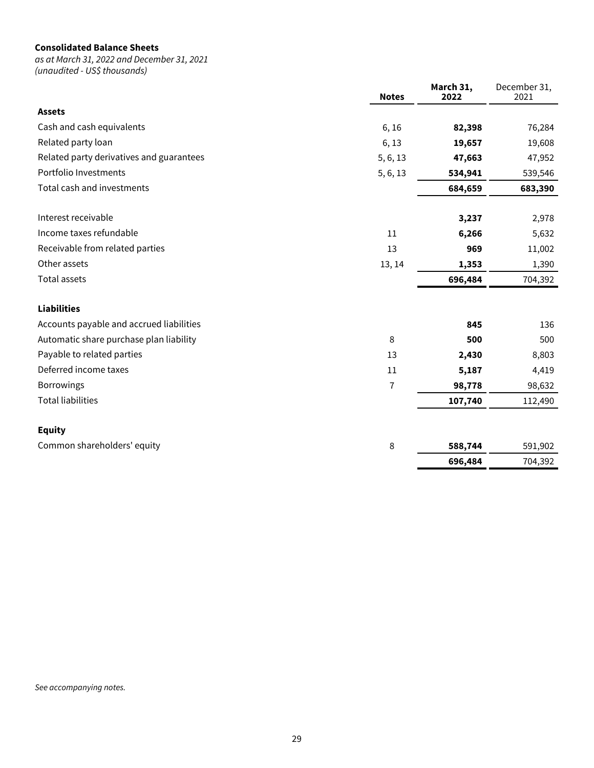## **Consolidated Balance Sheets**

as at March 31, 2022 and December 31, 2021 (unaudited - US\$ thousands)

|                                          | <b>Notes</b>   | March 31,<br>2022 | December 31,<br>2021 |
|------------------------------------------|----------------|-------------------|----------------------|
| <b>Assets</b>                            |                |                   |                      |
| Cash and cash equivalents                | 6,16           | 82,398            | 76,284               |
| Related party loan                       | 6,13           | 19,657            | 19,608               |
| Related party derivatives and guarantees | 5, 6, 13       | 47,663            | 47,952               |
| Portfolio Investments                    | 5, 6, 13       | 534,941           | 539,546              |
| Total cash and investments               |                | 684,659           | 683,390              |
| Interest receivable                      |                | 3,237             | 2,978                |
| Income taxes refundable                  | 11             | 6,266             | 5,632                |
| Receivable from related parties          | 13             | 969               | 11,002               |
| Other assets                             | 13, 14         | 1,353             | 1,390                |
| <b>Total assets</b>                      |                | 696,484           | 704,392              |
| <b>Liabilities</b>                       |                |                   |                      |
| Accounts payable and accrued liabilities |                | 845               | 136                  |
| Automatic share purchase plan liability  | 8              | 500               | 500                  |
| Payable to related parties               | 13             | 2,430             | 8,803                |
| Deferred income taxes                    | 11             | 5,187             | 4,419                |
| <b>Borrowings</b>                        | $\overline{7}$ | 98,778            | 98,632               |
| <b>Total liabilities</b>                 |                | 107,740           | 112,490              |
| <b>Equity</b>                            |                |                   |                      |
| Common shareholders' equity              | 8              | 588,744           | 591,902              |
|                                          |                | 696,484           | 704,392              |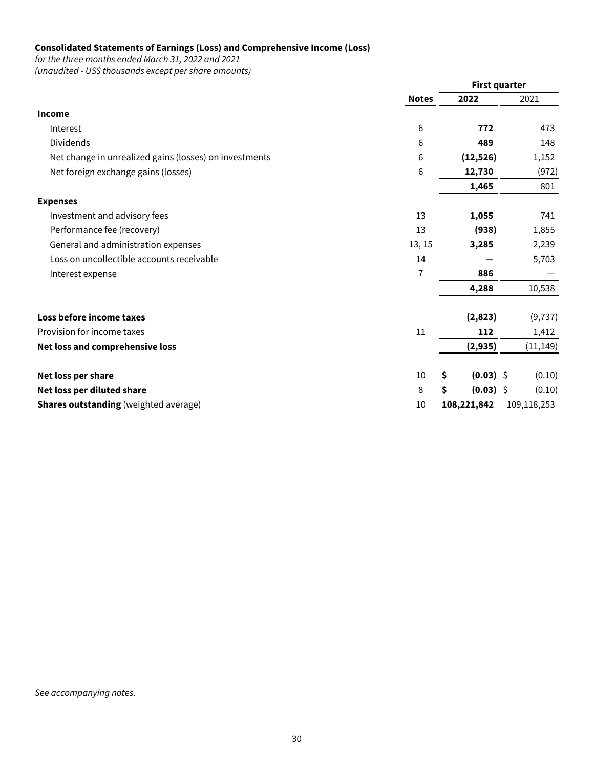## **Consolidated Statements of Earnings (Loss) and Comprehensive Income (Loss)**

for the three months ended March 31, 2022 and 2021

| (unaudited - US\$ thousands except per share amounts) |
|-------------------------------------------------------|
|-------------------------------------------------------|

|                                                        |              | <b>First quarter</b> |             |
|--------------------------------------------------------|--------------|----------------------|-------------|
|                                                        | <b>Notes</b> | 2022                 | 2021        |
| Income                                                 |              |                      |             |
| Interest                                               | 6            | 772                  | 473         |
| Dividends                                              | 6            | 489                  | 148         |
| Net change in unrealized gains (losses) on investments | 6            | (12, 526)            | 1,152       |
| Net foreign exchange gains (losses)                    | 6            | 12,730               | (972)       |
|                                                        |              | 1,465                | 801         |
| <b>Expenses</b>                                        |              |                      |             |
| Investment and advisory fees                           | 13           | 1,055                | 741         |
| Performance fee (recovery)                             | 13           | (938)                | 1,855       |
| General and administration expenses                    | 13, 15       | 3,285                | 2,239       |
| Loss on uncollectible accounts receivable              | 14           |                      | 5,703       |
| Interest expense                                       | 7            | 886                  |             |
|                                                        |              | 4,288                | 10,538      |
| Loss before income taxes                               |              | (2,823)              | (9, 737)    |
| Provision for income taxes                             | 11           | 112                  | 1,412       |
| Net loss and comprehensive loss                        |              | (2,935)              | (11, 149)   |
| Net loss per share                                     | 10           | \$<br>$(0.03)$ \$    | (0.10)      |
| Net loss per diluted share                             | 8            | \$<br>$(0.03)$ \$    | (0.10)      |
| <b>Shares outstanding</b> (weighted average)           | 10           | 108,221,842          | 109,118,253 |

See accompanying notes.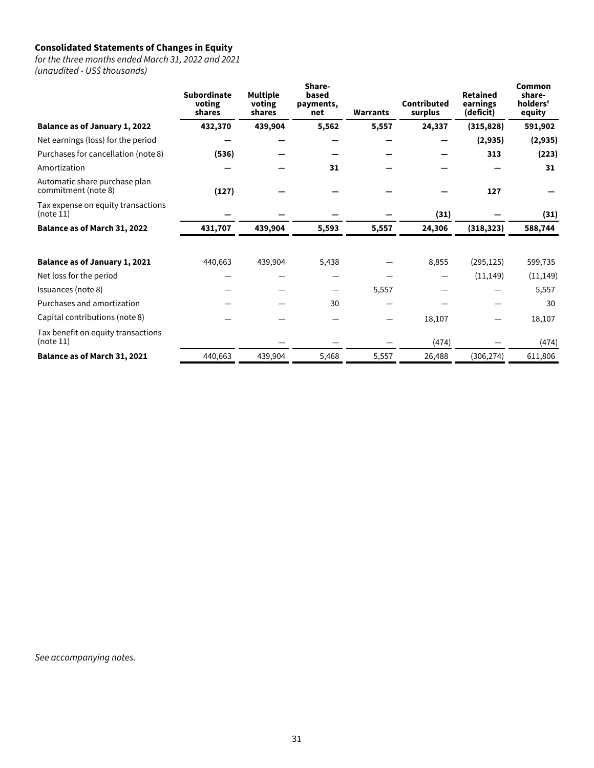## **Consolidated Statements of Changes in Equity**

for the three months ended March 31, 2022 and 2021 (unaudited - US\$ thousands)

|                                                      | <b>Subordinate</b><br>voting<br>shares | <b>Multiple</b><br>voting<br>shares | Share-<br>based<br>payments,<br>net | <b>Warrants</b> | <b>Contributed</b><br>surplus | <b>Retained</b><br>earnings<br>(deficit) | Common<br>share-<br>holders'<br>equity |
|------------------------------------------------------|----------------------------------------|-------------------------------------|-------------------------------------|-----------------|-------------------------------|------------------------------------------|----------------------------------------|
| Balance as of January 1, 2022                        | 432,370                                | 439,904                             | 5,562                               | 5,557           | 24,337                        | (315, 828)                               | 591,902                                |
| Net earnings (loss) for the period                   |                                        |                                     |                                     |                 |                               | (2,935)                                  | (2,935)                                |
| Purchases for cancellation (note 8)                  | (536)                                  |                                     |                                     |                 |                               | 313                                      | (223)                                  |
| Amortization                                         |                                        |                                     | 31                                  |                 |                               |                                          | 31                                     |
| Automatic share purchase plan<br>commitment (note 8) | (127)                                  |                                     |                                     |                 |                               | 127                                      |                                        |
| Tax expense on equity transactions<br>(note 11)      |                                        |                                     |                                     |                 | (31)                          |                                          | (31)                                   |
| Balance as of March 31, 2022                         | 431,707                                | 439,904                             | 5,593                               | 5,557           | 24,306                        | (318, 323)                               | 588,744                                |
|                                                      |                                        |                                     |                                     |                 |                               |                                          |                                        |
| Balance as of January 1, 2021                        | 440,663                                | 439,904                             | 5,438                               |                 | 8,855                         | (295, 125)                               | 599,735                                |
| Net loss for the period                              |                                        |                                     |                                     |                 |                               | (11, 149)                                | (11, 149)                              |
| Issuances (note 8)                                   |                                        |                                     |                                     | 5,557           |                               |                                          | 5,557                                  |
| Purchases and amortization                           |                                        |                                     | 30                                  |                 |                               |                                          | 30                                     |
| Capital contributions (note 8)                       |                                        |                                     |                                     |                 | 18,107                        |                                          | 18,107                                 |
| Tax benefit on equity transactions<br>(note 11)      |                                        |                                     |                                     |                 | (474)                         |                                          | (474)                                  |
| Balance as of March 31, 2021                         | 440,663                                | 439,904                             | 5,468                               | 5,557           | 26,488                        | (306, 274)                               | 611,806                                |

See accompanying notes.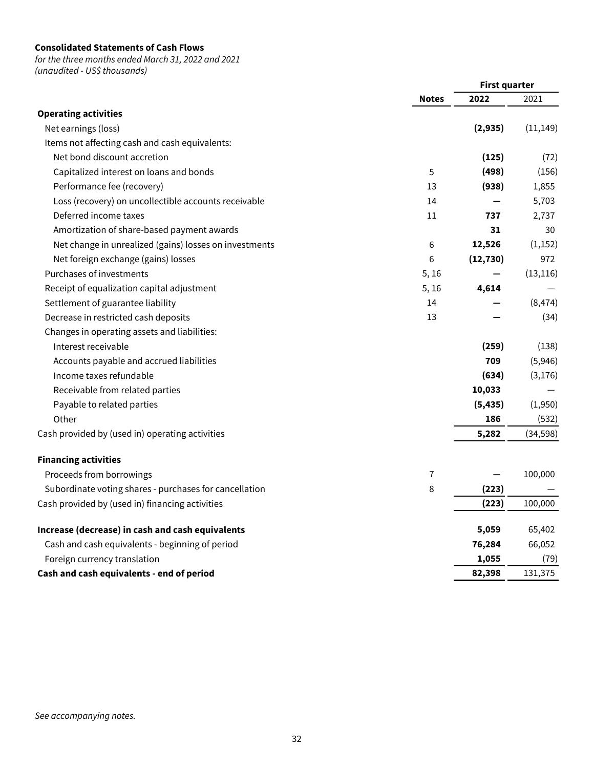## **Consolidated Statements of Cash Flows**

for the three months ended March 31, 2022 and 2021 (unaudited - US\$ thousands)

**First quarter Notes 2022** 2021 **Operating activities** Net earnings (loss) **(2,935)** (11,149) Items not affecting cash and cash equivalents: Net bond discount accretion **(125)** (72) Capitalized interest on loans and bonds 5 **(498)** (156) Performance fee (recovery) 13 **(938)** 1,855 Loss (recovery) on uncollectible accounts receivable 14 **—** 5,703 Deferred income taxes 11 **737** 2,737 Amortization of share-based payment awards **30 30 31** 30 Net change in unrealized (gains) losses on investments 6 **12,526** (1,152) Net foreign exchange (gains) losses 6 **(12,730)** 972 Purchases of investments 5, 16 **—** (13,116) Receipt of equalization capital adjustment 5, 16 **4,614** — Settlement of guarantee liability 14 and 14 and 14 and 14 and 14 and 14 and 14 and 14 and 14 and 14 and 14 and 1 Decrease in restricted cash deposits 13 **—** (34) Changes in operating assets and liabilities: Interest receivable **(259)** (138) Accounts payable and accrued liabilities **709** (5,946) Income taxes refundable **(634)** (3,176) Receivable from related parties **10,033** — Payable to related parties **(5,435)** (1,950) Other **186** (532) Cash provided by (used in) operating activities **5,282** (34,598) **Financing activities** Proceeds from borrowings 7 **—** 100,000 Subordinate voting shares - purchases for cancellation **6 1223 6 1223** Cash provided by (used in) financing activities **(223)** 100,000 **Increase (decrease) in cash and cash equivalents 5,059** 65,402 Cash and cash equivalents - beginning of period **76,284** 66,052 Foreign currency translation **1,055** (79)

**Cash and cash equivalents - end of period 82,398** 131,375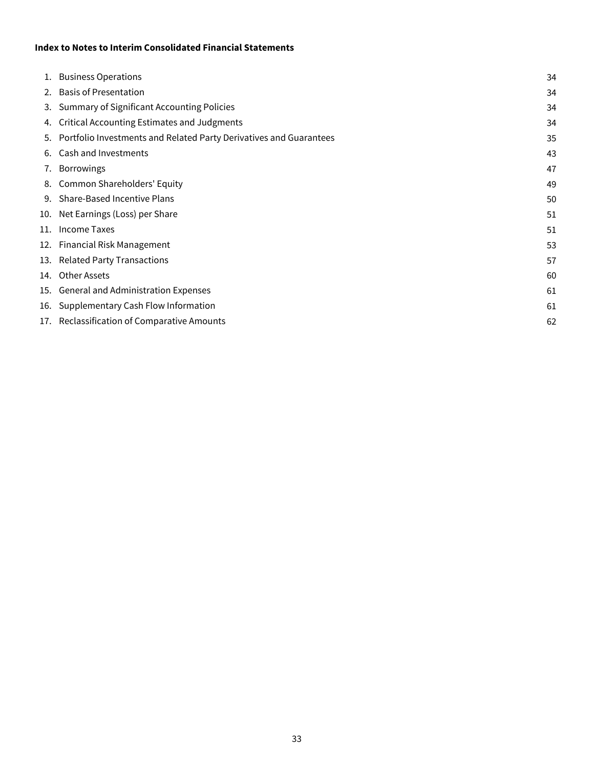## **Index to Notes to Interim Consolidated Financial Statements**

| 34                                                                                                                                                                                                                                                                                                                                                                                                                                                                                                                                                                                                                                  |
|-------------------------------------------------------------------------------------------------------------------------------------------------------------------------------------------------------------------------------------------------------------------------------------------------------------------------------------------------------------------------------------------------------------------------------------------------------------------------------------------------------------------------------------------------------------------------------------------------------------------------------------|
| 34                                                                                                                                                                                                                                                                                                                                                                                                                                                                                                                                                                                                                                  |
| 34                                                                                                                                                                                                                                                                                                                                                                                                                                                                                                                                                                                                                                  |
| 34                                                                                                                                                                                                                                                                                                                                                                                                                                                                                                                                                                                                                                  |
| 35                                                                                                                                                                                                                                                                                                                                                                                                                                                                                                                                                                                                                                  |
| 43                                                                                                                                                                                                                                                                                                                                                                                                                                                                                                                                                                                                                                  |
| 47                                                                                                                                                                                                                                                                                                                                                                                                                                                                                                                                                                                                                                  |
| 49                                                                                                                                                                                                                                                                                                                                                                                                                                                                                                                                                                                                                                  |
| 50                                                                                                                                                                                                                                                                                                                                                                                                                                                                                                                                                                                                                                  |
| 51                                                                                                                                                                                                                                                                                                                                                                                                                                                                                                                                                                                                                                  |
| 51                                                                                                                                                                                                                                                                                                                                                                                                                                                                                                                                                                                                                                  |
| 53                                                                                                                                                                                                                                                                                                                                                                                                                                                                                                                                                                                                                                  |
| 57                                                                                                                                                                                                                                                                                                                                                                                                                                                                                                                                                                                                                                  |
| 60                                                                                                                                                                                                                                                                                                                                                                                                                                                                                                                                                                                                                                  |
| 61                                                                                                                                                                                                                                                                                                                                                                                                                                                                                                                                                                                                                                  |
| 61                                                                                                                                                                                                                                                                                                                                                                                                                                                                                                                                                                                                                                  |
| 62                                                                                                                                                                                                                                                                                                                                                                                                                                                                                                                                                                                                                                  |
| 1. Business Operations<br>2. Basis of Presentation<br>3. Summary of Significant Accounting Policies<br>4. Critical Accounting Estimates and Judgments<br>5. Portfolio Investments and Related Party Derivatives and Guarantees<br>6. Cash and Investments<br>7. Borrowings<br>8. Common Shareholders' Equity<br>9. Share-Based Incentive Plans<br>10. Net Earnings (Loss) per Share<br>11. Income Taxes<br>12. Financial Risk Management<br>13. Related Party Transactions<br>14. Other Assets<br>15. General and Administration Expenses<br>16. Supplementary Cash Flow Information<br>17. Reclassification of Comparative Amounts |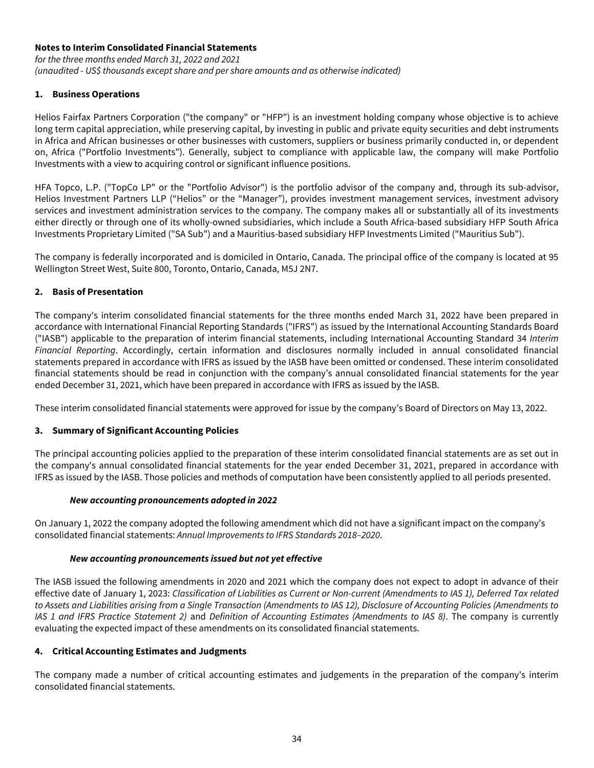# <span id="page-34-0"></span>**Notes to Interim Consolidated Financial Statements**

for the three months ended March 31, 2022 and 2021 (unaudited - US\$ thousands except share and per share amounts and as otherwise indicated)

## **1. Business Operations**

Helios Fairfax Partners Corporation ("the company" or "HFP") is an investment holding company whose objective is to achieve long term capital appreciation, while preserving capital, by investing in public and private equity securities and debt instruments in Africa and African businesses or other businesses with customers, suppliers or business primarily conducted in, or dependent on, Africa ("Portfolio Investments"). Generally, subject to compliance with applicable law, the company will make Portfolio Investments with a view to acquiring control or significant influence positions.

HFA Topco, L.P. ("TopCo LP" or the "Portfolio Advisor") is the portfolio advisor of the company and, through its sub-advisor, Helios Investment Partners LLP ("Helios" or the "Manager"), provides investment management services, investment advisory services and investment administration services to the company. The company makes all or substantially all of its investments either directly or through one of its wholly-owned subsidiaries, which include a South Africa-based subsidiary HFP South Africa Investments Proprietary Limited ("SA Sub") and a Mauritius-based subsidiary HFP Investments Limited ("Mauritius Sub").

The company is federally incorporated and is domiciled in Ontario, Canada. The principal office of the company is located at 95 Wellington Street West, Suite 800, Toronto, Ontario, Canada, M5J 2N7.

## **2. Basis of Presentation**

The company's interim consolidated financial statements for the three months ended March 31, 2022 have been prepared in accordance with International Financial Reporting Standards ("IFRS") as issued by the International Accounting Standards Board ("IASB") applicable to the preparation of interim financial statements, including International Accounting Standard 34 Interim Financial Reporting. Accordingly, certain information and disclosures normally included in annual consolidated financial statements prepared in accordance with IFRS as issued by the IASB have been omitted or condensed. These interim consolidated financial statements should be read in conjunction with the company's annual consolidated financial statements for the year ended December 31, 2021, which have been prepared in accordance with IFRS as issued by the IASB.

These interim consolidated financial statements were approved for issue by the company's Board of Directors on May 13, 2022.

# **3. Summary of Significant Accounting Policies**

The principal accounting policies applied to the preparation of these interim consolidated financial statements are as set out in the company's annual consolidated financial statements for the year ended December 31, 2021, prepared in accordance with IFRS as issued by the IASB. Those policies and methods of computation have been consistently applied to all periods presented.

### **New accounting pronouncements adopted in 2022**

On January 1, 2022 the company adopted the following amendment which did not have a significant impact on the company's consolidated financial statements: Annual Improvements to IFRS Standards 2018–2020.

### **New accounting pronouncements issued but not yet effective**

The IASB issued the following amendments in 2020 and 2021 which the company does not expect to adopt in advance of their effective date of January 1, 2023: Classification of Liabilities as Current or Non-current (Amendments to IAS 1), Deferred Tax related to Assets and Liabilities arising from a Single Transaction (Amendments to IAS 12), Disclosure of Accounting Policies (Amendments to IAS 1 and IFRS Practice Statement 2) and Definition of Accounting Estimates (Amendments to IAS 8). The company is currently evaluating the expected impact of these amendments on its consolidated financial statements.

### **4. Critical Accounting Estimates and Judgments**

The company made a number of critical accounting estimates and judgements in the preparation of the company's interim consolidated financial statements.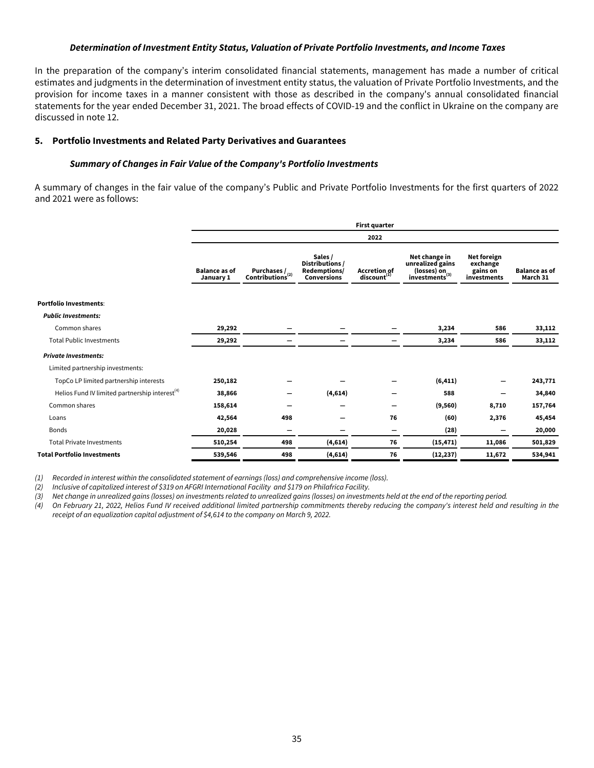#### **Determination of Investment Entity Status, Valuation of Private Portfolio Investments, and Income Taxes**

<span id="page-35-0"></span>In the preparation of the company's interim consolidated financial statements, management has made a number of critical estimates and judgments in the determination of investment entity status, the valuation of Private Portfolio Investments, and the provision for income taxes in a manner consistent with those as described in the company's annual consolidated financial statements for the year ended December 31, 2021. The broad effects of COVID-19 and the conflict in Ukraine on the company are discussed in note 12.

#### **5. Portfolio Investments and Related Party Derivatives and Guarantees**

#### **Summary of Changes in Fair Value of the Company's Portfolio Investments**

A summary of changes in the fair value of the company's Public and Private Portfolio Investments for the first quarters of 2022 and 2021 were as follows:

| <b>First quarter</b>              |                                               |                                                                  |                                                |                                                                                |                                                           |                                  |  |  |  |  |
|-----------------------------------|-----------------------------------------------|------------------------------------------------------------------|------------------------------------------------|--------------------------------------------------------------------------------|-----------------------------------------------------------|----------------------------------|--|--|--|--|
|                                   |                                               |                                                                  | 2022                                           |                                                                                |                                                           |                                  |  |  |  |  |
| <b>Balance as of</b><br>January 1 | Purchases $/$<br>Contributions <sup>(2)</sup> | Sales /<br>Distributions /<br>Redemptions/<br><b>Conversions</b> | <b>Accretion of</b><br>discount <sup>(1)</sup> | Net change in<br>unrealized gains<br>(losses) on<br>investments <sup>(3)</sup> | <b>Net foreign</b><br>exchange<br>gains on<br>investments | <b>Balance as of</b><br>March 31 |  |  |  |  |
|                                   |                                               |                                                                  |                                                |                                                                                |                                                           |                                  |  |  |  |  |
|                                   |                                               |                                                                  |                                                |                                                                                |                                                           |                                  |  |  |  |  |
| 29,292                            |                                               |                                                                  |                                                | 3,234                                                                          | 586                                                       | 33,112                           |  |  |  |  |
| 29,292                            |                                               |                                                                  |                                                | 3,234                                                                          | 586                                                       | 33,112                           |  |  |  |  |
|                                   |                                               |                                                                  |                                                |                                                                                |                                                           |                                  |  |  |  |  |
|                                   |                                               |                                                                  |                                                |                                                                                |                                                           |                                  |  |  |  |  |
| 250,182                           |                                               |                                                                  |                                                | (6, 411)                                                                       |                                                           | 243,771                          |  |  |  |  |
| 38,866                            |                                               | (4,614)                                                          |                                                | 588                                                                            |                                                           | 34,840                           |  |  |  |  |
| 158,614                           |                                               |                                                                  | -                                              | (9,560)                                                                        | 8,710                                                     | 157,764                          |  |  |  |  |
| 42,564                            | 498                                           |                                                                  | 76                                             | (60)                                                                           | 2,376                                                     | 45,454                           |  |  |  |  |
| 20,028                            |                                               |                                                                  |                                                | (28)                                                                           |                                                           | 20,000                           |  |  |  |  |
| 510,254                           | 498                                           | (4,614)                                                          | 76                                             | (15, 471)                                                                      | 11,086                                                    | 501,829                          |  |  |  |  |
| 539,546                           | 498                                           | (4,614)                                                          | 76                                             | (12, 237)                                                                      | 11,672                                                    | 534,941                          |  |  |  |  |
|                                   |                                               |                                                                  |                                                |                                                                                |                                                           |                                  |  |  |  |  |

(1) Recorded in interest within the consolidated statement of earnings (loss) and comprehensive income (loss).

(2) Inclusive of capitalized interest of \$319 on AFGRI International Facility and \$179 on Philafrica Facility.

(3) Net change in unrealized gains (losses) on investments related to unrealized gains (losses) on investments held at the end of the reporting period.

(4) On February 21, 2022, Helios Fund IV received additional limited partnership commitments thereby reducing the company's interest held and resulting in the receipt of an equalization capital adjustment of \$4,614 to the company on March 9, 2022.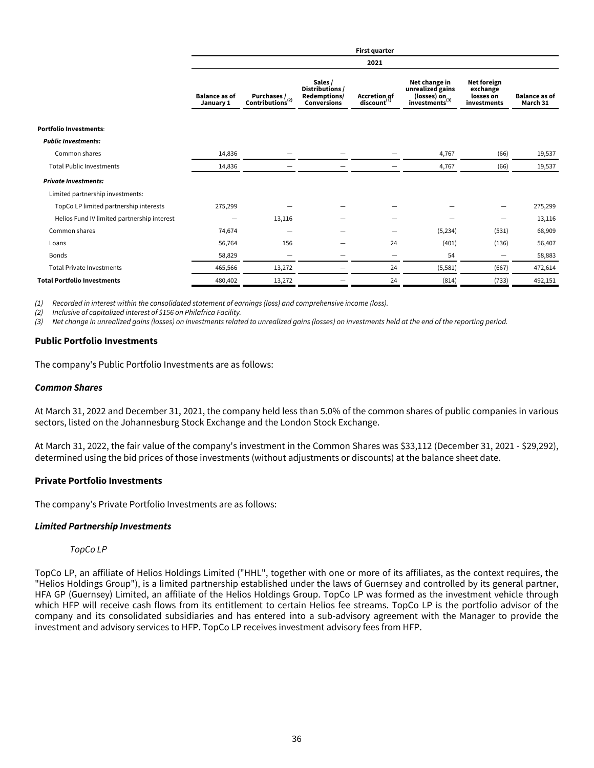|                                             |                                   |                                 |                                                                  | <b>First quarter</b>                    |                                                                                         |                                                     |                                  |
|---------------------------------------------|-----------------------------------|---------------------------------|------------------------------------------------------------------|-----------------------------------------|-----------------------------------------------------------------------------------------|-----------------------------------------------------|----------------------------------|
|                                             |                                   |                                 |                                                                  | 2021                                    |                                                                                         |                                                     |                                  |
|                                             | <b>Balance as of</b><br>January 1 | Purchases /<br>Contributions(2) | Sales /<br>Distributions /<br>Redemptions/<br><b>Conversions</b> | Accretion of<br>discount <sup>(1)</sup> | Net change in<br>unrealized gains<br>(losses) on $\alpha$<br>investments <sup>(3)</sup> | Net foreign<br>exchange<br>losses on<br>investments | <b>Balance as of</b><br>March 31 |
| <b>Portfolio Investments:</b>               |                                   |                                 |                                                                  |                                         |                                                                                         |                                                     |                                  |
| <b>Public Investments:</b>                  |                                   |                                 |                                                                  |                                         |                                                                                         |                                                     |                                  |
| Common shares                               | 14,836                            |                                 |                                                                  |                                         | 4,767                                                                                   | (66)                                                | 19,537                           |
| <b>Total Public Investments</b>             | 14,836                            |                                 |                                                                  |                                         | 4,767                                                                                   | (66)                                                | 19,537                           |
| <b>Private Investments:</b>                 |                                   |                                 |                                                                  |                                         |                                                                                         |                                                     |                                  |
| Limited partnership investments:            |                                   |                                 |                                                                  |                                         |                                                                                         |                                                     |                                  |
| TopCo LP limited partnership interests      | 275,299                           |                                 |                                                                  |                                         |                                                                                         |                                                     | 275,299                          |
| Helios Fund IV limited partnership interest |                                   | 13,116                          |                                                                  |                                         |                                                                                         |                                                     | 13,116                           |
| Common shares                               | 74,674                            | —                               |                                                                  |                                         | (5,234)                                                                                 | (531)                                               | 68,909                           |
| Loans                                       | 56,764                            | 156                             |                                                                  | 24                                      | (401)                                                                                   | (136)                                               | 56,407                           |
| <b>Bonds</b>                                | 58,829                            | $\hspace{0.1mm}-\hspace{0.1mm}$ |                                                                  | $\overline{\phantom{m}}$                | 54                                                                                      |                                                     | 58,883                           |
| <b>Total Private Investments</b>            | 465,566                           | 13,272                          |                                                                  | 24                                      | (5, 581)                                                                                | (667)                                               | 472,614                          |
| <b>Total Portfolio Investments</b>          | 480,402                           | 13,272                          |                                                                  | 24                                      | (814)                                                                                   | (733)                                               | 492,151                          |

(1) Recorded in interest within the consolidated statement of earnings (loss) and comprehensive income (loss).

(2) Inclusive of capitalized interest of \$156 on Philafrica Facility.

(3) Net change in unrealized gains (losses) on investments related to unrealized gains (losses) on investments held at the end of the reporting period.

## **Public Portfolio Investments**

The company's Public Portfolio Investments are as follows:

#### **Common Shares**

At March 31, 2022 and December 31, 2021, the company held less than 5.0% of the common shares of public companies in various sectors, listed on the Johannesburg Stock Exchange and the London Stock Exchange.

At March 31, 2022, the fair value of the company's investment in the Common Shares was \$33,112 (December 31, 2021 - \$29,292), determined using the bid prices of those investments (without adjustments or discounts) at the balance sheet date.

### **Private Portfolio Investments**

The company's Private Portfolio Investments are as follows:

### **Limited Partnership Investments**

### TopCo LP

TopCo LP, an affiliate of Helios Holdings Limited ("HHL", together with one or more of its affiliates, as the context requires, the "Helios Holdings Group"), is a limited partnership established under the laws of Guernsey and controlled by its general partner, HFA GP (Guernsey) Limited, an affiliate of the Helios Holdings Group. TopCo LP was formed as the investment vehicle through which HFP will receive cash flows from its entitlement to certain Helios fee streams. TopCo LP is the portfolio advisor of the company and its consolidated subsidiaries and has entered into a sub-advisory agreement with the Manager to provide the investment and advisory services to HFP. TopCo LP receives investment advisory fees from HFP.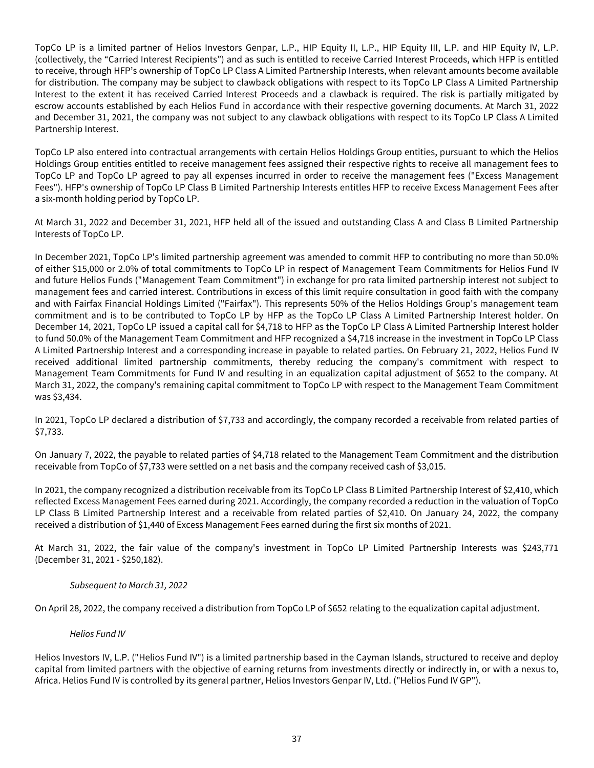TopCo LP is a limited partner of Helios Investors Genpar, L.P., HIP Equity II, L.P., HIP Equity III, L.P. and HIP Equity IV, L.P. (collectively, the "Carried Interest Recipients") and as such is entitled to receive Carried Interest Proceeds, which HFP is entitled to receive, through HFP's ownership of TopCo LP Class A Limited Partnership Interests, when relevant amounts become available for distribution. The company may be subject to clawback obligations with respect to its TopCo LP Class A Limited Partnership Interest to the extent it has received Carried Interest Proceeds and a clawback is required. The risk is partially mitigated by escrow accounts established by each Helios Fund in accordance with their respective governing documents. At March 31, 2022 and December 31, 2021, the company was not subject to any clawback obligations with respect to its TopCo LP Class A Limited Partnership Interest.

TopCo LP also entered into contractual arrangements with certain Helios Holdings Group entities, pursuant to which the Helios Holdings Group entities entitled to receive management fees assigned their respective rights to receive all management fees to TopCo LP and TopCo LP agreed to pay all expenses incurred in order to receive the management fees ("Excess Management Fees"). HFP's ownership of TopCo LP Class B Limited Partnership Interests entitles HFP to receive Excess Management Fees after a six-month holding period by TopCo LP.

At March 31, 2022 and December 31, 2021, HFP held all of the issued and outstanding Class A and Class B Limited Partnership Interests of TopCo LP.

In December 2021, TopCo LP's limited partnership agreement was amended to commit HFP to contributing no more than 50.0% of either \$15,000 or 2.0% of total commitments to TopCo LP in respect of Management Team Commitments for Helios Fund IV and future Helios Funds ("Management Team Commitment") in exchange for pro rata limited partnership interest not subject to management fees and carried interest. Contributions in excess of this limit require consultation in good faith with the company and with Fairfax Financial Holdings Limited ("Fairfax"). This represents 50% of the Helios Holdings Group's management team commitment and is to be contributed to TopCo LP by HFP as the TopCo LP Class A Limited Partnership Interest holder. On December 14, 2021, TopCo LP issued a capital call for \$4,718 to HFP as the TopCo LP Class A Limited Partnership Interest holder to fund 50.0% of the Management Team Commitment and HFP recognized a \$4,718 increase in the investment in TopCo LP Class A Limited Partnership Interest and a corresponding increase in payable to related parties. On February 21, 2022, Helios Fund IV received additional limited partnership commitments, thereby reducing the company's commitment with respect to Management Team Commitments for Fund IV and resulting in an equalization capital adjustment of \$652 to the company. At March 31, 2022, the company's remaining capital commitment to TopCo LP with respect to the Management Team Commitment was \$3,434.

In 2021, TopCo LP declared a distribution of \$7,733 and accordingly, the company recorded a receivable from related parties of \$7,733.

On January 7, 2022, the payable to related parties of \$4,718 related to the Management Team Commitment and the distribution receivable from TopCo of \$7,733 were settled on a net basis and the company received cash of \$3,015.

In 2021, the company recognized a distribution receivable from its TopCo LP Class B Limited Partnership Interest of \$2,410, which reflected Excess Management Fees earned during 2021. Accordingly, the company recorded a reduction in the valuation of TopCo LP Class B Limited Partnership Interest and a receivable from related parties of \$2,410. On January 24, 2022, the company received a distribution of \$1,440 of Excess Management Fees earned during the first six months of 2021.

At March 31, 2022, the fair value of the company's investment in TopCo LP Limited Partnership Interests was \$243,771 (December 31, 2021 - \$250,182).

# Subsequent to March 31, 2022

On April 28, 2022, the company received a distribution from TopCo LP of \$652 relating to the equalization capital adjustment.

# Helios Fund IV

Helios Investors IV, L.P. ("Helios Fund IV") is a limited partnership based in the Cayman Islands, structured to receive and deploy capital from limited partners with the objective of earning returns from investments directly or indirectly in, or with a nexus to, Africa. Helios Fund IV is controlled by its general partner, Helios Investors Genpar IV, Ltd. ("Helios Fund IV GP").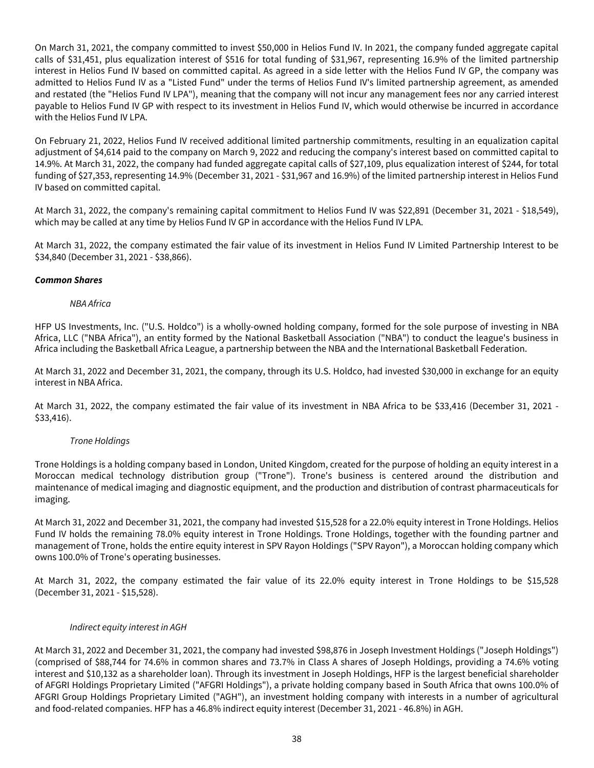On March 31, 2021, the company committed to invest \$50,000 in Helios Fund IV. In 2021, the company funded aggregate capital calls of \$31,451, plus equalization interest of \$516 for total funding of \$31,967, representing 16.9% of the limited partnership interest in Helios Fund IV based on committed capital. As agreed in a side letter with the Helios Fund IV GP, the company was admitted to Helios Fund IV as a "Listed Fund" under the terms of Helios Fund IV's limited partnership agreement, as amended and restated (the "Helios Fund IV LPA"), meaning that the company will not incur any management fees nor any carried interest payable to Helios Fund IV GP with respect to its investment in Helios Fund IV, which would otherwise be incurred in accordance with the Helios Fund IV LPA.

On February 21, 2022, Helios Fund IV received additional limited partnership commitments, resulting in an equalization capital adjustment of \$4,614 paid to the company on March 9, 2022 and reducing the company's interest based on committed capital to 14.9%. At March 31, 2022, the company had funded aggregate capital calls of \$27,109, plus equalization interest of \$244, for total funding of \$27,353, representing 14.9% (December 31, 2021 - \$31,967 and 16.9%) of the limited partnership interest in Helios Fund IV based on committed capital.

At March 31, 2022, the company's remaining capital commitment to Helios Fund IV was \$22,891 (December 31, 2021 - \$18,549), which may be called at any time by Helios Fund IV GP in accordance with the Helios Fund IV LPA.

At March 31, 2022, the company estimated the fair value of its investment in Helios Fund IV Limited Partnership Interest to be \$34,840 (December 31, 2021 - \$38,866).

## **Common Shares**

## NBA Africa

HFP US Investments, Inc. ("U.S. Holdco") is a wholly-owned holding company, formed for the sole purpose of investing in NBA Africa, LLC ("NBA Africa"), an entity formed by the National Basketball Association ("NBA") to conduct the league's business in Africa including the Basketball Africa League, a partnership between the NBA and the International Basketball Federation.

At March 31, 2022 and December 31, 2021, the company, through its U.S. Holdco, had invested \$30,000 in exchange for an equity interest in NBA Africa.

At March 31, 2022, the company estimated the fair value of its investment in NBA Africa to be \$33,416 (December 31, 2021 - \$33,416).

### Trone Holdings

Trone Holdings is a holding company based in London, United Kingdom, created for the purpose of holding an equity interest in a Moroccan medical technology distribution group ("Trone"). Trone's business is centered around the distribution and maintenance of medical imaging and diagnostic equipment, and the production and distribution of contrast pharmaceuticals for imaging.

At March 31, 2022 and December 31, 2021, the company had invested \$15,528 for a 22.0% equity interest in Trone Holdings. Helios Fund IV holds the remaining 78.0% equity interest in Trone Holdings. Trone Holdings, together with the founding partner and management of Trone, holds the entire equity interest in SPV Rayon Holdings ("SPV Rayon"), a Moroccan holding company which owns 100.0% of Trone's operating businesses.

At March 31, 2022, the company estimated the fair value of its 22.0% equity interest in Trone Holdings to be \$15,528 (December 31, 2021 - \$15,528).

### Indirect equity interest in AGH

At March 31, 2022 and December 31, 2021, the company had invested \$98,876 in Joseph Investment Holdings ("Joseph Holdings") (comprised of \$88,744 for 74.6% in common shares and 73.7% in Class A shares of Joseph Holdings, providing a 74.6% voting interest and \$10,132 as a shareholder loan). Through its investment in Joseph Holdings, HFP is the largest beneficial shareholder of AFGRI Holdings Proprietary Limited ("AFGRI Holdings"), a private holding company based in South Africa that owns 100.0% of AFGRI Group Holdings Proprietary Limited ("AGH"), an investment holding company with interests in a number of agricultural and food-related companies. HFP has a 46.8% indirect equity interest (December 31, 2021 - 46.8%) in AGH.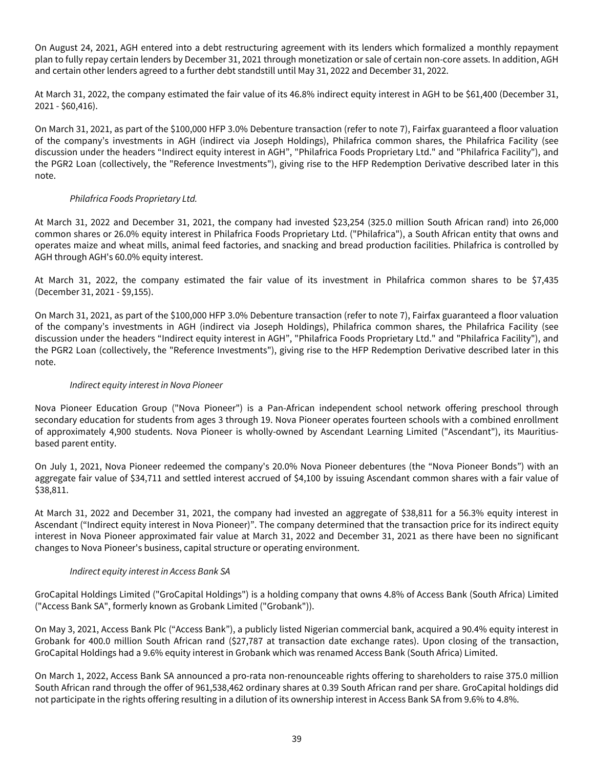On August 24, 2021, AGH entered into a debt restructuring agreement with its lenders which formalized a monthly repayment plan to fully repay certain lenders by December 31, 2021 through monetization or sale of certain non-core assets. In addition, AGH and certain other lenders agreed to a further debt standstill until May 31, 2022 and December 31, 2022.

At March 31, 2022, the company estimated the fair value of its 46.8% indirect equity interest in AGH to be \$61,400 (December 31, 2021 - \$60,416).

On March 31, 2021, as part of the \$100,000 HFP 3.0% Debenture transaction (refer to note 7), Fairfax guaranteed a floor valuation of the company's investments in AGH (indirect via Joseph Holdings), Philafrica common shares, the Philafrica Facility (see discussion under the headers "Indirect equity interest in AGH", "Philafrica Foods Proprietary Ltd." and "Philafrica Facility"), and the PGR2 Loan (collectively, the "Reference Investments"), giving rise to the HFP Redemption Derivative described later in this note.

# Philafrica Foods Proprietary Ltd.

At March 31, 2022 and December 31, 2021, the company had invested \$23,254 (325.0 million South African rand) into 26,000 common shares or 26.0% equity interest in Philafrica Foods Proprietary Ltd. ("Philafrica"), a South African entity that owns and operates maize and wheat mills, animal feed factories, and snacking and bread production facilities. Philafrica is controlled by AGH through AGH's 60.0% equity interest.

At March 31, 2022, the company estimated the fair value of its investment in Philafrica common shares to be \$7,435 (December 31, 2021 - \$9,155).

On March 31, 2021, as part of the \$100,000 HFP 3.0% Debenture transaction (refer to note 7), Fairfax guaranteed a floor valuation of the company's investments in AGH (indirect via Joseph Holdings), Philafrica common shares, the Philafrica Facility (see discussion under the headers "Indirect equity interest in AGH", "Philafrica Foods Proprietary Ltd." and "Philafrica Facility"), and the PGR2 Loan (collectively, the "Reference Investments"), giving rise to the HFP Redemption Derivative described later in this note.

### Indirect equity interest in Nova Pioneer

Nova Pioneer Education Group ("Nova Pioneer") is a Pan-African independent school network offering preschool through secondary education for students from ages 3 through 19. Nova Pioneer operates fourteen schools with a combined enrollment of approximately 4,900 students. Nova Pioneer is wholly-owned by Ascendant Learning Limited ("Ascendant"), its Mauritiusbased parent entity.

On July 1, 2021, Nova Pioneer redeemed the company's 20.0% Nova Pioneer debentures (the "Nova Pioneer Bonds") with an aggregate fair value of \$34,711 and settled interest accrued of \$4,100 by issuing Ascendant common shares with a fair value of \$38,811.

At March 31, 2022 and December 31, 2021, the company had invested an aggregate of \$38,811 for a 56.3% equity interest in Ascendant ("Indirect equity interest in Nova Pioneer)". The company determined that the transaction price for its indirect equity interest in Nova Pioneer approximated fair value at March 31, 2022 and December 31, 2021 as there have been no significant changes to Nova Pioneer's business, capital structure or operating environment.

### Indirect equity interest in Access Bank SA

GroCapital Holdings Limited ("GroCapital Holdings") is a holding company that owns 4.8% of Access Bank (South Africa) Limited ("Access Bank SA", formerly known as Grobank Limited ("Grobank")).

On May 3, 2021, Access Bank Plc ("Access Bank"), a publicly listed Nigerian commercial bank, acquired a 90.4% equity interest in Grobank for 400.0 million South African rand (\$27,787 at transaction date exchange rates). Upon closing of the transaction, GroCapital Holdings had a 9.6% equity interest in Grobank which was renamed Access Bank (South Africa) Limited.

On March 1, 2022, Access Bank SA announced a pro-rata non-renounceable rights offering to shareholders to raise 375.0 million South African rand through the offer of 961,538,462 ordinary shares at 0.39 South African rand per share. GroCapital holdings did not participate in the rights offering resulting in a dilution of its ownership interest in Access Bank SA from 9.6% to 4.8%.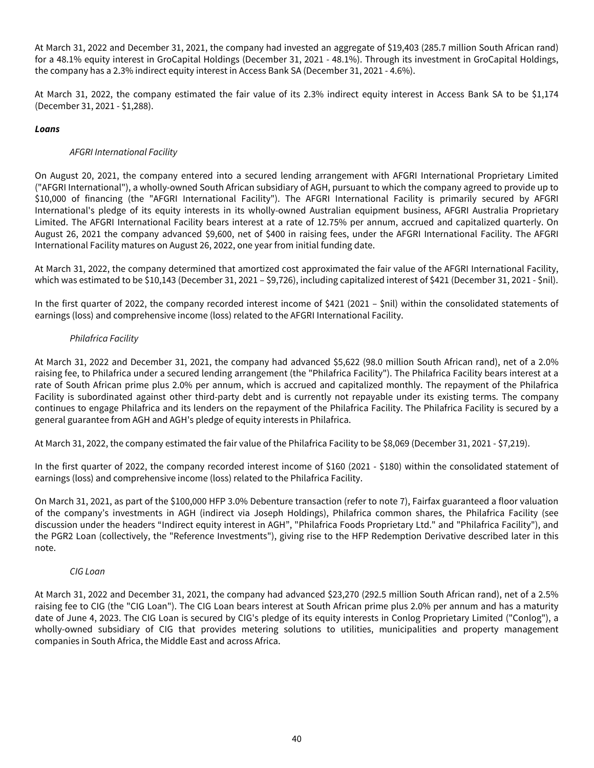At March 31, 2022 and December 31, 2021, the company had invested an aggregate of \$19,403 (285.7 million South African rand) for a 48.1% equity interest in GroCapital Holdings (December 31, 2021 - 48.1%). Through its investment in GroCapital Holdings, the company has a 2.3% indirect equity interest in Access Bank SA (December 31, 2021 - 4.6%).

At March 31, 2022, the company estimated the fair value of its 2.3% indirect equity interest in Access Bank SA to be \$1,174 (December 31, 2021 - \$1,288).

# **Loans**

# AFGRI International Facility

On August 20, 2021, the company entered into a secured lending arrangement with AFGRI International Proprietary Limited ("AFGRI International"), a wholly-owned South African subsidiary of AGH, pursuant to which the company agreed to provide up to \$10,000 of financing (the "AFGRI International Facility"). The AFGRI International Facility is primarily secured by AFGRI International's pledge of its equity interests in its wholly-owned Australian equipment business, AFGRI Australia Proprietary Limited. The AFGRI International Facility bears interest at a rate of 12.75% per annum, accrued and capitalized quarterly. On August 26, 2021 the company advanced \$9,600, net of \$400 in raising fees, under the AFGRI International Facility. The AFGRI International Facility matures on August 26, 2022, one year from initial funding date.

At March 31, 2022, the company determined that amortized cost approximated the fair value of the AFGRI International Facility, which was estimated to be \$10,143 (December 31, 2021 – \$9,726), including capitalized interest of \$421 (December 31, 2021 - \$nil).

In the first quarter of 2022, the company recorded interest income of \$421 (2021 – \$nil) within the consolidated statements of earnings (loss) and comprehensive income (loss) related to the AFGRI International Facility.

# Philafrica Facility

At March 31, 2022 and December 31, 2021, the company had advanced \$5,622 (98.0 million South African rand), net of a 2.0% raising fee, to Philafrica under a secured lending arrangement (the "Philafrica Facility"). The Philafrica Facility bears interest at a rate of South African prime plus 2.0% per annum, which is accrued and capitalized monthly. The repayment of the Philafrica Facility is subordinated against other third-party debt and is currently not repayable under its existing terms. The company continues to engage Philafrica and its lenders on the repayment of the Philafrica Facility. The Philafrica Facility is secured by a general guarantee from AGH and AGH's pledge of equity interests in Philafrica.

At March 31, 2022, the company estimated the fair value of the Philafrica Facility to be \$8,069 (December 31, 2021 - \$7,219).

In the first quarter of 2022, the company recorded interest income of \$160 (2021 - \$180) within the consolidated statement of earnings (loss) and comprehensive income (loss) related to the Philafrica Facility.

On March 31, 2021, as part of the \$100,000 HFP 3.0% Debenture transaction (refer to note 7), Fairfax guaranteed a floor valuation of the company's investments in AGH (indirect via Joseph Holdings), Philafrica common shares, the Philafrica Facility (see discussion under the headers "Indirect equity interest in AGH", "Philafrica Foods Proprietary Ltd." and "Philafrica Facility"), and the PGR2 Loan (collectively, the "Reference Investments"), giving rise to the HFP Redemption Derivative described later in this note.

### CIG Loan

At March 31, 2022 and December 31, 2021, the company had advanced \$23,270 (292.5 million South African rand), net of a 2.5% raising fee to CIG (the "CIG Loan"). The CIG Loan bears interest at South African prime plus 2.0% per annum and has a maturity date of June 4, 2023. The CIG Loan is secured by CIG's pledge of its equity interests in Conlog Proprietary Limited ("Conlog"), a wholly-owned subsidiary of CIG that provides metering solutions to utilities, municipalities and property management companies in South Africa, the Middle East and across Africa.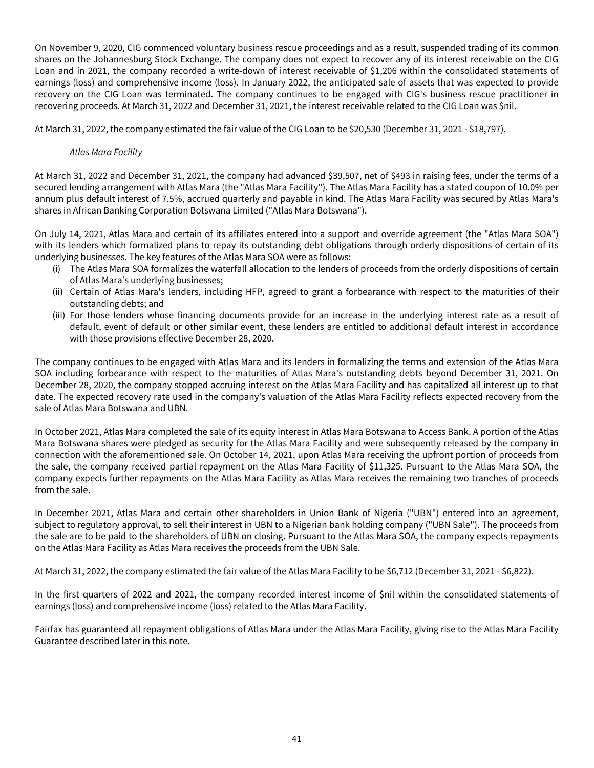On November 9, 2020, CIG commenced voluntary business rescue proceedings and as a result, suspended trading of its common shares on the Johannesburg Stock Exchange. The company does not expect to recover any of its interest receivable on the CIG Loan and in 2021, the company recorded a write-down of interest receivable of \$1,206 within the consolidated statements of earnings (loss) and comprehensive income (loss). In January 2022, the anticipated sale of assets that was expected to provide recovery on the CIG Loan was terminated. The company continues to be engaged with CIG's business rescue practitioner in recovering proceeds. At March 31, 2022 and December 31, 2021, the interest receivable related to the CIG Loan was \$nil.

At March 31, 2022, the company estimated the fair value of the CIG Loan to be \$20,530 (December 31, 2021 - \$18,797).

## Atlas Mara Facility

At March 31, 2022 and December 31, 2021, the company had advanced \$39,507, net of \$493 in raising fees, under the terms of a secured lending arrangement with Atlas Mara (the "Atlas Mara Facility"). The Atlas Mara Facility has a stated coupon of 10.0% per annum plus default interest of 7.5%, accrued quarterly and payable in kind. The Atlas Mara Facility was secured by Atlas Mara's shares in African Banking Corporation Botswana Limited ("Atlas Mara Botswana").

On July 14, 2021, Atlas Mara and certain of its affiliates entered into a support and override agreement (the "Atlas Mara SOA") with its lenders which formalized plans to repay its outstanding debt obligations through orderly dispositions of certain of its underlying businesses. The key features of the Atlas Mara SOA were as follows:

- (i) The Atlas Mara SOA formalizes the waterfall allocation to the lenders of proceeds from the orderly dispositions of certain of Atlas Mara's underlying businesses;
- (ii) Certain of Atlas Mara's lenders, including HFP, agreed to grant a forbearance with respect to the maturities of their outstanding debts; and
- (iii) For those lenders whose financing documents provide for an increase in the underlying interest rate as a result of default, event of default or other similar event, these lenders are entitled to additional default interest in accordance with those provisions effective December 28, 2020.

The company continues to be engaged with Atlas Mara and its lenders in formalizing the terms and extension of the Atlas Mara SOA including forbearance with respect to the maturities of Atlas Mara's outstanding debts beyond December 31, 2021. On December 28, 2020, the company stopped accruing interest on the Atlas Mara Facility and has capitalized all interest up to that date. The expected recovery rate used in the company's valuation of the Atlas Mara Facility reflects expected recovery from the sale of Atlas Mara Botswana and UBN.

In October 2021, Atlas Mara completed the sale of its equity interest in Atlas Mara Botswana to Access Bank. A portion of the Atlas Mara Botswana shares were pledged as security for the Atlas Mara Facility and were subsequently released by the company in connection with the aforementioned sale. On October 14, 2021, upon Atlas Mara receiving the upfront portion of proceeds from the sale, the company received partial repayment on the Atlas Mara Facility of \$11,325. Pursuant to the Atlas Mara SOA, the company expects further repayments on the Atlas Mara Facility as Atlas Mara receives the remaining two tranches of proceeds from the sale.

In December 2021, Atlas Mara and certain other shareholders in Union Bank of Nigeria ("UBN") entered into an agreement, subject to regulatory approval, to sell their interest in UBN to a Nigerian bank holding company ("UBN Sale"). The proceeds from the sale are to be paid to the shareholders of UBN on closing. Pursuant to the Atlas Mara SOA, the company expects repayments on the Atlas Mara Facility as Atlas Mara receives the proceeds from the UBN Sale.

At March 31, 2022, the company estimated the fair value of the Atlas Mara Facility to be \$6,712 (December 31, 2021 - \$6,822).

In the first quarters of 2022 and 2021, the company recorded interest income of \$nil within the consolidated statements of earnings (loss) and comprehensive income (loss) related to the Atlas Mara Facility.

Fairfax has guaranteed all repayment obligations of Atlas Mara under the Atlas Mara Facility, giving rise to the Atlas Mara Facility Guarantee described later in this note.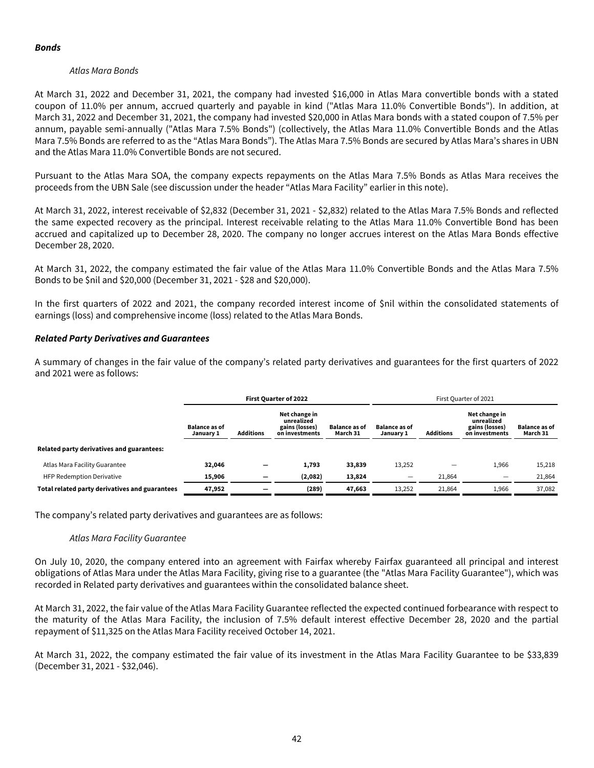### **Bonds**

## Atlas Mara Bonds

At March 31, 2022 and December 31, 2021, the company had invested \$16,000 in Atlas Mara convertible bonds with a stated coupon of 11.0% per annum, accrued quarterly and payable in kind ("Atlas Mara 11.0% Convertible Bonds"). In addition, at March 31, 2022 and December 31, 2021, the company had invested \$20,000 in Atlas Mara bonds with a stated coupon of 7.5% per annum, payable semi-annually ("Atlas Mara 7.5% Bonds") (collectively, the Atlas Mara 11.0% Convertible Bonds and the Atlas Mara 7.5% Bonds are referred to as the "Atlas Mara Bonds"). The Atlas Mara 7.5% Bonds are secured by Atlas Mara's shares in UBN and the Atlas Mara 11.0% Convertible Bonds are not secured.

Pursuant to the Atlas Mara SOA, the company expects repayments on the Atlas Mara 7.5% Bonds as Atlas Mara receives the proceeds from the UBN Sale (see discussion under the header "Atlas Mara Facility" earlier in this note).

At March 31, 2022, interest receivable of \$2,832 (December 31, 2021 - \$2,832) related to the Atlas Mara 7.5% Bonds and reflected the same expected recovery as the principal. Interest receivable relating to the Atlas Mara 11.0% Convertible Bond has been accrued and capitalized up to December 28, 2020. The company no longer accrues interest on the Atlas Mara Bonds effective December 28, 2020.

At March 31, 2022, the company estimated the fair value of the Atlas Mara 11.0% Convertible Bonds and the Atlas Mara 7.5% Bonds to be \$nil and \$20,000 (December 31, 2021 - \$28 and \$20,000).

In the first quarters of 2022 and 2021, the company recorded interest income of \$nil within the consolidated statements of earnings (loss) and comprehensive income (loss) related to the Atlas Mara Bonds.

# **Related Party Derivatives and Guarantees**

A summary of changes in the fair value of the company's related party derivatives and guarantees for the first quarters of 2022 and 2021 were as follows:

|                                                | <b>First Quarter of 2022</b>      |                  |                                                                 |                                  | First Quarter of 2021             |                  |                                                                 |                                  |  |
|------------------------------------------------|-----------------------------------|------------------|-----------------------------------------------------------------|----------------------------------|-----------------------------------|------------------|-----------------------------------------------------------------|----------------------------------|--|
|                                                | <b>Balance as of</b><br>January 1 | <b>Additions</b> | Net change in<br>unrealized<br>gains (losses)<br>on investments | <b>Balance as of</b><br>March 31 | <b>Balance as of</b><br>January 1 | <b>Additions</b> | Net change in<br>unrealized<br>gains (losses)<br>on investments | <b>Balance as of</b><br>March 31 |  |
| Related party derivatives and guarantees:      |                                   |                  |                                                                 |                                  |                                   |                  |                                                                 |                                  |  |
| Atlas Mara Facility Guarantee                  | 32,046                            |                  | 1,793                                                           | 33,839                           | 13,252                            |                  | 1,966                                                           | 15,218                           |  |
| <b>HFP Redemption Derivative</b>               | 15,906                            |                  | (2,082)                                                         | 13,824                           |                                   | 21.864           |                                                                 | 21,864                           |  |
| Total related party derivatives and guarantees | 47,952                            |                  | (289)                                                           | 47,663                           | 13,252                            | 21,864           | 1,966                                                           | 37,082                           |  |

The company's related party derivatives and guarantees are as follows:

### Atlas Mara Facility Guarantee

On July 10, 2020, the company entered into an agreement with Fairfax whereby Fairfax guaranteed all principal and interest obligations of Atlas Mara under the Atlas Mara Facility, giving rise to a guarantee (the "Atlas Mara Facility Guarantee"), which was recorded in Related party derivatives and guarantees within the consolidated balance sheet.

At March 31, 2022, the fair value of the Atlas Mara Facility Guarantee reflected the expected continued forbearance with respect to the maturity of the Atlas Mara Facility, the inclusion of 7.5% default interest effective December 28, 2020 and the partial repayment of \$11,325 on the Atlas Mara Facility received October 14, 2021.

At March 31, 2022, the company estimated the fair value of its investment in the Atlas Mara Facility Guarantee to be \$33,839 (December 31, 2021 - \$32,046).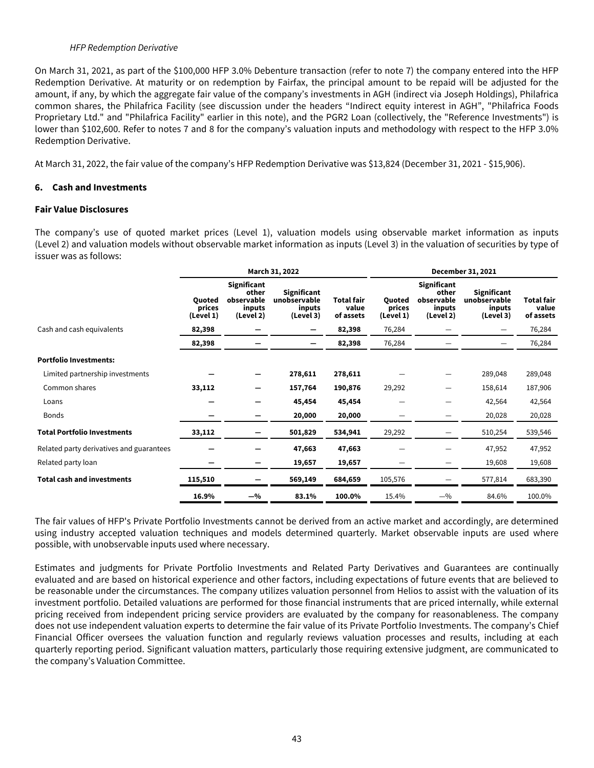#### HFP Redemption Derivative

<span id="page-43-0"></span>On March 31, 2021, as part of the \$100,000 HFP 3.0% Debenture transaction (refer to note 7) the company entered into the HFP Redemption Derivative. At maturity or on redemption by Fairfax, the principal amount to be repaid will be adjusted for the amount, if any, by which the aggregate fair value of the company's investments in AGH (indirect via Joseph Holdings), Philafrica common shares, the Philafrica Facility (see discussion under the headers "Indirect equity interest in AGH", "Philafrica Foods Proprietary Ltd." and "Philafrica Facility" earlier in this note), and the PGR2 Loan (collectively, the "Reference Investments") is lower than \$102,600. Refer to notes 7 and 8 for the company's valuation inputs and methodology with respect to the HFP 3.0% Redemption Derivative.

At March 31, 2022, the fair value of the company's HFP Redemption Derivative was \$13,824 (December 31, 2021 - \$15,906).

#### **6. Cash and Investments**

#### **Fair Value Disclosures**

The company's use of quoted market prices (Level 1), valuation models using observable market information as inputs (Level 2) and valuation models without observable market information as inputs (Level 3) in the valuation of securities by type of issuer was as follows:

|                                          | March 31, 2022                       |                                                           |                                                           |                                         | December 31, 2021             |                                                           |                                                           |                                  |  |  |
|------------------------------------------|--------------------------------------|-----------------------------------------------------------|-----------------------------------------------------------|-----------------------------------------|-------------------------------|-----------------------------------------------------------|-----------------------------------------------------------|----------------------------------|--|--|
|                                          | <b>Ouoted</b><br>prices<br>(Level 1) | Significant<br>other<br>observable<br>inputs<br>(Level 2) | <b>Significant</b><br>unobservable<br>inputs<br>(Level 3) | <b>Total fair</b><br>value<br>of assets | Quoted<br>prices<br>(Level 1) | Significant<br>other<br>observable<br>inputs<br>(Level 2) | <b>Significant</b><br>unobservable<br>inputs<br>(Level 3) | Total fair<br>value<br>of assets |  |  |
| Cash and cash equivalents                | 82,398                               |                                                           | -                                                         | 82,398                                  | 76,284                        |                                                           |                                                           | 76,284                           |  |  |
|                                          | 82,398                               |                                                           |                                                           | 82,398                                  | 76,284                        |                                                           |                                                           | 76,284                           |  |  |
| <b>Portfolio Investments:</b>            |                                      |                                                           |                                                           |                                         |                               |                                                           |                                                           |                                  |  |  |
| Limited partnership investments          |                                      |                                                           | 278,611                                                   | 278,611                                 |                               |                                                           | 289,048                                                   | 289,048                          |  |  |
| Common shares                            | 33,112                               |                                                           | 157,764                                                   | 190,876                                 | 29,292                        |                                                           | 158,614                                                   | 187,906                          |  |  |
| Loans                                    |                                      |                                                           | 45,454                                                    | 45,454                                  |                               |                                                           | 42,564                                                    | 42,564                           |  |  |
| <b>Bonds</b>                             |                                      |                                                           | 20,000                                                    | 20,000                                  |                               |                                                           | 20,028                                                    | 20,028                           |  |  |
| <b>Total Portfolio Investments</b>       | 33,112                               |                                                           | 501,829                                                   | 534,941                                 | 29,292                        |                                                           | 510,254                                                   | 539,546                          |  |  |
| Related party derivatives and guarantees |                                      |                                                           | 47,663                                                    | 47,663                                  |                               |                                                           | 47,952                                                    | 47,952                           |  |  |
| Related party loan                       |                                      |                                                           | 19,657                                                    | 19,657                                  |                               |                                                           | 19,608                                                    | 19,608                           |  |  |
| <b>Total cash and investments</b>        | 115,510                              |                                                           | 569,149                                                   | 684,659                                 | 105,576                       |                                                           | 577,814                                                   | 683,390                          |  |  |
|                                          | 16.9%                                | $-$ %                                                     | 83.1%                                                     | 100.0%                                  | 15.4%                         | $-$ %                                                     | 84.6%                                                     | 100.0%                           |  |  |

The fair values of HFP's Private Portfolio Investments cannot be derived from an active market and accordingly, are determined using industry accepted valuation techniques and models determined quarterly. Market observable inputs are used where possible, with unobservable inputs used where necessary.

Estimates and judgments for Private Portfolio Investments and Related Party Derivatives and Guarantees are continually evaluated and are based on historical experience and other factors, including expectations of future events that are believed to be reasonable under the circumstances. The company utilizes valuation personnel from Helios to assist with the valuation of its investment portfolio. Detailed valuations are performed for those financial instruments that are priced internally, while external pricing received from independent pricing service providers are evaluated by the company for reasonableness. The company does not use independent valuation experts to determine the fair value of its Private Portfolio Investments. The company's Chief Financial Officer oversees the valuation function and regularly reviews valuation processes and results, including at each quarterly reporting period. Significant valuation matters, particularly those requiring extensive judgment, are communicated to the company's Valuation Committee.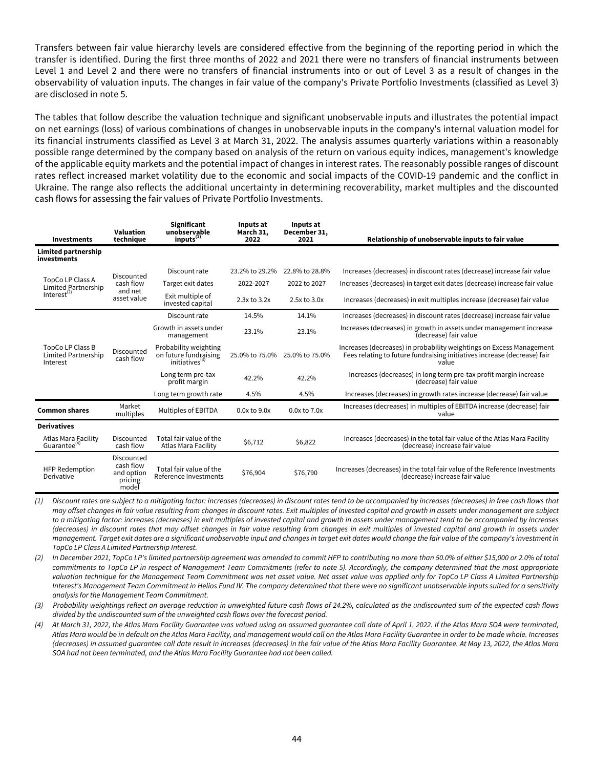Transfers between fair value hierarchy levels are considered effective from the beginning of the reporting period in which the transfer is identified. During the first three months of 2022 and 2021 there were no transfers of financial instruments between Level 1 and Level 2 and there were no transfers of financial instruments into or out of Level 3 as a result of changes in the observability of valuation inputs. The changes in fair value of the company's Private Portfolio Investments (classified as Level 3) are disclosed in note 5.

The tables that follow describe the valuation technique and significant unobservable inputs and illustrates the potential impact on net earnings (loss) of various combinations of changes in unobservable inputs in the company's internal valuation model for its financial instruments classified as Level 3 at March 31, 2022. The analysis assumes quarterly variations within a reasonably possible range determined by the company based on analysis of the return on various equity indices, management's knowledge of the applicable equity markets and the potential impact of changes in interest rates. The reasonably possible ranges of discount rates reflect increased market volatility due to the economic and social impacts of the COVID-19 pandemic and the conflict in Ukraine. The range also reflects the additional uncertainty in determining recoverability, market multiples and the discounted cash flows for assessing the fair values of Private Portfolio Investments.

| <b>Investments</b>                                  | Valuation<br>technique                                    | <b>Significant</b><br>unobservable<br>inputs <sup>(1)</sup>                  | Inputs at<br>March 31,<br>2022 | Inputs at<br>December 31,<br>2021 | Relationship of unobservable inputs to fair value                                                                                                         |
|-----------------------------------------------------|-----------------------------------------------------------|------------------------------------------------------------------------------|--------------------------------|-----------------------------------|-----------------------------------------------------------------------------------------------------------------------------------------------------------|
| Limited partnership<br>investments                  |                                                           |                                                                              |                                |                                   |                                                                                                                                                           |
|                                                     | Discounted                                                | Discount rate                                                                | 23.2% to 29.2%                 | 22.8% to 28.8%                    | Increases (decreases) in discount rates (decrease) increase fair value                                                                                    |
| TopCo LP Class A<br>Limited Partnership             | cash flow                                                 | Target exit dates                                                            | 2022-2027                      | 2022 to 2027                      | Increases (decreases) in target exit dates (decrease) increase fair value                                                                                 |
| Interest $^{(2)}$                                   | and net<br>asset value                                    | Exit multiple of<br>invested capital                                         | $2.3x$ to $3.2x$               | 2.5x to 3.0x                      | Increases (decreases) in exit multiples increase (decrease) fair value                                                                                    |
|                                                     |                                                           | Discount rate                                                                | 14.5%                          | 14.1%                             | Increases (decreases) in discount rates (decrease) increase fair value                                                                                    |
|                                                     |                                                           | Growth in assets under<br>management                                         | 23.1%                          | 23.1%                             | Increases (decreases) in growth in assets under management increase<br>(decrease) fair value                                                              |
| TopCo LP Class B<br>Limited Partnership<br>Interest | Discounted<br>cash flow                                   | Probability weighting<br>on future fundraising<br>initiatives <sup>(3)</sup> | 25.0% to 75.0%                 | 25.0% to 75.0%                    | Increases (decreases) in probability weightings on Excess Management<br>Fees relating to future fundraising initiatives increase (decrease) fair<br>value |
|                                                     |                                                           | Long term pre-tax<br>profit margin                                           | 42.2%                          | 42.2%                             | Increases (decreases) in long term pre-tax profit margin increase<br>(decrease) fair value                                                                |
|                                                     |                                                           | Long term growth rate                                                        | 4.5%                           | 4.5%                              | Increases (decreases) in growth rates increase (decrease) fair value                                                                                      |
| <b>Common shares</b>                                | Market<br>multiples                                       | Multiples of EBITDA                                                          | $0.0x$ to $9.0x$               | 0.0x to 7.0x                      | Increases (decreases) in multiples of EBITDA increase (decrease) fair<br>value                                                                            |
| <b>Derivatives</b>                                  |                                                           |                                                                              |                                |                                   |                                                                                                                                                           |
| Atlas Mara Facility<br>Guarantee <sup>(4)</sup>     | Discounted<br>cash flow                                   | Total fair value of the<br>Atlas Mara Facility                               | \$6,712                        | \$6,822                           | Increases (decreases) in the total fair value of the Atlas Mara Facility<br>(decrease) increase fair value                                                |
| <b>HFP Redemption</b><br>Derivative                 | Discounted<br>cash flow<br>and option<br>pricing<br>model | Total fair value of the<br>Reference Investments                             | \$76,904                       | \$76,790                          | Increases (decreases) in the total fair value of the Reference Investments<br>(decrease) increase fair value                                              |

(1) Discount rates are subject to a mitigating factor: increases (decreases) in discount rates tend to be accompanied by increases (decreases) in free cash flows that may offset changes in fair value resulting from changes in discount rates. Exit multiples of invested capital and growth in assets under management are subject to a mitigating factor: increases (decreases) in exit multiples of invested capital and growth in assets under management tend to be accompanied by increases (decreases) in discount rates that may offset changes in fair value resulting from changes in exit multiples of invested capital and growth in assets under management. Target exit dates are a significant unobservable input and changes in target exit dates would change the fair value of the company's investment in TopCo LP Class A Limited Partnership Interest.

(2) In December 2021, TopCo LP's limited partnership agreement was amended to commit HFP to contributing no more than 50.0% of either \$15,000 or 2.0% of total commitments to TopCo LP in respect of Management Team Commitments (refer to note 5). Accordingly, the company determined that the most appropriate valuation technique for the Management Team Commitment was net asset value. Net asset value was applied only for TopCo LP Class A Limited Partnership Interest's Management Team Commitment in Helios Fund IV. The company determined that there were no significant unobservable inputs suited for a sensitivity analysis for the Management Team Commitment.

(3) Probability weightings reflect an average reduction in unweighted future cash flows of 24.2%, calculated as the undiscounted sum of the expected cash flows divided by the undiscounted sum of the unweighted cash flows over the forecast period.

(4) At March 31, 2022, the Atlas Mara Facility Guarantee was valued using an assumed guarantee call date of April 1, 2022. If the Atlas Mara SOA were terminated, Atlas Mara would be in default on the Atlas Mara Facility, and management would call on the Atlas Mara Facility Guarantee in order to be made whole. Increases (decreases) in assumed guarantee call date result in increases (decreases) in the fair value of the Atlas Mara Facility Guarantee. At May 13, 2022, the Atlas Mara SOA had not been terminated, and the Atlas Mara Facility Guarantee had not been called.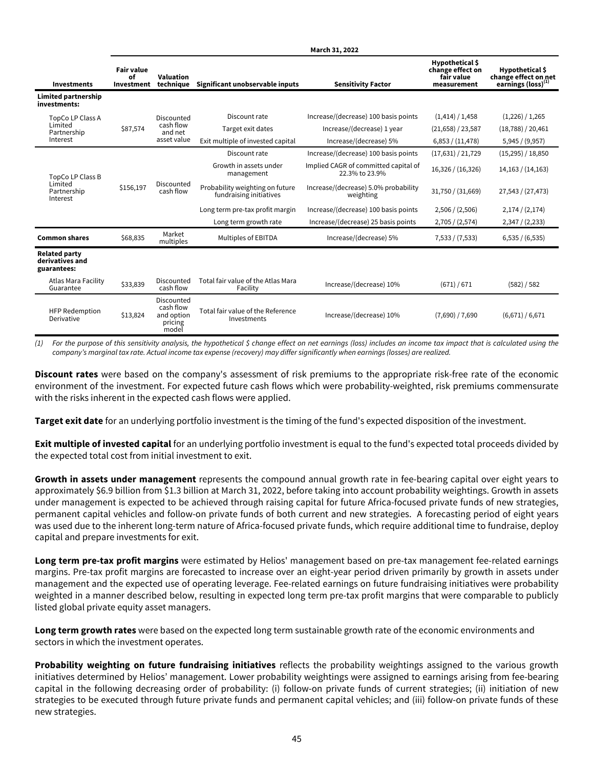|                                                        |                                       |                                                           |                                                            | March 31, 2022                                         |                                                                  |                                                                           |
|--------------------------------------------------------|---------------------------------------|-----------------------------------------------------------|------------------------------------------------------------|--------------------------------------------------------|------------------------------------------------------------------|---------------------------------------------------------------------------|
| <b>Investments</b>                                     | <b>Fair value</b><br>0f<br>Investment | Valuation<br>technique                                    | Significant unobservable inputs                            | <b>Sensitivity Factor</b>                              | Hypothetical \$<br>change effect on<br>fair value<br>measurement | Hypothetical \$<br>change effect on net<br>earnings (loss) <sup>(1)</sup> |
| Limited partnership<br>investments:                    |                                       |                                                           |                                                            |                                                        |                                                                  |                                                                           |
| TopCo LP Class A                                       |                                       | Discounted                                                | Discount rate                                              | Increase/(decrease) 100 basis points                   | (1,414) / 1,458                                                  | (1,226) / 1,265                                                           |
| Limited<br>Partnership                                 | \$87,574                              | cash flow<br>and net                                      | Target exit dates                                          | Increase/(decrease) 1 year                             | (21,658) / 23,587                                                | (18,788) / 20,461                                                         |
| Interest                                               |                                       | asset value                                               | Exit multiple of invested capital                          | Increase/(decrease) 5%                                 | 6,853 / (11,478)                                                 | 5,945 / (9,957)                                                           |
|                                                        |                                       |                                                           | Discount rate                                              | Increase/(decrease) 100 basis points                   | (17,631)/21,729                                                  | (15,295) / 18,850                                                         |
| TopCo LP Class B                                       |                                       |                                                           | Growth in assets under<br>management                       | Implied CAGR of committed capital of<br>22.3% to 23.9% | 16,326 / (16,326)                                                | 14,163 / (14,163)                                                         |
| Limited<br>Partnership<br>Interest                     | \$156,197                             | Discounted<br>cash flow                                   | Probability weighting on future<br>fundraising initiatives | Increase/(decrease) 5.0% probability<br>weighting      | 31,750 / (31,669)                                                | 27,543 / (27,473)                                                         |
|                                                        |                                       |                                                           | Long term pre-tax profit margin                            | Increase/(decrease) 100 basis points                   | 2,506 / (2,506)                                                  | 2,174 / (2,174)                                                           |
|                                                        |                                       |                                                           | Long term growth rate                                      | Increase/(decrease) 25 basis points                    | 2,705 / (2,574)                                                  | 2,347 / (2,233)                                                           |
| <b>Common shares</b>                                   | \$68,835                              | Market<br>multiples                                       | Multiples of EBITDA                                        | Increase/(decrease) 5%                                 | 7,533 / (7,533)                                                  | 6,535 / (6,535)                                                           |
| <b>Related party</b><br>derivatives and<br>guarantees: |                                       |                                                           |                                                            |                                                        |                                                                  |                                                                           |
| Atlas Mara Facility<br>Guarantee                       | \$33,839                              | Discounted<br>cash flow                                   | Total fair value of the Atlas Mara<br>Facility             | Increase/(decrease) 10%                                | (671) / 671                                                      | (582) / 582                                                               |
| <b>HFP Redemption</b><br>Derivative                    | \$13,824                              | Discounted<br>cash flow<br>and option<br>pricing<br>model | Total fair value of the Reference<br>Investments           | Increase/(decrease) 10%                                | (7,690) / 7,690                                                  | (6,671) / 6,671                                                           |

(1) For the purpose of this sensitivity analysis, the hypothetical \$ change effect on net earnings (loss) includes an income tax impact that is calculated using the company's marginal tax rate. Actual income tax expense (recovery) may differ significantly when earnings (losses) are realized.

**Discount rates** were based on the company's assessment of risk premiums to the appropriate risk-free rate of the economic environment of the investment. For expected future cash flows which were probability-weighted, risk premiums commensurate with the risks inherent in the expected cash flows were applied.

**Target exit date** for an underlying portfolio investment is the timing of the fund's expected disposition of the investment.

**Exit multiple of invested capital** for an underlying portfolio investment is equal to the fund's expected total proceeds divided by the expected total cost from initial investment to exit.

**Growth in assets under management** represents the compound annual growth rate in fee-bearing capital over eight years to approximately \$6.9 billion from \$1.3 billion at March 31, 2022, before taking into account probability weightings. Growth in assets under management is expected to be achieved through raising capital for future Africa-focused private funds of new strategies, permanent capital vehicles and follow-on private funds of both current and new strategies. A forecasting period of eight years was used due to the inherent long-term nature of Africa-focused private funds, which require additional time to fundraise, deploy capital and prepare investments for exit.

**Long term pre-tax profit margins** were estimated by Helios' management based on pre-tax management fee-related earnings margins. Pre-tax profit margins are forecasted to increase over an eight-year period driven primarily by growth in assets under management and the expected use of operating leverage. Fee-related earnings on future fundraising initiatives were probability weighted in a manner described below, resulting in expected long term pre-tax profit margins that were comparable to publicly listed global private equity asset managers.

**Long term growth rates** were based on the expected long term sustainable growth rate of the economic environments and sectors in which the investment operates.

**Probability weighting on future fundraising initiatives** reflects the probability weightings assigned to the various growth initiatives determined by Helios' management. Lower probability weightings were assigned to earnings arising from fee-bearing capital in the following decreasing order of probability: (i) follow-on private funds of current strategies; (ii) initiation of new strategies to be executed through future private funds and permanent capital vehicles; and (iii) follow-on private funds of these new strategies.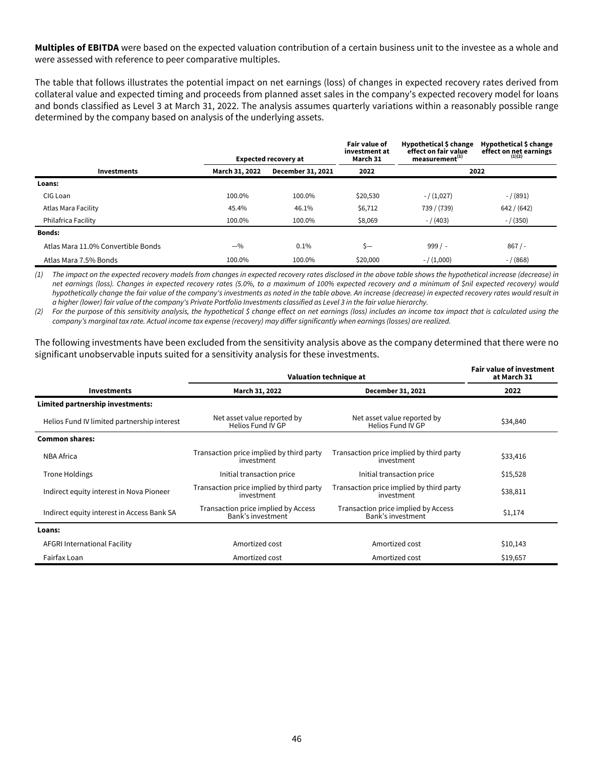**Multiples of EBITDA** were based on the expected valuation contribution of a certain business unit to the investee as a whole and were assessed with reference to peer comparative multiples.

The table that follows illustrates the potential impact on net earnings (loss) of changes in expected recovery rates derived from collateral value and expected timing and proceeds from planned asset sales in the company's expected recovery model for loans and bonds classified as Level 3 at March 31, 2022. The analysis assumes quarterly variations within a reasonably possible range determined by the company based on analysis of the underlying assets.

|                                    |                | <b>Expected recovery at</b> | <b>Fair value of</b><br>investment at<br>March 31 | Hypothetical \$ change<br>effect on fair value<br>measurement <sup>(1)</sup> | Hypothetical \$ change<br>effect on net earnings |
|------------------------------------|----------------|-----------------------------|---------------------------------------------------|------------------------------------------------------------------------------|--------------------------------------------------|
| <b>Investments</b>                 | March 31, 2022 | December 31, 2021           | 2022                                              |                                                                              | 2022                                             |
| Loans:                             |                |                             |                                                   |                                                                              |                                                  |
| CIG Loan                           | 100.0%         | 100.0%                      | \$20,530                                          | $- / (1,027)$                                                                | $- / (891)$                                      |
| Atlas Mara Facility                | 45.4%          | 46.1%                       | \$6,712                                           | 739 / (739)                                                                  | 642 / (642)                                      |
| Philafrica Facility                | 100.0%         | 100.0%                      | \$8,069                                           | $- / (403)$                                                                  | $- / (350)$                                      |
| <b>Bonds:</b>                      |                |                             |                                                   |                                                                              |                                                  |
| Atlas Mara 11.0% Convertible Bonds | $-$ %          | 0.1%                        | $S -$                                             | $999/ -$                                                                     | 867/                                             |
| Atlas Mara 7.5% Bonds              | 100.0%         | 100.0%                      | \$20,000                                          | $- / (1,000)$                                                                | $- / (868)$                                      |

(1) The impact on the expected recovery models from changes in expected recovery rates disclosed in the above table shows the hypothetical increase (decrease) in net earnings (loss). Changes in expected recovery rates (5.0%, to a maximum of 100% expected recovery and a minimum of \$nil expected recovery) would hypothetically change the fair value of the company's investments as noted in the table above. An increase (decrease) in expected recovery rates would result in a higher (lower) fair value of the company's Private Portfolio Investments classified as Level 3 in the fair value hierarchy.

(2) For the purpose of this sensitivity analysis, the hypothetical \$ change effect on net earnings (loss) includes an income tax impact that is calculated using the company's marginal tax rate. Actual income tax expense (recovery) may differ significantly when earnings (losses) are realized.

The following investments have been excluded from the sensitivity analysis above as the company determined that there were no significant unobservable inputs suited for a sensitivity analysis for these investments.

|                                             | Valuation technique at                                   | <b>Fair value of investment</b><br>at March 31           |          |
|---------------------------------------------|----------------------------------------------------------|----------------------------------------------------------|----------|
| <b>Investments</b>                          | March 31, 2022                                           | December 31, 2021                                        | 2022     |
| Limited partnership investments:            |                                                          |                                                          |          |
| Helios Fund IV limited partnership interest | Net asset value reported by<br>Helios Fund IV GP         | Net asset value reported by<br>Helios Fund IV GP         | \$34,840 |
| <b>Common shares:</b>                       |                                                          |                                                          |          |
| <b>NBA Africa</b>                           | Transaction price implied by third party<br>investment   | Transaction price implied by third party<br>investment   | \$33,416 |
| <b>Trone Holdings</b>                       | Initial transaction price                                | Initial transaction price                                | \$15,528 |
| Indirect equity interest in Nova Pioneer    | Transaction price implied by third party<br>investment   | Transaction price implied by third party<br>investment   | \$38,811 |
| Indirect equity interest in Access Bank SA  | Transaction price implied by Access<br>Bank's investment | Transaction price implied by Access<br>Bank's investment | \$1,174  |
| Loans:                                      |                                                          |                                                          |          |
| AFGRI International Facility                | Amortized cost                                           | Amortized cost                                           | \$10,143 |
| Fairfax Loan                                | Amortized cost                                           | Amortized cost                                           | \$19,657 |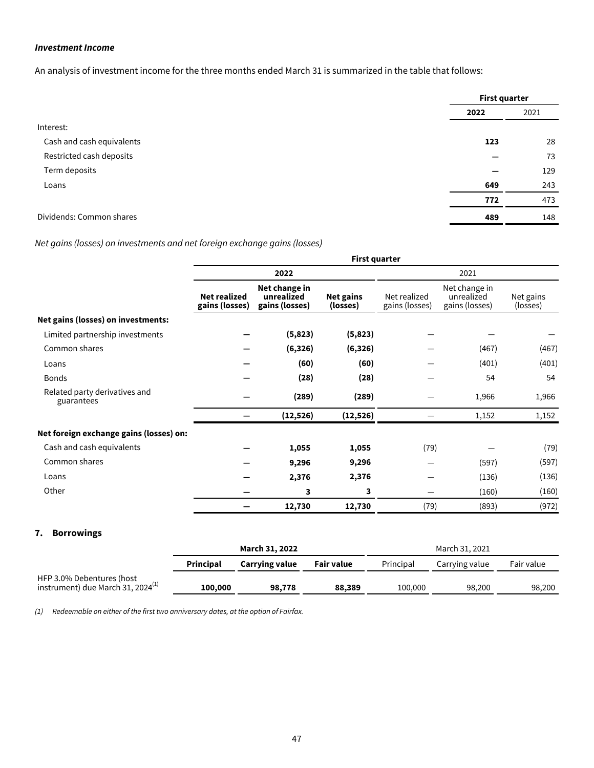## <span id="page-47-0"></span>**Investment Income**

An analysis of investment income for the three months ended March 31 is summarized in the table that follows:

|                           | <b>First quarter</b> |      |  |
|---------------------------|----------------------|------|--|
|                           | 2022                 | 2021 |  |
| Interest:                 |                      |      |  |
| Cash and cash equivalents | 123                  | 28   |  |
| Restricted cash deposits  |                      | 73   |  |
| Term deposits             |                      | 129  |  |
| Loans                     | 649                  | 243  |  |
|                           | 772                  | 473  |  |
| Dividends: Common shares  | 489                  | 148  |  |

# Net gains (losses) on investments and net foreign exchange gains (losses)

|                                             | <b>First quarter</b>                  |                                               |                       |                                |                                               |                       |  |  |
|---------------------------------------------|---------------------------------------|-----------------------------------------------|-----------------------|--------------------------------|-----------------------------------------------|-----------------------|--|--|
|                                             |                                       | 2022                                          |                       | 2021                           |                                               |                       |  |  |
|                                             | <b>Net realized</b><br>gains (losses) | Net change in<br>unrealized<br>gains (losses) | Net gains<br>(losses) | Net realized<br>gains (losses) | Net change in<br>unrealized<br>gains (losses) | Net gains<br>(losses) |  |  |
| Net gains (losses) on investments:          |                                       |                                               |                       |                                |                                               |                       |  |  |
| Limited partnership investments             |                                       | (5,823)                                       | (5,823)               |                                |                                               |                       |  |  |
| Common shares                               |                                       | (6, 326)                                      | (6, 326)              |                                | (467)                                         | (467)                 |  |  |
| Loans                                       |                                       | (60)                                          | (60)                  |                                | (401)                                         | (401)                 |  |  |
| <b>Bonds</b>                                |                                       | (28)                                          | (28)                  |                                | 54                                            | 54                    |  |  |
| Related party derivatives and<br>guarantees |                                       | (289)                                         | (289)                 |                                | 1,966                                         | 1,966                 |  |  |
|                                             |                                       | (12, 526)                                     | (12, 526)             |                                | 1,152                                         | 1,152                 |  |  |
| Net foreign exchange gains (losses) on:     |                                       |                                               |                       |                                |                                               |                       |  |  |
| Cash and cash equivalents                   |                                       | 1,055                                         | 1,055                 | (79)                           |                                               | (79)                  |  |  |
| Common shares                               |                                       | 9,296                                         | 9,296                 |                                | (597)                                         | (597)                 |  |  |
| Loans                                       |                                       | 2,376                                         | 2,376                 |                                | (136)                                         | (136)                 |  |  |
| Other                                       |                                       | 3                                             | 3                     | —                              | (160)                                         | (160)                 |  |  |
|                                             |                                       | 12,730                                        | 12,730                | (79)                           | (893)                                         | (972)                 |  |  |

## **7. Borrowings**

|                                                                      | March 31, 2022   |                       |            | March 31, 2021 |                |            |  |
|----------------------------------------------------------------------|------------------|-----------------------|------------|----------------|----------------|------------|--|
|                                                                      | <b>Principal</b> | <b>Carrying value</b> | Fair value | Principal      | Carrying value | Fair value |  |
| HFP 3.0% Debentures (host<br>instrument) due March 31, 2024 $^{(1)}$ | 100,000          | 98,778                | 88,389     | 100,000        | 98.200         | 98,200     |  |

(1) Redeemable on either of the first two anniversary dates, at the option of Fairfax.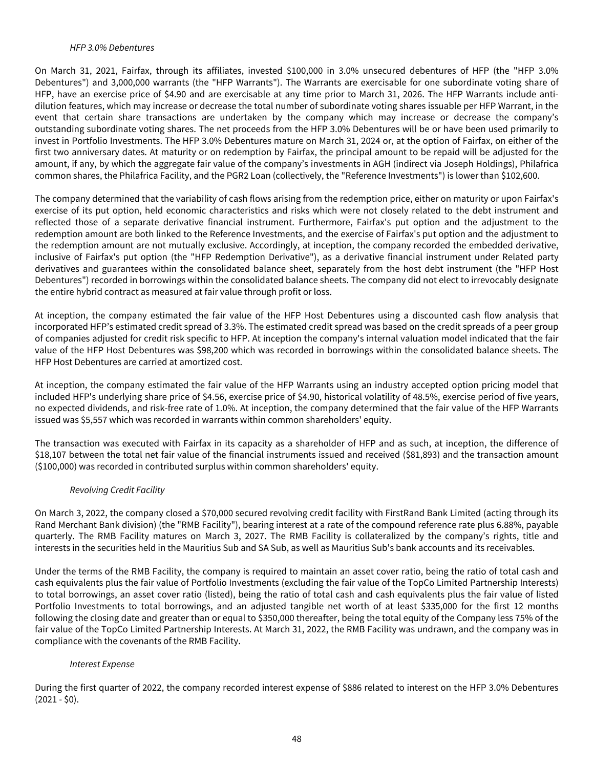#### HFP 3.0% Debentures

On March 31, 2021, Fairfax, through its affiliates, invested \$100,000 in 3.0% unsecured debentures of HFP (the "HFP 3.0% Debentures") and 3,000,000 warrants (the "HFP Warrants"). The Warrants are exercisable for one subordinate voting share of HFP, have an exercise price of \$4.90 and are exercisable at any time prior to March 31, 2026. The HFP Warrants include antidilution features, which may increase or decrease the total number of subordinate voting shares issuable per HFP Warrant, in the event that certain share transactions are undertaken by the company which may increase or decrease the company's outstanding subordinate voting shares. The net proceeds from the HFP 3.0% Debentures will be or have been used primarily to invest in Portfolio Investments. The HFP 3.0% Debentures mature on March 31, 2024 or, at the option of Fairfax, on either of the first two anniversary dates. At maturity or on redemption by Fairfax, the principal amount to be repaid will be adjusted for the amount, if any, by which the aggregate fair value of the company's investments in AGH (indirect via Joseph Holdings), Philafrica common shares, the Philafrica Facility, and the PGR2 Loan (collectively, the "Reference Investments") is lower than \$102,600.

The company determined that the variability of cash flows arising from the redemption price, either on maturity or upon Fairfax's exercise of its put option, held economic characteristics and risks which were not closely related to the debt instrument and reflected those of a separate derivative financial instrument. Furthermore, Fairfax's put option and the adjustment to the redemption amount are both linked to the Reference Investments, and the exercise of Fairfax's put option and the adjustment to the redemption amount are not mutually exclusive. Accordingly, at inception, the company recorded the embedded derivative, inclusive of Fairfax's put option (the "HFP Redemption Derivative"), as a derivative financial instrument under Related party derivatives and guarantees within the consolidated balance sheet, separately from the host debt instrument (the "HFP Host Debentures") recorded in borrowings within the consolidated balance sheets. The company did not elect to irrevocably designate the entire hybrid contract as measured at fair value through profit or loss.

At inception, the company estimated the fair value of the HFP Host Debentures using a discounted cash flow analysis that incorporated HFP's estimated credit spread of 3.3%. The estimated credit spread was based on the credit spreads of a peer group of companies adjusted for credit risk specific to HFP. At inception the company's internal valuation model indicated that the fair value of the HFP Host Debentures was \$98,200 which was recorded in borrowings within the consolidated balance sheets. The HFP Host Debentures are carried at amortized cost.

At inception, the company estimated the fair value of the HFP Warrants using an industry accepted option pricing model that included HFP's underlying share price of \$4.56, exercise price of \$4.90, historical volatility of 48.5%, exercise period of five years, no expected dividends, and risk-free rate of 1.0%. At inception, the company determined that the fair value of the HFP Warrants issued was \$5,557 which was recorded in warrants within common shareholders' equity.

The transaction was executed with Fairfax in its capacity as a shareholder of HFP and as such, at inception, the difference of \$18,107 between the total net fair value of the financial instruments issued and received (\$81,893) and the transaction amount (\$100,000) was recorded in contributed surplus within common shareholders' equity.

### Revolving Credit Facility

On March 3, 2022, the company closed a \$70,000 secured revolving credit facility with FirstRand Bank Limited (acting through its Rand Merchant Bank division) (the "RMB Facility"), bearing interest at a rate of the compound reference rate plus 6.88%, payable quarterly. The RMB Facility matures on March 3, 2027. The RMB Facility is collateralized by the company's rights, title and interests in the securities held in the Mauritius Sub and SA Sub, as well as Mauritius Sub's bank accounts and its receivables.

Under the terms of the RMB Facility, the company is required to maintain an asset cover ratio, being the ratio of total cash and cash equivalents plus the fair value of Portfolio Investments (excluding the fair value of the TopCo Limited Partnership Interests) to total borrowings, an asset cover ratio (listed), being the ratio of total cash and cash equivalents plus the fair value of listed Portfolio Investments to total borrowings, and an adjusted tangible net worth of at least \$335,000 for the first 12 months following the closing date and greater than or equal to \$350,000 thereafter, being the total equity of the Company less 75% of the fair value of the TopCo Limited Partnership Interests. At March 31, 2022, the RMB Facility was undrawn, and the company was in compliance with the covenants of the RMB Facility.

### Interest Expense

During the first quarter of 2022, the company recorded interest expense of \$886 related to interest on the HFP 3.0% Debentures  $(2021 - $0)$ .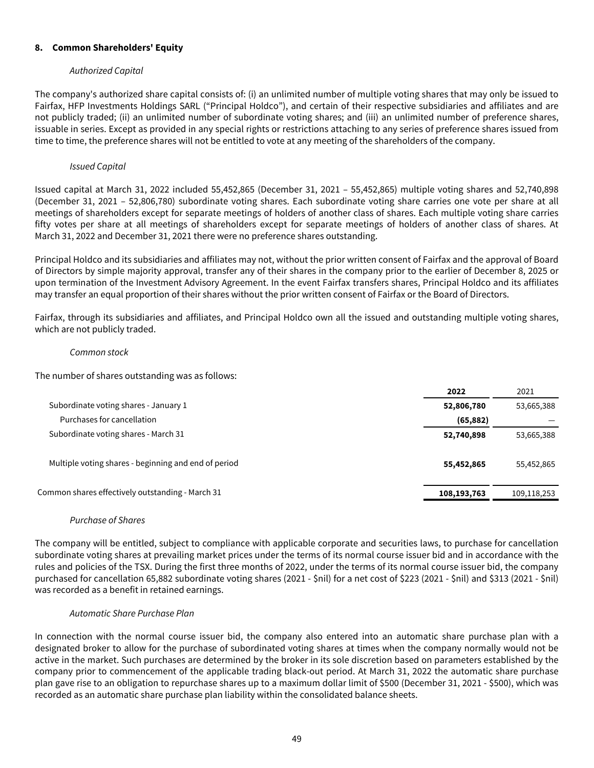## <span id="page-49-0"></span>**8. Common Shareholders' Equity**

## Authorized Capital

The company's authorized share capital consists of: (i) an unlimited number of multiple voting shares that may only be issued to Fairfax, HFP Investments Holdings SARL ("Principal Holdco"), and certain of their respective subsidiaries and affiliates and are not publicly traded; (ii) an unlimited number of subordinate voting shares; and (iii) an unlimited number of preference shares, issuable in series. Except as provided in any special rights or restrictions attaching to any series of preference shares issued from time to time, the preference shares will not be entitled to vote at any meeting of the shareholders of the company.

## Issued Capital

Issued capital at March 31, 2022 included 55,452,865 (December 31, 2021 – 55,452,865) multiple voting shares and 52,740,898 (December 31, 2021 – 52,806,780) subordinate voting shares. Each subordinate voting share carries one vote per share at all meetings of shareholders except for separate meetings of holders of another class of shares. Each multiple voting share carries fifty votes per share at all meetings of shareholders except for separate meetings of holders of another class of shares. At March 31, 2022 and December 31, 2021 there were no preference shares outstanding.

Principal Holdco and its subsidiaries and affiliates may not, without the prior written consent of Fairfax and the approval of Board of Directors by simple majority approval, transfer any of their shares in the company prior to the earlier of December 8, 2025 or upon termination of the Investment Advisory Agreement. In the event Fairfax transfers shares, Principal Holdco and its affiliates may transfer an equal proportion of their shares without the prior written consent of Fairfax or the Board of Directors.

Fairfax, through its subsidiaries and affiliates, and Principal Holdco own all the issued and outstanding multiple voting shares, which are not publicly traded.

### Common stock

The number of shares outstanding was as follows:

|                                                      | 2022        | 2021        |
|------------------------------------------------------|-------------|-------------|
| Subordinate voting shares - January 1                | 52,806,780  | 53,665,388  |
| Purchases for cancellation                           | (65, 882)   |             |
| Subordinate voting shares - March 31                 | 52,740,898  | 53,665,388  |
| Multiple voting shares - beginning and end of period | 55,452,865  | 55,452,865  |
| Common shares effectively outstanding - March 31     | 108,193,763 | 109,118,253 |
|                                                      |             |             |

# Purchase of Shares

The company will be entitled, subject to compliance with applicable corporate and securities laws, to purchase for cancellation subordinate voting shares at prevailing market prices under the terms of its normal course issuer bid and in accordance with the rules and policies of the TSX. During the first three months of 2022, under the terms of its normal course issuer bid, the company purchased for cancellation 65,882 subordinate voting shares (2021 - \$nil) for a net cost of \$223 (2021 - \$nil) and \$313 (2021 - \$nil) was recorded as a benefit in retained earnings.

### Automatic Share Purchase Plan

In connection with the normal course issuer bid, the company also entered into an automatic share purchase plan with a designated broker to allow for the purchase of subordinated voting shares at times when the company normally would not be active in the market. Such purchases are determined by the broker in its sole discretion based on parameters established by the company prior to commencement of the applicable trading black-out period. At March 31, 2022 the automatic share purchase plan gave rise to an obligation to repurchase shares up to a maximum dollar limit of \$500 (December 31, 2021 - \$500), which was recorded as an automatic share purchase plan liability within the consolidated balance sheets.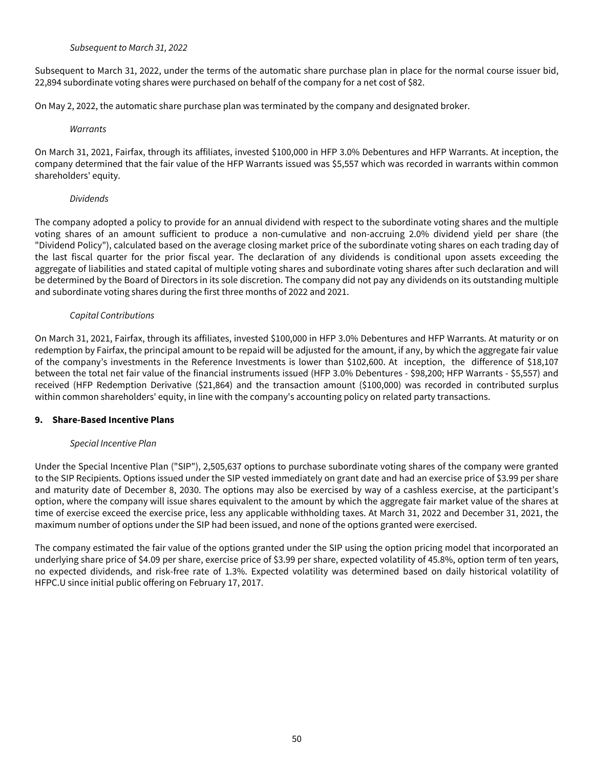Subsequent to March 31, 2022

<span id="page-50-0"></span>Subsequent to March 31, 2022, under the terms of the automatic share purchase plan in place for the normal course issuer bid, 22,894 subordinate voting shares were purchased on behalf of the company for a net cost of \$82.

On May 2, 2022, the automatic share purchase plan was terminated by the company and designated broker.

### **Warrants**

On March 31, 2021, Fairfax, through its affiliates, invested \$100,000 in HFP 3.0% Debentures and HFP Warrants. At inception, the company determined that the fair value of the HFP Warrants issued was \$5,557 which was recorded in warrants within common shareholders' equity.

### Dividends

The company adopted a policy to provide for an annual dividend with respect to the subordinate voting shares and the multiple voting shares of an amount sufficient to produce a non-cumulative and non-accruing 2.0% dividend yield per share (the "Dividend Policy"), calculated based on the average closing market price of the subordinate voting shares on each trading day of the last fiscal quarter for the prior fiscal year. The declaration of any dividends is conditional upon assets exceeding the aggregate of liabilities and stated capital of multiple voting shares and subordinate voting shares after such declaration and will be determined by the Board of Directors in its sole discretion. The company did not pay any dividends on its outstanding multiple and subordinate voting shares during the first three months of 2022 and 2021.

## Capital Contributions

On March 31, 2021, Fairfax, through its affiliates, invested \$100,000 in HFP 3.0% Debentures and HFP Warrants. At maturity or on redemption by Fairfax, the principal amount to be repaid will be adjusted for the amount, if any, by which the aggregate fair value of the company's investments in the Reference Investments is lower than \$102,600. At inception, the difference of \$18,107 between the total net fair value of the financial instruments issued (HFP 3.0% Debentures - \$98,200; HFP Warrants - \$5,557) and received (HFP Redemption Derivative (\$21,864) and the transaction amount (\$100,000) was recorded in contributed surplus within common shareholders' equity, in line with the company's accounting policy on related party transactions.

### **9. Share-Based Incentive Plans**

# Special Incentive Plan

Under the Special Incentive Plan ("SIP"), 2,505,637 options to purchase subordinate voting shares of the company were granted to the SIP Recipients. Options issued under the SIP vested immediately on grant date and had an exercise price of \$3.99 per share and maturity date of December 8, 2030. The options may also be exercised by way of a cashless exercise, at the participant's option, where the company will issue shares equivalent to the amount by which the aggregate fair market value of the shares at time of exercise exceed the exercise price, less any applicable withholding taxes. At March 31, 2022 and December 31, 2021, the maximum number of options under the SIP had been issued, and none of the options granted were exercised.

The company estimated the fair value of the options granted under the SIP using the option pricing model that incorporated an underlying share price of \$4.09 per share, exercise price of \$3.99 per share, expected volatility of 45.8%, option term of ten years, no expected dividends, and risk-free rate of 1.3%. Expected volatility was determined based on daily historical volatility of HFPC.U since initial public offering on February 17, 2017.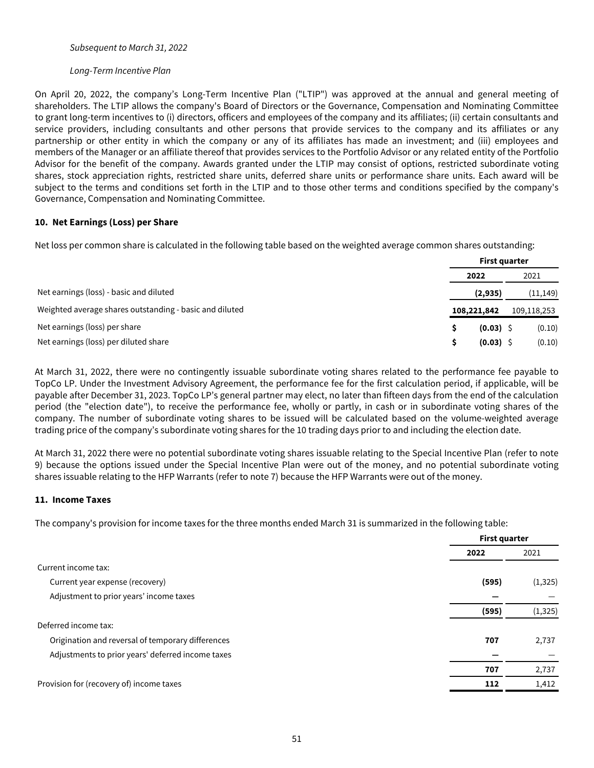#### <span id="page-51-0"></span>Subsequent to March 31, 2022

#### Long-Term Incentive Plan

On April 20, 2022, the company's Long-Term Incentive Plan ("LTIP") was approved at the annual and general meeting of shareholders. The LTIP allows the company's Board of Directors or the Governance, Compensation and Nominating Committee to grant long-term incentives to (i) directors, officers and employees of the company and its affiliates; (ii) certain consultants and service providers, including consultants and other persons that provide services to the company and its affiliates or any partnership or other entity in which the company or any of its affiliates has made an investment; and (iii) employees and members of the Manager or an affiliate thereof that provides services to the Portfolio Advisor or any related entity of the Portfolio Advisor for the benefit of the company. Awards granted under the LTIP may consist of options, restricted subordinate voting shares, stock appreciation rights, restricted share units, deferred share units or performance share units. Each award will be subject to the terms and conditions set forth in the LTIP and to those other terms and conditions specified by the company's Governance, Compensation and Nominating Committee.

### **10. Net Earnings (Loss) per Share**

Net loss per common share is calculated in the following table based on the weighted average common shares outstanding:

|                                                         | <b>First quarter</b> |             |  |             |
|---------------------------------------------------------|----------------------|-------------|--|-------------|
|                                                         |                      | 2022        |  | 2021        |
| Net earnings (loss) - basic and diluted                 |                      | (2,935)     |  | (11, 149)   |
| Weighted average shares outstanding - basic and diluted |                      | 108,221,842 |  | 109,118,253 |
| Net earnings (loss) per share                           |                      | $(0.03)$ \$ |  | (0.10)      |
| Net earnings (loss) per diluted share                   |                      | $(0.03)$ \$ |  | (0.10)      |

At March 31, 2022, there were no contingently issuable subordinate voting shares related to the performance fee payable to TopCo LP. Under the Investment Advisory Agreement, the performance fee for the first calculation period, if applicable, will be payable after December 31, 2023. TopCo LP's general partner may elect, no later than fifteen days from the end of the calculation period (the "election date"), to receive the performance fee, wholly or partly, in cash or in subordinate voting shares of the company. The number of subordinate voting shares to be issued will be calculated based on the volume-weighted average trading price of the company's subordinate voting shares for the 10 trading days prior to and including the election date.

At March 31, 2022 there were no potential subordinate voting shares issuable relating to the Special Incentive Plan (refer to note 9) because the options issued under the Special Incentive Plan were out of the money, and no potential subordinate voting shares issuable relating to the HFP Warrants (refer to note 7) because the HFP Warrants were out of the money.

### **11. Income Taxes**

The company's provision for income taxes for the three months ended March 31 is summarized in the following table:

|                                                   | <b>First quarter</b> |          |  |
|---------------------------------------------------|----------------------|----------|--|
|                                                   | 2022                 | 2021     |  |
| Current income tax:                               |                      |          |  |
| Current year expense (recovery)                   | (595)                | (1, 325) |  |
| Adjustment to prior years' income taxes           |                      |          |  |
|                                                   | (595)                | (1, 325) |  |
| Deferred income tax:                              |                      |          |  |
| Origination and reversal of temporary differences | 707                  | 2,737    |  |
| Adjustments to prior years' deferred income taxes |                      |          |  |
|                                                   | 707                  | 2,737    |  |
| Provision for (recovery of) income taxes          | 112                  | 1,412    |  |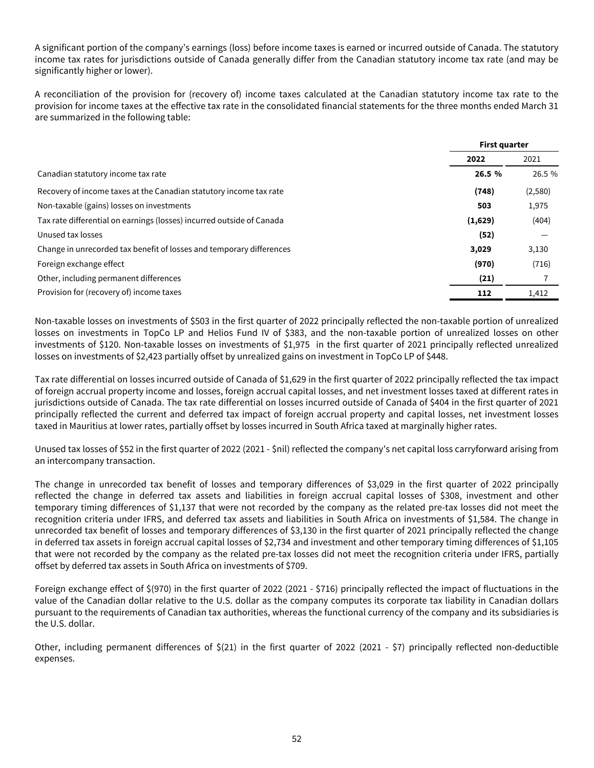A significant portion of the company's earnings (loss) before income taxes is earned or incurred outside of Canada. The statutory income tax rates for jurisdictions outside of Canada generally differ from the Canadian statutory income tax rate (and may be significantly higher or lower).

A reconciliation of the provision for (recovery of) income taxes calculated at the Canadian statutory income tax rate to the provision for income taxes at the effective tax rate in the consolidated financial statements for the three months ended March 31 are summarized in the following table:

|                                                                       |         | <b>First quarter</b> |
|-----------------------------------------------------------------------|---------|----------------------|
|                                                                       | 2022    | 2021                 |
| Canadian statutory income tax rate                                    | 26.5 %  | 26.5 %               |
| Recovery of income taxes at the Canadian statutory income tax rate    | (748)   | (2,580)              |
| Non-taxable (gains) losses on investments                             | 503     | 1,975                |
| Tax rate differential on earnings (losses) incurred outside of Canada | (1,629) | (404)                |
| Unused tax losses                                                     | (52)    |                      |
| Change in unrecorded tax benefit of losses and temporary differences  | 3,029   | 3,130                |
| Foreign exchange effect                                               | (970)   | (716)                |
| Other, including permanent differences                                | (21)    |                      |
| Provision for (recovery of) income taxes                              | 112     | 1,412                |
|                                                                       |         |                      |

Non-taxable losses on investments of \$503 in the first quarter of 2022 principally reflected the non-taxable portion of unrealized losses on investments in TopCo LP and Helios Fund IV of \$383, and the non-taxable portion of unrealized losses on other investments of \$120. Non-taxable losses on investments of \$1,975 in the first quarter of 2021 principally reflected unrealized losses on investments of \$2,423 partially offset by unrealized gains on investment in TopCo LP of \$448.

Tax rate differential on losses incurred outside of Canada of \$1,629 in the first quarter of 2022 principally reflected the tax impact of foreign accrual property income and losses, foreign accrual capital losses, and net investment losses taxed at different rates in jurisdictions outside of Canada. The tax rate differential on losses incurred outside of Canada of \$404 in the first quarter of 2021 principally reflected the current and deferred tax impact of foreign accrual property and capital losses, net investment losses taxed in Mauritius at lower rates, partially offset by losses incurred in South Africa taxed at marginally higher rates.

Unused tax losses of \$52 in the first quarter of 2022 (2021 - \$nil) reflected the company's net capital loss carryforward arising from an intercompany transaction.

The change in unrecorded tax benefit of losses and temporary differences of \$3,029 in the first quarter of 2022 principally reflected the change in deferred tax assets and liabilities in foreign accrual capital losses of \$308, investment and other temporary timing differences of \$1,137 that were not recorded by the company as the related pre-tax losses did not meet the recognition criteria under IFRS, and deferred tax assets and liabilities in South Africa on investments of \$1,584. The change in unrecorded tax benefit of losses and temporary differences of \$3,130 in the first quarter of 2021 principally reflected the change in deferred tax assets in foreign accrual capital losses of \$2,734 and investment and other temporary timing differences of \$1,105 that were not recorded by the company as the related pre-tax losses did not meet the recognition criteria under IFRS, partially offset by deferred tax assets in South Africa on investments of \$709.

Foreign exchange effect of \$(970) in the first quarter of 2022 (2021 - \$716) principally reflected the impact of fluctuations in the value of the Canadian dollar relative to the U.S. dollar as the company computes its corporate tax liability in Canadian dollars pursuant to the requirements of Canadian tax authorities, whereas the functional currency of the company and its subsidiaries is the U.S. dollar.

Other, including permanent differences of \$(21) in the first quarter of 2022 (2021 - \$7) principally reflected non-deductible expenses.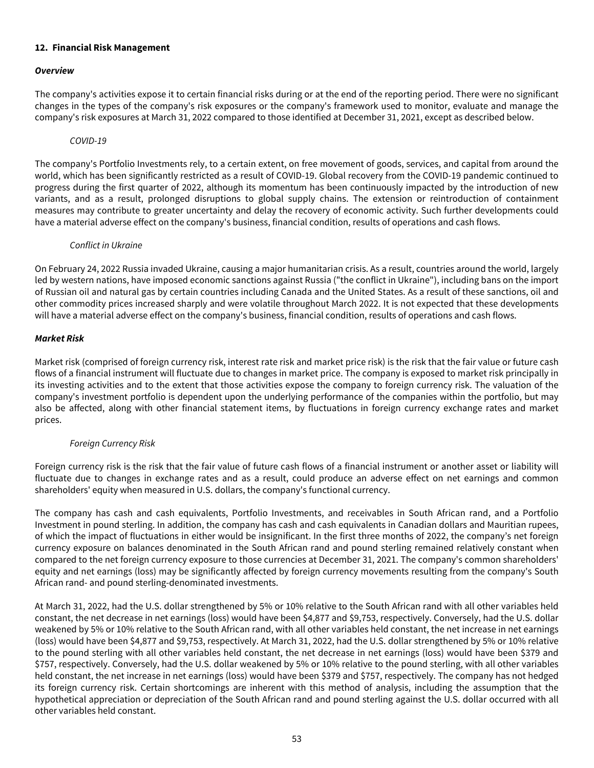## <span id="page-53-0"></span>**12. Financial Risk Management**

## **Overview**

The company's activities expose it to certain financial risks during or at the end of the reporting period. There were no significant changes in the types of the company's risk exposures or the company's framework used to monitor, evaluate and manage the company's risk exposures at March 31, 2022 compared to those identified at December 31, 2021, except as described below.

### COVID-19

The company's Portfolio Investments rely, to a certain extent, on free movement of goods, services, and capital from around the world, which has been significantly restricted as a result of COVID-19. Global recovery from the COVID-19 pandemic continued to progress during the first quarter of 2022, although its momentum has been continuously impacted by the introduction of new variants, and as a result, prolonged disruptions to global supply chains. The extension or reintroduction of containment measures may contribute to greater uncertainty and delay the recovery of economic activity. Such further developments could have a material adverse effect on the company's business, financial condition, results of operations and cash flows.

### Conflict in Ukraine

On February 24, 2022 Russia invaded Ukraine, causing a major humanitarian crisis. As a result, countries around the world, largely led by western nations, have imposed economic sanctions against Russia ("the conflict in Ukraine"), including bans on the import of Russian oil and natural gas by certain countries including Canada and the United States. As a result of these sanctions, oil and other commodity prices increased sharply and were volatile throughout March 2022. It is not expected that these developments will have a material adverse effect on the company's business, financial condition, results of operations and cash flows.

## **Market Risk**

Market risk (comprised of foreign currency risk, interest rate risk and market price risk) is the risk that the fair value or future cash flows of a financial instrument will fluctuate due to changes in market price. The company is exposed to market risk principally in its investing activities and to the extent that those activities expose the company to foreign currency risk. The valuation of the company's investment portfolio is dependent upon the underlying performance of the companies within the portfolio, but may also be affected, along with other financial statement items, by fluctuations in foreign currency exchange rates and market prices.

### Foreign Currency Risk

Foreign currency risk is the risk that the fair value of future cash flows of a financial instrument or another asset or liability will fluctuate due to changes in exchange rates and as a result, could produce an adverse effect on net earnings and common shareholders' equity when measured in U.S. dollars, the company's functional currency.

The company has cash and cash equivalents, Portfolio Investments, and receivables in South African rand, and a Portfolio Investment in pound sterling. In addition, the company has cash and cash equivalents in Canadian dollars and Mauritian rupees, of which the impact of fluctuations in either would be insignificant. In the first three months of 2022, the company's net foreign currency exposure on balances denominated in the South African rand and pound sterling remained relatively constant when compared to the net foreign currency exposure to those currencies at December 31, 2021. The company's common shareholders' equity and net earnings (loss) may be significantly affected by foreign currency movements resulting from the company's South African rand- and pound sterling-denominated investments.

At March 31, 2022, had the U.S. dollar strengthened by 5% or 10% relative to the South African rand with all other variables held constant, the net decrease in net earnings (loss) would have been \$4,877 and \$9,753, respectively. Conversely, had the U.S. dollar weakened by 5% or 10% relative to the South African rand, with all other variables held constant, the net increase in net earnings (loss) would have been \$4,877 and \$9,753, respectively. At March 31, 2022, had the U.S. dollar strengthened by 5% or 10% relative to the pound sterling with all other variables held constant, the net decrease in net earnings (loss) would have been \$379 and \$757, respectively. Conversely, had the U.S. dollar weakened by 5% or 10% relative to the pound sterling, with all other variables held constant, the net increase in net earnings (loss) would have been \$379 and \$757, respectively. The company has not hedged its foreign currency risk. Certain shortcomings are inherent with this method of analysis, including the assumption that the hypothetical appreciation or depreciation of the South African rand and pound sterling against the U.S. dollar occurred with all other variables held constant.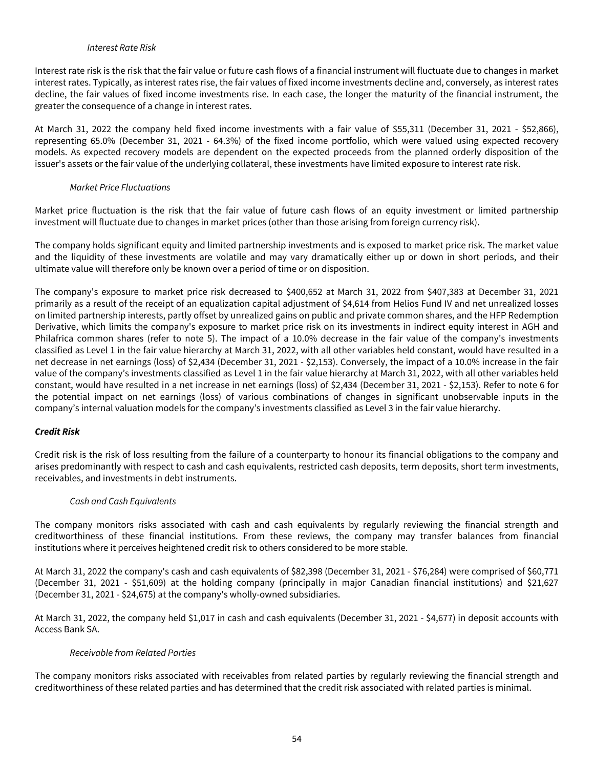#### Interest Rate Risk

Interest rate risk is the risk that the fair value or future cash flows of a financial instrument will fluctuate due to changes in market interest rates. Typically, as interest rates rise, the fair values of fixed income investments decline and, conversely, as interest rates decline, the fair values of fixed income investments rise. In each case, the longer the maturity of the financial instrument, the greater the consequence of a change in interest rates.

At March 31, 2022 the company held fixed income investments with a fair value of \$55,311 (December 31, 2021 - \$52,866), representing 65.0% (December 31, 2021 - 64.3%) of the fixed income portfolio, which were valued using expected recovery models. As expected recovery models are dependent on the expected proceeds from the planned orderly disposition of the issuer's assets or the fair value of the underlying collateral, these investments have limited exposure to interest rate risk.

### Market Price Fluctuations

Market price fluctuation is the risk that the fair value of future cash flows of an equity investment or limited partnership investment will fluctuate due to changes in market prices (other than those arising from foreign currency risk).

The company holds significant equity and limited partnership investments and is exposed to market price risk. The market value and the liquidity of these investments are volatile and may vary dramatically either up or down in short periods, and their ultimate value will therefore only be known over a period of time or on disposition.

The company's exposure to market price risk decreased to \$400,652 at March 31, 2022 from \$407,383 at December 31, 2021 primarily as a result of the receipt of an equalization capital adjustment of \$4,614 from Helios Fund IV and net unrealized losses on limited partnership interests, partly offset by unrealized gains on public and private common shares, and the HFP Redemption Derivative, which limits the company's exposure to market price risk on its investments in indirect equity interest in AGH and Philafrica common shares (refer to note 5). The impact of a 10.0% decrease in the fair value of the company's investments classified as Level 1 in the fair value hierarchy at March 31, 2022, with all other variables held constant, would have resulted in a net decrease in net earnings (loss) of \$2,434 (December 31, 2021 - \$2,153). Conversely, the impact of a 10.0% increase in the fair value of the company's investments classified as Level 1 in the fair value hierarchy at March 31, 2022, with all other variables held constant, would have resulted in a net increase in net earnings (loss) of \$2,434 (December 31, 2021 - \$2,153). Refer to note 6 for the potential impact on net earnings (loss) of various combinations of changes in significant unobservable inputs in the company's internal valuation models for the company's investments classified as Level 3 in the fair value hierarchy.

### **Credit Risk**

Credit risk is the risk of loss resulting from the failure of a counterparty to honour its financial obligations to the company and arises predominantly with respect to cash and cash equivalents, restricted cash deposits, term deposits, short term investments, receivables, and investments in debt instruments.

### Cash and Cash Equivalents

The company monitors risks associated with cash and cash equivalents by regularly reviewing the financial strength and creditworthiness of these financial institutions. From these reviews, the company may transfer balances from financial institutions where it perceives heightened credit risk to others considered to be more stable.

At March 31, 2022 the company's cash and cash equivalents of \$82,398 (December 31, 2021 - \$76,284) were comprised of \$60,771 (December 31, 2021 - \$51,609) at the holding company (principally in major Canadian financial institutions) and \$21,627 (December 31, 2021 - \$24,675) at the company's wholly-owned subsidiaries.

At March 31, 2022, the company held \$1,017 in cash and cash equivalents (December 31, 2021 - \$4,677) in deposit accounts with Access Bank SA.

### Receivable from Related Parties

The company monitors risks associated with receivables from related parties by regularly reviewing the financial strength and creditworthiness of these related parties and has determined that the credit risk associated with related parties is minimal.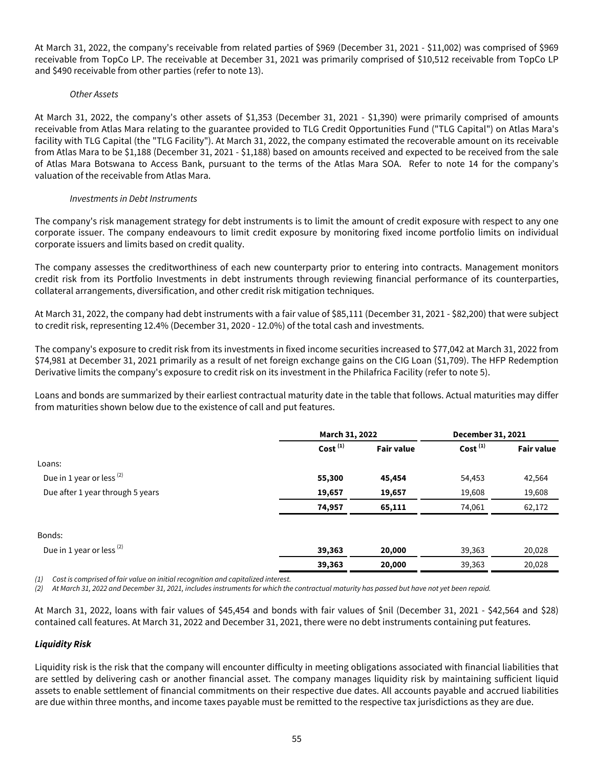At March 31, 2022, the company's receivable from related parties of \$969 (December 31, 2021 - \$11,002) was comprised of \$969 receivable from TopCo LP. The receivable at December 31, 2021 was primarily comprised of \$10,512 receivable from TopCo LP and \$490 receivable from other parties (refer to note 13).

### Other Assets

At March 31, 2022, the company's other assets of \$1,353 (December 31, 2021 - \$1,390) were primarily comprised of amounts receivable from Atlas Mara relating to the guarantee provided to TLG Credit Opportunities Fund ("TLG Capital") on Atlas Mara's facility with TLG Capital (the "TLG Facility"). At March 31, 2022, the company estimated the recoverable amount on its receivable from Atlas Mara to be \$1,188 (December 31, 2021 - \$1,188) based on amounts received and expected to be received from the sale of Atlas Mara Botswana to Access Bank, pursuant to the terms of the Atlas Mara SOA. Refer to note 14 for the company's valuation of the receivable from Atlas Mara.

## Investments in Debt Instruments

The company's risk management strategy for debt instruments is to limit the amount of credit exposure with respect to any one corporate issuer. The company endeavours to limit credit exposure by monitoring fixed income portfolio limits on individual corporate issuers and limits based on credit quality.

The company assesses the creditworthiness of each new counterparty prior to entering into contracts. Management monitors credit risk from its Portfolio Investments in debt instruments through reviewing financial performance of its counterparties, collateral arrangements, diversification, and other credit risk mitigation techniques.

At March 31, 2022, the company had debt instruments with a fair value of \$85,111 (December 31, 2021 - \$82,200) that were subject to credit risk, representing 12.4% (December 31, 2020 - 12.0%) of the total cash and investments.

The company's exposure to credit risk from its investments in fixed income securities increased to \$77,042 at March 31, 2022 from \$74,981 at December 31, 2021 primarily as a result of net foreign exchange gains on the CIG Loan (\$1,709). The HFP Redemption Derivative limits the company's exposure to credit risk on its investment in the Philafrica Facility (refer to note 5).

Loans and bonds are summarized by their earliest contractual maturity date in the table that follows. Actual maturities may differ from maturities shown below due to the existence of call and put features.

|                                      |               | March 31, 2022    |               | December 31, 2021 |
|--------------------------------------|---------------|-------------------|---------------|-------------------|
|                                      | Cost $^{(1)}$ | <b>Fair value</b> | Cost $^{(1)}$ | <b>Fair value</b> |
| Loans:                               |               |                   |               |                   |
| Due in 1 year or less <sup>(2)</sup> | 55,300        | 45,454            | 54,453        | 42,564            |
| Due after 1 year through 5 years     | 19,657        | 19,657            | 19,608        | 19,608            |
|                                      | 74,957        | 65,111            | 74,061        | 62,172            |
| Bonds:                               |               |                   |               |                   |
| Due in 1 year or less <sup>(2)</sup> | 39,363        | 20,000            | 39,363        | 20,028            |
|                                      | 39,363        | 20,000            | 39,363        | 20,028            |

(1) Cost is comprised of fair value on initial recognition and capitalized interest.

At March 31, 2022 and December 31, 2021, includes instruments for which the contractual maturity has passed but have not yet been repaid.

At March 31, 2022, loans with fair values of \$45,454 and bonds with fair values of \$nil (December 31, 2021 - \$42,564 and \$28) contained call features. At March 31, 2022 and December 31, 2021, there were no debt instruments containing put features.

# **Liquidity Risk**

Liquidity risk is the risk that the company will encounter difficulty in meeting obligations associated with financial liabilities that are settled by delivering cash or another financial asset. The company manages liquidity risk by maintaining sufficient liquid assets to enable settlement of financial commitments on their respective due dates. All accounts payable and accrued liabilities are due within three months, and income taxes payable must be remitted to the respective tax jurisdictions as they are due.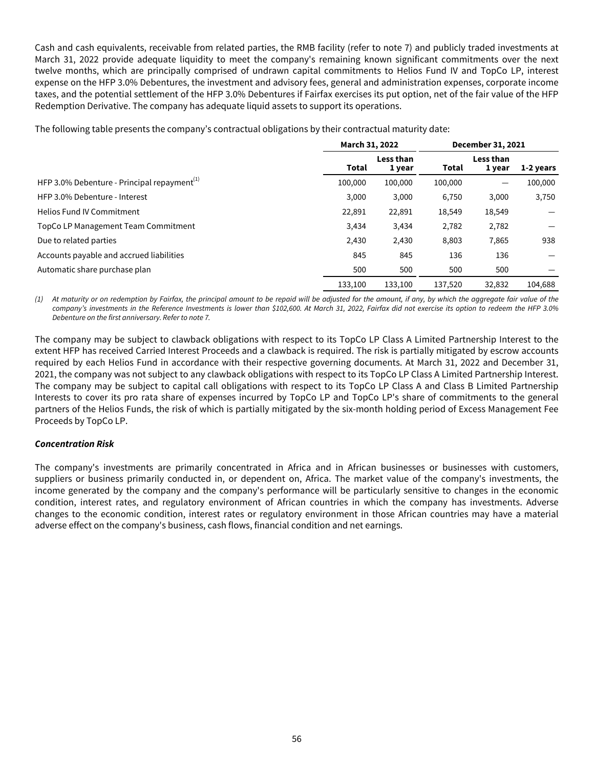Cash and cash equivalents, receivable from related parties, the RMB facility (refer to note 7) and publicly traded investments at March 31, 2022 provide adequate liquidity to meet the company's remaining known significant commitments over the next twelve months, which are principally comprised of undrawn capital commitments to Helios Fund IV and TopCo LP, interest expense on the HFP 3.0% Debentures, the investment and advisory fees, general and administration expenses, corporate income taxes, and the potential settlement of the HFP 3.0% Debentures if Fairfax exercises its put option, net of the fair value of the HFP Redemption Derivative. The company has adequate liquid assets to support its operations.

The following table presents the company's contractual obligations by their contractual maturity date:

|                                                |         | March 31, 2022      |         |                     |           |  | December 31, 2021 |  |
|------------------------------------------------|---------|---------------------|---------|---------------------|-----------|--|-------------------|--|
|                                                | Total   | Less than<br>1 year | Total   | Less than<br>1 year | 1-2 years |  |                   |  |
| HFP 3.0% Debenture - Principal repayment $(1)$ | 100,000 | 100,000             | 100,000 |                     | 100,000   |  |                   |  |
| HFP 3.0% Debenture - Interest                  | 3,000   | 3,000               | 6,750   | 3,000               | 3,750     |  |                   |  |
| <b>Helios Fund IV Commitment</b>               | 22,891  | 22,891              | 18,549  | 18,549              |           |  |                   |  |
| TopCo LP Management Team Commitment            | 3,434   | 3,434               | 2,782   | 2,782               |           |  |                   |  |
| Due to related parties                         | 2,430   | 2,430               | 8,803   | 7,865               | 938       |  |                   |  |
| Accounts payable and accrued liabilities       | 845     | 845                 | 136     | 136                 |           |  |                   |  |
| Automatic share purchase plan                  | 500     | 500                 | 500     | 500                 |           |  |                   |  |
|                                                | 133.100 | 133,100             | 137.520 | 32.832              | 104,688   |  |                   |  |

(1) At maturity or on redemption by Fairfax, the principal amount to be repaid will be adjusted for the amount, if any, by which the aggregate fair value of the company's investments in the Reference Investments is lower than \$102,600. At March 31, 2022, Fairfax did not exercise its option to redeem the HFP 3.0% Debenture on the first anniversary. Refer to note 7.

The company may be subject to clawback obligations with respect to its TopCo LP Class A Limited Partnership Interest to the extent HFP has received Carried Interest Proceeds and a clawback is required. The risk is partially mitigated by escrow accounts required by each Helios Fund in accordance with their respective governing documents. At March 31, 2022 and December 31, 2021, the company was not subject to any clawback obligations with respect to its TopCo LP Class A Limited Partnership Interest. The company may be subject to capital call obligations with respect to its TopCo LP Class A and Class B Limited Partnership Interests to cover its pro rata share of expenses incurred by TopCo LP and TopCo LP's share of commitments to the general partners of the Helios Funds, the risk of which is partially mitigated by the six-month holding period of Excess Management Fee Proceeds by TopCo LP.

### **Concentration Risk**

The company's investments are primarily concentrated in Africa and in African businesses or businesses with customers, suppliers or business primarily conducted in, or dependent on, Africa. The market value of the company's investments, the income generated by the company and the company's performance will be particularly sensitive to changes in the economic condition, interest rates, and regulatory environment of African countries in which the company has investments. Adverse changes to the economic condition, interest rates or regulatory environment in those African countries may have a material adverse effect on the company's business, cash flows, financial condition and net earnings.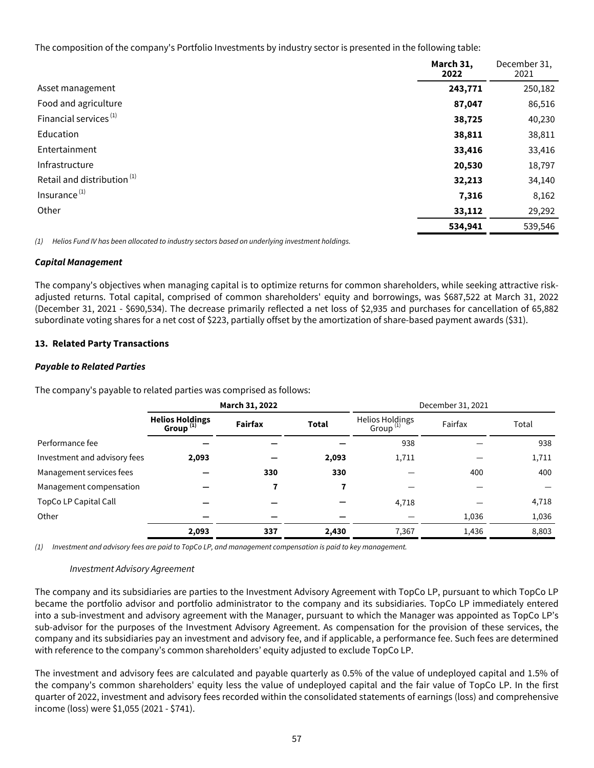<span id="page-57-0"></span>The composition of the company's Portfolio Investments by industry sector is presented in the following table:

|                                        | March 31,<br>2022 | December 31,<br>2021 |
|----------------------------------------|-------------------|----------------------|
| Asset management                       | 243,771           | 250,182              |
| Food and agriculture                   | 87,047            | 86,516               |
| Financial services <sup>(1)</sup>      | 38,725            | 40,230               |
| Education                              | 38,811            | 38,811               |
| Entertainment                          | 33,416            | 33,416               |
| Infrastructure                         | 20,530            | 18,797               |
| Retail and distribution <sup>(1)</sup> | 32,213            | 34,140               |
| Insurance <sup>(1)</sup>               | 7,316             | 8,162                |
| Other                                  | 33,112            | 29,292               |
|                                        | 534,941           | 539,546              |

(1) Helios Fund IV has been allocated to industry sectors based on underlying investment holdings.

### **Capital Management**

The company's objectives when managing capital is to optimize returns for common shareholders, while seeking attractive riskadjusted returns. Total capital, comprised of common shareholders' equity and borrowings, was \$687,522 at March 31, 2022 (December 31, 2021 - \$690,534). The decrease primarily reflected a net loss of \$2,935 and purchases for cancellation of 65,882 subordinate voting shares for a net cost of \$223, partially offset by the amortization of share-based payment awards (\$31).

### **13. Related Party Transactions**

### **Payable to Related Parties**

The company's payable to related parties was comprised as follows:

|                              | March 31, 2022                           |         |              | December 31, 2021                       |         |       |
|------------------------------|------------------------------------------|---------|--------------|-----------------------------------------|---------|-------|
|                              | <b>Helios Holdings</b><br>Group $^{(1)}$ | Fairfax | <b>Total</b> | Helios Holdings<br>Group <sup>(1)</sup> | Fairfax | Total |
| Performance fee              |                                          |         |              | 938                                     |         | 938   |
| Investment and advisory fees | 2,093                                    |         | 2,093        | 1,711                                   |         | 1,711 |
| Management services fees     |                                          | 330     | 330          |                                         | 400     | 400   |
| Management compensation      |                                          | 7       |              |                                         |         |       |
| TopCo LP Capital Call        |                                          |         |              | 4,718                                   |         | 4,718 |
| Other                        |                                          |         |              |                                         | 1,036   | 1,036 |
|                              | 2,093                                    | 337     | 2,430        | 7,367                                   | 1,436   | 8,803 |

(1) Investment and advisory fees are paid to TopCo LP, and management compensation is paid to key management.

### Investment Advisory Agreement

The company and its subsidiaries are parties to the Investment Advisory Agreement with TopCo LP, pursuant to which TopCo LP became the portfolio advisor and portfolio administrator to the company and its subsidiaries. TopCo LP immediately entered into a sub-investment and advisory agreement with the Manager, pursuant to which the Manager was appointed as TopCo LP's sub-advisor for the purposes of the Investment Advisory Agreement. As compensation for the provision of these services, the company and its subsidiaries pay an investment and advisory fee, and if applicable, a performance fee. Such fees are determined with reference to the company's common shareholders' equity adjusted to exclude TopCo LP.

The investment and advisory fees are calculated and payable quarterly as 0.5% of the value of undeployed capital and 1.5% of the company's common shareholders' equity less the value of undeployed capital and the fair value of TopCo LP. In the first quarter of 2022, investment and advisory fees recorded within the consolidated statements of earnings (loss) and comprehensive income (loss) were \$1,055 (2021 - \$741).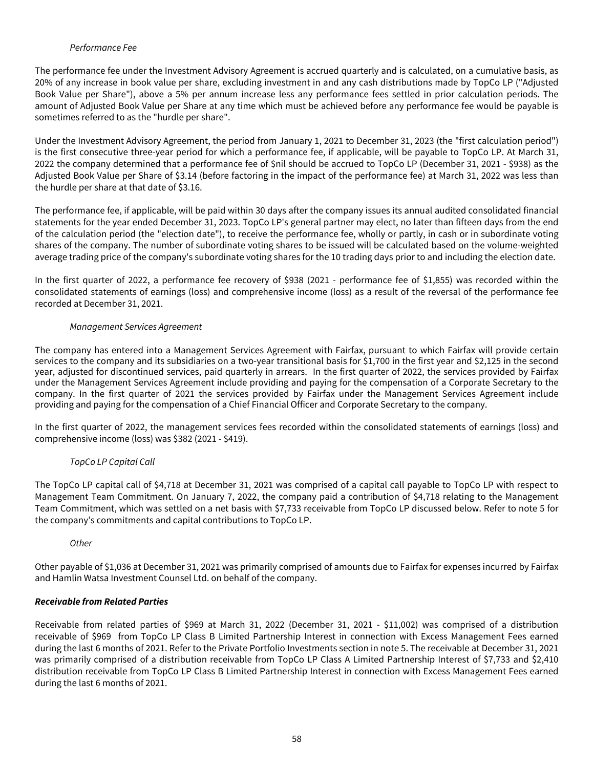## Performance Fee

The performance fee under the Investment Advisory Agreement is accrued quarterly and is calculated, on a cumulative basis, as 20% of any increase in book value per share, excluding investment in and any cash distributions made by TopCo LP ("Adjusted Book Value per Share"), above a 5% per annum increase less any performance fees settled in prior calculation periods. The amount of Adjusted Book Value per Share at any time which must be achieved before any performance fee would be payable is sometimes referred to as the "hurdle per share".

Under the Investment Advisory Agreement, the period from January 1, 2021 to December 31, 2023 (the "first calculation period") is the first consecutive three-year period for which a performance fee, if applicable, will be payable to TopCo LP. At March 31, 2022 the company determined that a performance fee of \$nil should be accrued to TopCo LP (December 31, 2021 - \$938) as the Adjusted Book Value per Share of \$3.14 (before factoring in the impact of the performance fee) at March 31, 2022 was less than the hurdle per share at that date of \$3.16.

The performance fee, if applicable, will be paid within 30 days after the company issues its annual audited consolidated financial statements for the year ended December 31, 2023. TopCo LP's general partner may elect, no later than fifteen days from the end of the calculation period (the "election date"), to receive the performance fee, wholly or partly, in cash or in subordinate voting shares of the company. The number of subordinate voting shares to be issued will be calculated based on the volume-weighted average trading price of the company's subordinate voting shares for the 10 trading days prior to and including the election date.

In the first quarter of 2022, a performance fee recovery of \$938 (2021 - performance fee of \$1,855) was recorded within the consolidated statements of earnings (loss) and comprehensive income (loss) as a result of the reversal of the performance fee recorded at December 31, 2021.

## Management Services Agreement

The company has entered into a Management Services Agreement with Fairfax, pursuant to which Fairfax will provide certain services to the company and its subsidiaries on a two-year transitional basis for \$1,700 in the first year and \$2,125 in the second year, adjusted for discontinued services, paid quarterly in arrears. In the first quarter of 2022, the services provided by Fairfax under the Management Services Agreement include providing and paying for the compensation of a Corporate Secretary to the company. In the first quarter of 2021 the services provided by Fairfax under the Management Services Agreement include providing and paying for the compensation of a Chief Financial Officer and Corporate Secretary to the company.

In the first quarter of 2022, the management services fees recorded within the consolidated statements of earnings (loss) and comprehensive income (loss) was \$382 (2021 - \$419).

# TopCo LP Capital Call

The TopCo LP capital call of \$4,718 at December 31, 2021 was comprised of a capital call payable to TopCo LP with respect to Management Team Commitment. On January 7, 2022, the company paid a contribution of \$4,718 relating to the Management Team Commitment, which was settled on a net basis with \$7,733 receivable from TopCo LP discussed below. Refer to note 5 for the company's commitments and capital contributions to TopCo LP.

**Other** 

Other payable of \$1,036 at December 31, 2021 was primarily comprised of amounts due to Fairfax for expenses incurred by Fairfax and Hamlin Watsa Investment Counsel Ltd. on behalf of the company.

# **Receivable from Related Parties**

Receivable from related parties of \$969 at March 31, 2022 (December 31, 2021 - \$11,002) was comprised of a distribution receivable of \$969 from TopCo LP Class B Limited Partnership Interest in connection with Excess Management Fees earned during the last 6 months of 2021. Refer to the Private Portfolio Investments section in note 5. The receivable at December 31, 2021 was primarily comprised of a distribution receivable from TopCo LP Class A Limited Partnership Interest of \$7,733 and \$2,410 distribution receivable from TopCo LP Class B Limited Partnership Interest in connection with Excess Management Fees earned during the last 6 months of 2021.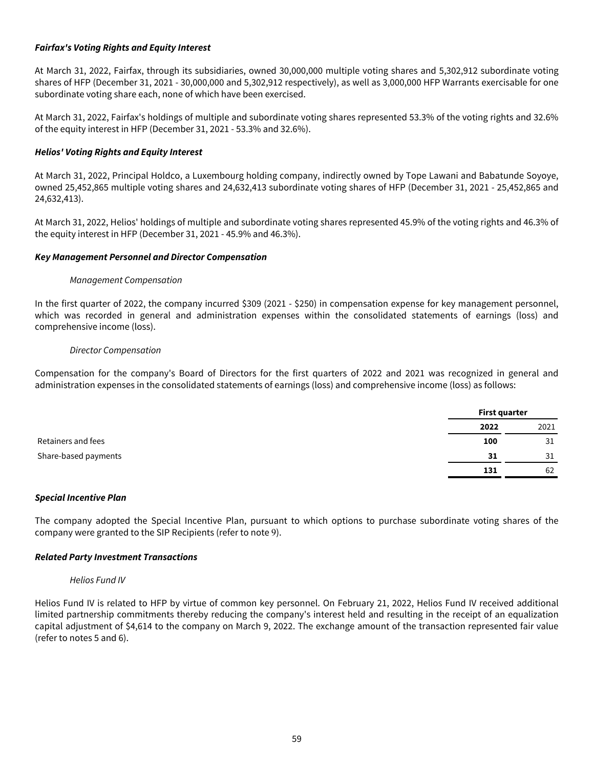### **Fairfax's Voting Rights and Equity Interest**

At March 31, 2022, Fairfax, through its subsidiaries, owned 30,000,000 multiple voting shares and 5,302,912 subordinate voting shares of HFP (December 31, 2021 - 30,000,000 and 5,302,912 respectively), as well as 3,000,000 HFP Warrants exercisable for one subordinate voting share each, none of which have been exercised.

At March 31, 2022, Fairfax's holdings of multiple and subordinate voting shares represented 53.3% of the voting rights and 32.6% of the equity interest in HFP (December 31, 2021 - 53.3% and 32.6%).

## **Helios' Voting Rights and Equity Interest**

At March 31, 2022, Principal Holdco, a Luxembourg holding company, indirectly owned by Tope Lawani and Babatunde Soyoye, owned 25,452,865 multiple voting shares and 24,632,413 subordinate voting shares of HFP (December 31, 2021 - 25,452,865 and 24,632,413).

At March 31, 2022, Helios' holdings of multiple and subordinate voting shares represented 45.9% of the voting rights and 46.3% of the equity interest in HFP (December 31, 2021 - 45.9% and 46.3%).

### **Key Management Personnel and Director Compensation**

#### Management Compensation

In the first quarter of 2022, the company incurred \$309 (2021 - \$250) in compensation expense for key management personnel, which was recorded in general and administration expenses within the consolidated statements of earnings (loss) and comprehensive income (loss).

#### Director Compensation

Compensation for the company's Board of Directors for the first quarters of 2022 and 2021 was recognized in general and administration expenses in the consolidated statements of earnings (loss) and comprehensive income (loss) as follows:

|                      | First quarter |      |
|----------------------|---------------|------|
|                      | 2022          | 2021 |
| Retainers and fees   | 100           | 31   |
| Share-based payments | 31            | 31   |
|                      | 131           | 62   |

### **Special Incentive Plan**

The company adopted the Special Incentive Plan, pursuant to which options to purchase subordinate voting shares of the company were granted to the SIP Recipients (refer to note 9).

### **Related Party Investment Transactions**

#### Helios Fund IV

Helios Fund IV is related to HFP by virtue of common key personnel. On February 21, 2022, Helios Fund IV received additional limited partnership commitments thereby reducing the company's interest held and resulting in the receipt of an equalization capital adjustment of \$4,614 to the company on March 9, 2022. The exchange amount of the transaction represented fair value (refer to notes 5 and 6).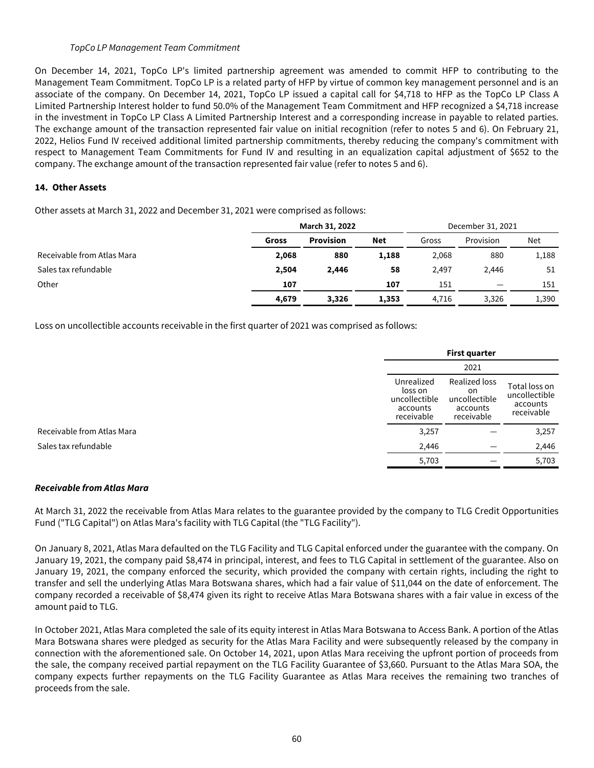### TopCo LP Management Team Commitment

<span id="page-60-0"></span>On December 14, 2021, TopCo LP's limited partnership agreement was amended to commit HFP to contributing to the Management Team Commitment. TopCo LP is a related party of HFP by virtue of common key management personnel and is an associate of the company. On December 14, 2021, TopCo LP issued a capital call for \$4,718 to HFP as the TopCo LP Class A Limited Partnership Interest holder to fund 50.0% of the Management Team Commitment and HFP recognized a \$4,718 increase in the investment in TopCo LP Class A Limited Partnership Interest and a corresponding increase in payable to related parties. The exchange amount of the transaction represented fair value on initial recognition (refer to notes 5 and 6). On February 21, 2022, Helios Fund IV received additional limited partnership commitments, thereby reducing the company's commitment with respect to Management Team Commitments for Fund IV and resulting in an equalization capital adjustment of \$652 to the company. The exchange amount of the transaction represented fair value (refer to notes 5 and 6).

## **14. Other Assets**

Other assets at March 31, 2022 and December 31, 2021 were comprised as follows:

|                            | March 31, 2022 |                  |       | December 31, 2021 |           |       |
|----------------------------|----------------|------------------|-------|-------------------|-----------|-------|
|                            | Gross          | <b>Provision</b> | Net   | Gross             | Provision | Net   |
| Receivable from Atlas Mara | 2,068          | 880              | 1,188 | 2,068             | 880       | 1,188 |
| Sales tax refundable       | 2,504          | 2,446            | 58    | 2,497             | 2.446     | 51    |
| Other                      | 107            |                  | 107   | 151               | —         | 151   |
|                            | 4,679          | 3,326            | 1,353 | 4.716             | 3,326     | 1,390 |

Loss on uncollectible accounts receivable in the first quarter of 2021 was comprised as follows:

|                            |                                                                  | <b>First quarter</b>                                           |                                                          |  |
|----------------------------|------------------------------------------------------------------|----------------------------------------------------------------|----------------------------------------------------------|--|
|                            |                                                                  | 2021                                                           |                                                          |  |
|                            | Unrealized<br>loss on<br>uncollectible<br>accounts<br>receivable | Realized loss<br>on<br>uncollectible<br>accounts<br>receivable | Total loss on<br>uncollectible<br>accounts<br>receivable |  |
| Receivable from Atlas Mara | 3,257                                                            |                                                                | 3,257                                                    |  |
|                            | 2,446                                                            |                                                                | 2,446                                                    |  |
|                            | 5,703                                                            |                                                                | 5,703                                                    |  |

### **Receivable from Atlas Mara**

At March 31, 2022 the receivable from Atlas Mara relates to the guarantee provided by the company to TLG Credit Opportunities Fund ("TLG Capital") on Atlas Mara's facility with TLG Capital (the "TLG Facility").

On January 8, 2021, Atlas Mara defaulted on the TLG Facility and TLG Capital enforced under the guarantee with the company. On January 19, 2021, the company paid \$8,474 in principal, interest, and fees to TLG Capital in settlement of the guarantee. Also on January 19, 2021, the company enforced the security, which provided the company with certain rights, including the right to transfer and sell the underlying Atlas Mara Botswana shares, which had a fair value of \$11,044 on the date of enforcement. The company recorded a receivable of \$8,474 given its right to receive Atlas Mara Botswana shares with a fair value in excess of the amount paid to TLG.

In October 2021, Atlas Mara completed the sale of its equity interest in Atlas Mara Botswana to Access Bank. A portion of the Atlas Mara Botswana shares were pledged as security for the Atlas Mara Facility and were subsequently released by the company in connection with the aforementioned sale. On October 14, 2021, upon Atlas Mara receiving the upfront portion of proceeds from the sale, the company received partial repayment on the TLG Facility Guarantee of \$3,660. Pursuant to the Atlas Mara SOA, the company expects further repayments on the TLG Facility Guarantee as Atlas Mara receives the remaining two tranches of proceeds from the sale.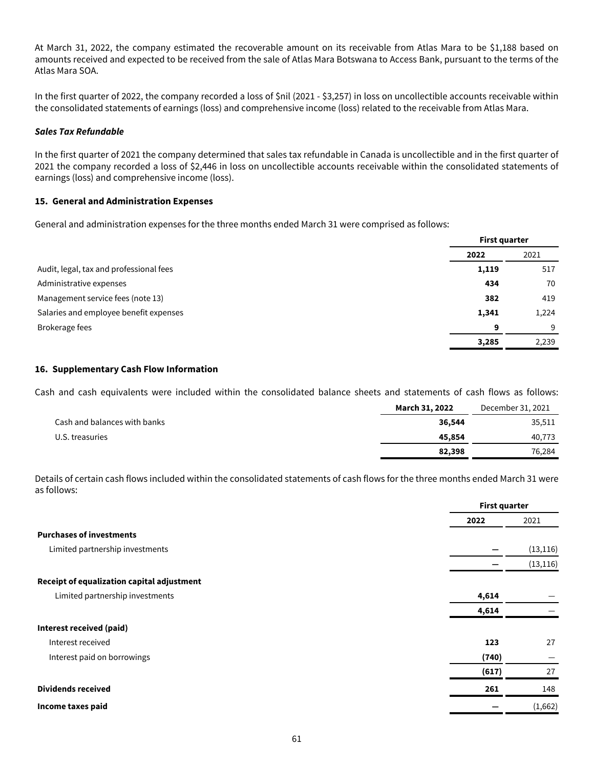<span id="page-61-0"></span>At March 31, 2022, the company estimated the recoverable amount on its receivable from Atlas Mara to be \$1,188 based on amounts received and expected to be received from the sale of Atlas Mara Botswana to Access Bank, pursuant to the terms of the Atlas Mara SOA.

In the first quarter of 2022, the company recorded a loss of \$nil (2021 - \$3,257) in loss on uncollectible accounts receivable within the consolidated statements of earnings (loss) and comprehensive income (loss) related to the receivable from Atlas Mara.

### **Sales Tax Refundable**

In the first quarter of 2021 the company determined that sales tax refundable in Canada is uncollectible and in the first quarter of 2021 the company recorded a loss of \$2,446 in loss on uncollectible accounts receivable within the consolidated statements of earnings (loss) and comprehensive income (loss).

#### **15. General and Administration Expenses**

General and administration expenses for the three months ended March 31 were comprised as follows:

|                                         |       | <b>First quarter</b> |  |
|-----------------------------------------|-------|----------------------|--|
|                                         | 2022  | 2021                 |  |
| Audit, legal, tax and professional fees | 1,119 | 517                  |  |
| Administrative expenses                 | 434   | 70                   |  |
| Management service fees (note 13)       | 382   | 419                  |  |
| Salaries and employee benefit expenses  | 1,341 | 1,224                |  |
| Brokerage fees                          | 9     | 9                    |  |
|                                         | 3,285 | 2,239                |  |

#### **16. Supplementary Cash Flow Information**

Cash and cash equivalents were included within the consolidated balance sheets and statements of cash flows as follows:

|                              | March 31, 2022 | December 31, 2021 |
|------------------------------|----------------|-------------------|
| Cash and balances with banks | 36,544         | 35,511            |
| U.S. treasuries              | 45,854         | 40,773            |
|                              | 82,398         | 76.284            |

Details of certain cash flows included within the consolidated statements of cash flows for the three months ended March 31 were as follows:

|                                            | <b>First quarter</b> |           |
|--------------------------------------------|----------------------|-----------|
|                                            | 2022                 | 2021      |
| <b>Purchases of investments</b>            |                      |           |
| Limited partnership investments            |                      | (13, 116) |
|                                            |                      | (13, 116) |
| Receipt of equalization capital adjustment |                      |           |
| Limited partnership investments            | 4,614                |           |
|                                            | 4,614                |           |
| Interest received (paid)                   |                      |           |
| Interest received                          | 123                  | 27        |
| Interest paid on borrowings                | (740)                |           |
|                                            | (617)                | 27        |
| <b>Dividends received</b>                  | 261                  | 148       |
| Income taxes paid                          |                      | (1,662)   |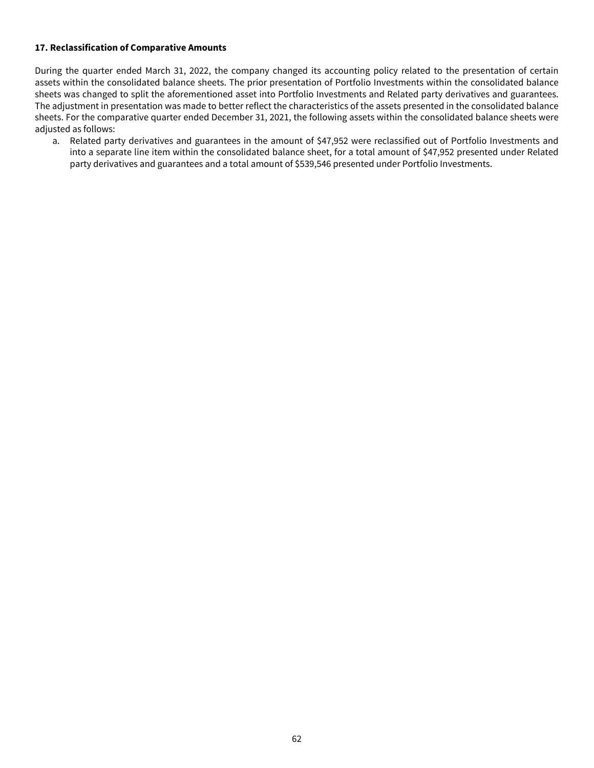### <span id="page-62-0"></span>**17. Reclassification of Comparative Amounts**

During the quarter ended March 31, 2022, the company changed its accounting policy related to the presentation of certain assets within the consolidated balance sheets. The prior presentation of Portfolio Investments within the consolidated balance sheets was changed to split the aforementioned asset into Portfolio Investments and Related party derivatives and guarantees. The adjustment in presentation was made to better reflect the characteristics of the assets presented in the consolidated balance sheets. For the comparative quarter ended December 31, 2021, the following assets within the consolidated balance sheets were adjusted as follows:

a. Related party derivatives and guarantees in the amount of \$47,952 were reclassified out of Portfolio Investments and into a separate line item within the consolidated balance sheet, for a total amount of \$47,952 presented under Related party derivatives and guarantees and a total amount of \$539,546 presented under Portfolio Investments.